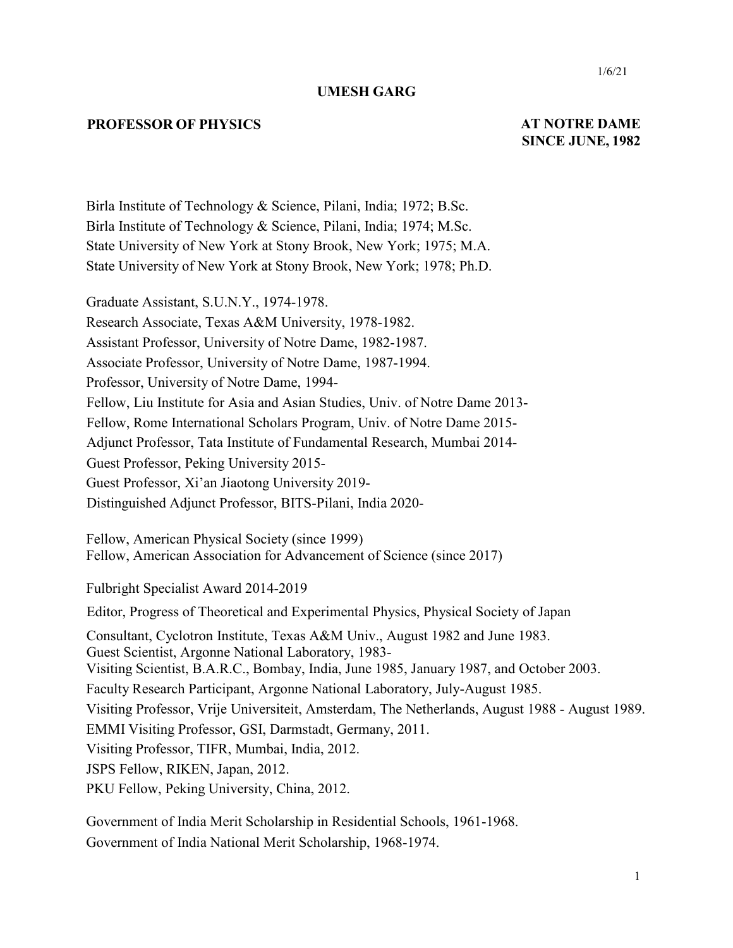#### **UMESH GARG**

#### **PROFESSOR OF PHYSICS AT NOTRE DAME**

# **SINCE JUNE, 1982**

Birla Institute of Technology & Science, Pilani, India; 1972; B.Sc. Birla Institute of Technology & Science, Pilani, India; 1974; M.Sc. State University of New York at Stony Brook, New York; 1975; M.A. State University of New York at Stony Brook, New York; 1978; Ph.D.

Graduate Assistant, S.U.N.Y., 1974-1978. Research Associate, Texas A&M University, 1978-1982. Assistant Professor, University of Notre Dame, 1982-1987. Associate Professor, University of Notre Dame, 1987-1994. Professor, University of Notre Dame, 1994- Fellow, Liu Institute for Asia and Asian Studies, Univ. of Notre Dame 2013- Fellow, Rome International Scholars Program, Univ. of Notre Dame 2015- Adjunct Professor, Tata Institute of Fundamental Research, Mumbai 2014- Guest Professor, Peking University 2015- Guest Professor, Xi'an Jiaotong University 2019- Distinguished Adjunct Professor, BITS-Pilani, India 2020-

Fellow, American Physical Society (since 1999) Fellow, American Association for Advancement of Science (since 2017)

Fulbright Specialist Award 2014-2019

Editor, Progress of Theoretical and Experimental Physics, Physical Society of Japan

Consultant, Cyclotron Institute, Texas A&M Univ., August 1982 and June 1983.

Guest Scientist, Argonne National Laboratory, 1983-

Visiting Scientist, B.A.R.C., Bombay, India, June 1985, January 1987, and October 2003.

Faculty Research Participant, Argonne National Laboratory, July-August 1985.

Visiting Professor, Vrije Universiteit, Amsterdam, The Netherlands, August 1988 - August 1989.

EMMI Visiting Professor, GSI, Darmstadt, Germany, 2011.

Visiting Professor, TIFR, Mumbai, India, 2012.

JSPS Fellow, RIKEN, Japan, 2012.

PKU Fellow, Peking University, China, 2012.

Government of India Merit Scholarship in Residential Schools, 1961-1968. Government of India National Merit Scholarship, 1968-1974.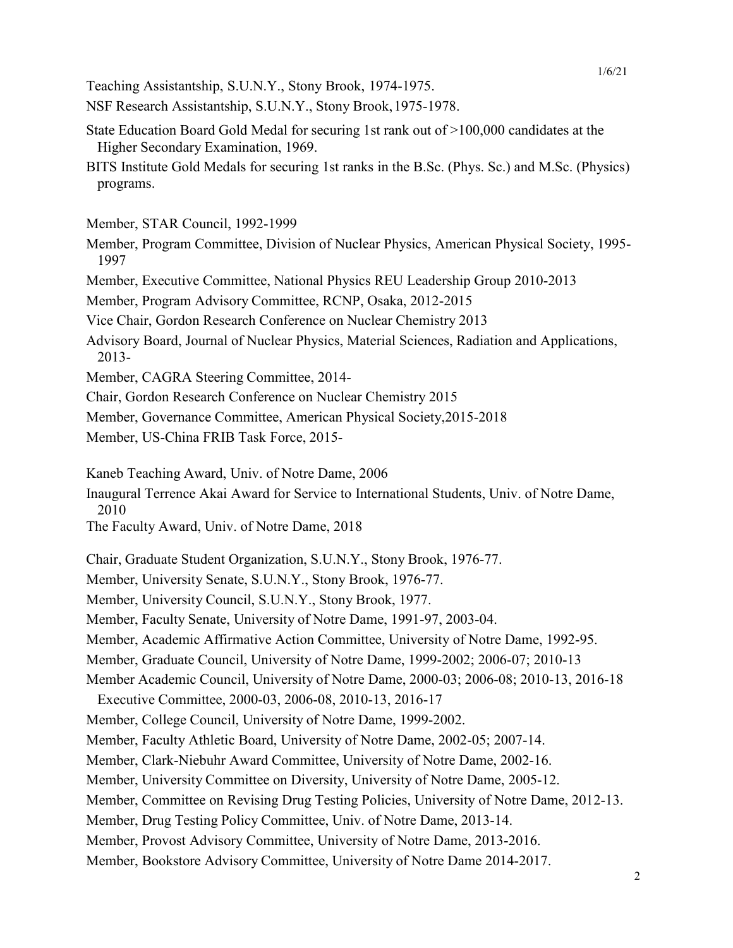Teaching Assistantship, S.U.N.Y., Stony Brook, 1974-1975.

NSF Research Assistantship, S.U.N.Y., Stony Brook,1975-1978.

- State Education Board Gold Medal for securing 1st rank out of >100,000 candidates at the Higher Secondary Examination, 1969.
- BITS Institute Gold Medals for securing 1st ranks in the B.Sc. (Phys. Sc.) and M.Sc. (Physics) programs.

Member, STAR Council, 1992-1999

- Member, Program Committee, Division of Nuclear Physics, American Physical Society, 1995- 1997
- Member, Executive Committee, National Physics REU Leadership Group 2010-2013

Member, Program Advisory Committee, RCNP, Osaka, 2012-2015

Vice Chair, Gordon Research Conference on Nuclear Chemistry 2013

- Advisory Board, Journal of Nuclear Physics, Material Sciences, Radiation and Applications, 2013-
- Member, CAGRA Steering Committee, 2014-
- Chair, Gordon Research Conference on Nuclear Chemistry 2015

Member, Governance Committee, American Physical Society,2015-2018

Member, US-China FRIB Task Force, 2015-

Kaneb Teaching Award, Univ. of Notre Dame, 2006

Inaugural Terrence Akai Award for Service to International Students, Univ. of Notre Dame, 2010

The Faculty Award, Univ. of Notre Dame, 2018

Chair, Graduate Student Organization, S.U.N.Y., Stony Brook, 1976-77.

Member, University Senate, S.U.N.Y., Stony Brook, 1976-77.

Member, University Council, S.U.N.Y., Stony Brook, 1977.

Member, Faculty Senate, University of Notre Dame, 1991-97, 2003-04.

Member, Academic Affirmative Action Committee, University of Notre Dame, 1992-95.

Member, Graduate Council, University of Notre Dame, 1999-2002; 2006-07; 2010-13

Member Academic Council, University of Notre Dame, 2000-03; 2006-08; 2010-13, 2016-18

Executive Committee, 2000-03, 2006-08, 2010-13, 2016-17

Member, College Council, University of Notre Dame, 1999-2002.

Member, Faculty Athletic Board, University of Notre Dame, 2002-05; 2007-14.

Member, Clark-Niebuhr Award Committee, University of Notre Dame, 2002-16.

Member, University Committee on Diversity, University of Notre Dame, 2005-12.

Member, Committee on Revising Drug Testing Policies, University of Notre Dame, 2012-13.

Member, Drug Testing Policy Committee, Univ. of Notre Dame, 2013-14.

Member, Provost Advisory Committee, University of Notre Dame, 2013-2016.

Member, Bookstore Advisory Committee, University of Notre Dame 2014-2017.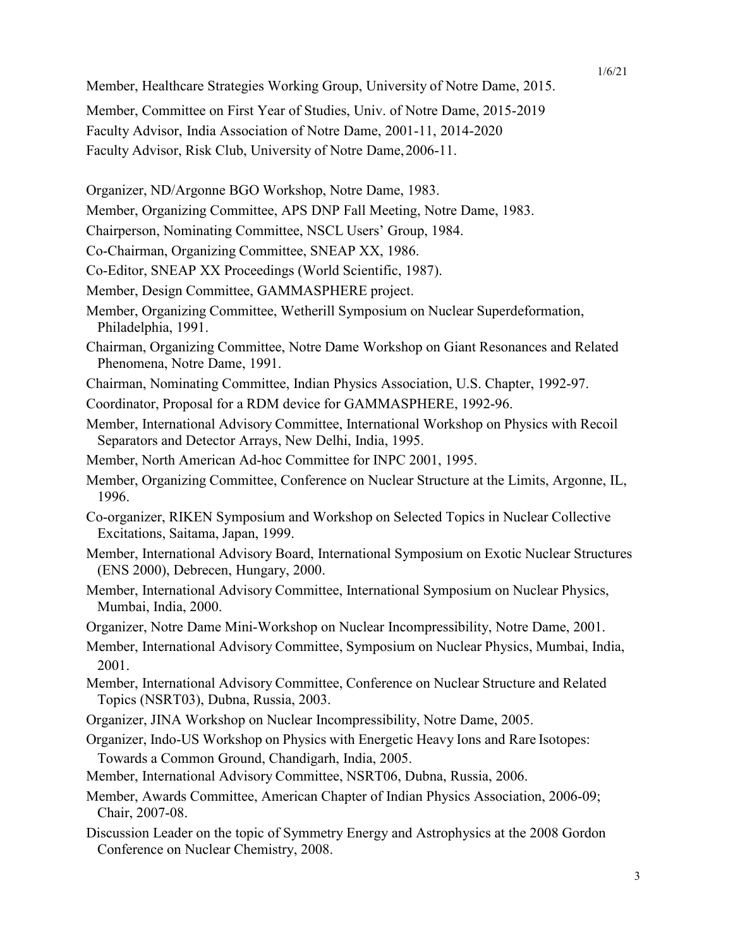1/6/21

Member, Healthcare Strategies Working Group, University of Notre Dame, 2015.

Member, Committee on First Year of Studies, Univ. of Notre Dame, 2015-2019 Faculty Advisor, India Association of Notre Dame, 2001-11, 2014-2020 Faculty Advisor, Risk Club, University of Notre Dame,2006-11.

Organizer, ND/Argonne BGO Workshop, Notre Dame, 1983.

Member, Organizing Committee, APS DNP Fall Meeting, Notre Dame, 1983.

Chairperson, Nominating Committee, NSCL Users' Group, 1984.

Co-Chairman, Organizing Committee, SNEAP XX, 1986.

Co-Editor, SNEAP XX Proceedings (World Scientific, 1987).

Member, Design Committee, GAMMASPHERE project.

- Member, Organizing Committee, Wetherill Symposium on Nuclear Superdeformation, Philadelphia, 1991.
- Chairman, Organizing Committee, Notre Dame Workshop on Giant Resonances and Related Phenomena, Notre Dame, 1991.
- Chairman, Nominating Committee, Indian Physics Association, U.S. Chapter, 1992-97.

Coordinator, Proposal for a RDM device for GAMMASPHERE, 1992-96.

- Member, International Advisory Committee, International Workshop on Physics with Recoil Separators and Detector Arrays, New Delhi, India, 1995.
- Member, North American Ad-hoc Committee for INPC 2001, 1995.
- Member, Organizing Committee, Conference on Nuclear Structure at the Limits, Argonne, IL, 1996.
- Co-organizer, RIKEN Symposium and Workshop on Selected Topics in Nuclear Collective Excitations, Saitama, Japan, 1999.
- Member, International Advisory Board, International Symposium on Exotic Nuclear Structures (ENS 2000), Debrecen, Hungary, 2000.
- Member, International Advisory Committee, International Symposium on Nuclear Physics, Mumbai, India, 2000.
- Organizer, Notre Dame Mini-Workshop on Nuclear Incompressibility, Notre Dame, 2001.
- Member, International Advisory Committee, Symposium on Nuclear Physics, Mumbai, India, 2001.
- Member, International Advisory Committee, Conference on Nuclear Structure and Related Topics (NSRT03), Dubna, Russia, 2003.
- Organizer, JINA Workshop on Nuclear Incompressibility, Notre Dame, 2005.
- Organizer, Indo-US Workshop on Physics with Energetic Heavy Ions and Rare Isotopes: Towards a Common Ground, Chandigarh, India, 2005.
- Member, International Advisory Committee, NSRT06, Dubna, Russia, 2006.
- Member, Awards Committee, American Chapter of Indian Physics Association, 2006-09; Chair, 2007-08.
- Discussion Leader on the topic of Symmetry Energy and Astrophysics at the 2008 Gordon Conference on Nuclear Chemistry, 2008.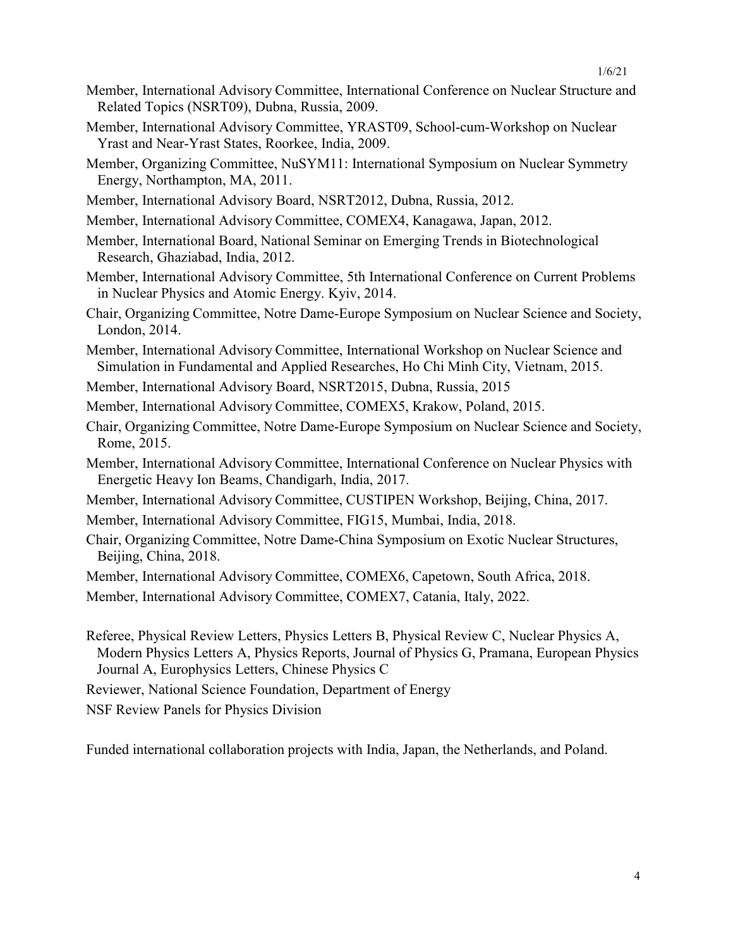- Member, International Advisory Committee, International Conference on Nuclear Structure and Related Topics (NSRT09), Dubna, Russia, 2009.
- Member, International Advisory Committee, YRAST09, School-cum-Workshop on Nuclear Yrast and Near-Yrast States, Roorkee, India, 2009.
- Member, Organizing Committee, NuSYM11: International Symposium on Nuclear Symmetry Energy, Northampton, MA, 2011.
- Member, International Advisory Board, NSRT2012, Dubna, Russia, 2012.
- Member, International Advisory Committee, COMEX4, Kanagawa, Japan, 2012.
- Member, International Board, National Seminar on Emerging Trends in Biotechnological Research, Ghaziabad, India, 2012.
- Member, International Advisory Committee, 5th International Conference on Current Problems in Nuclear Physics and Atomic Energy. Kyiv, 2014.
- Chair, Organizing Committee, Notre Dame-Europe Symposium on Nuclear Science and Society, London, 2014.
- Member, International Advisory Committee, International Workshop on Nuclear Science and Simulation in Fundamental and Applied Researches, Ho Chi Minh City, Vietnam, 2015.
- Member, International Advisory Board, NSRT2015, Dubna, Russia, 2015
- Member, International Advisory Committee, COMEX5, Krakow, Poland, 2015.
- Chair, Organizing Committee, Notre Dame-Europe Symposium on Nuclear Science and Society, Rome, 2015.
- Member, International Advisory Committee, International Conference on Nuclear Physics with Energetic Heavy Ion Beams, Chandigarh, India, 2017.
- Member, International Advisory Committee, CUSTIPEN Workshop, Beijing, China, 2017.
- Member, International Advisory Committee, FIG15, Mumbai, India, 2018.
- Chair, Organizing Committee, Notre Dame-China Symposium on Exotic Nuclear Structures, Beijing, China, 2018.
- Member, International Advisory Committee, COMEX6, Capetown, South Africa, 2018.
- Member, International Advisory Committee, COMEX7, Catania, Italy, 2022.
- Referee, Physical Review Letters, Physics Letters B, Physical Review C, Nuclear Physics A, Modern Physics Letters A, Physics Reports, Journal of Physics G, Pramana, European Physics Journal A, Europhysics Letters, Chinese Physics C
- Reviewer, National Science Foundation, Department of Energy

NSF Review Panels for Physics Division

Funded international collaboration projects with India, Japan, the Netherlands, and Poland.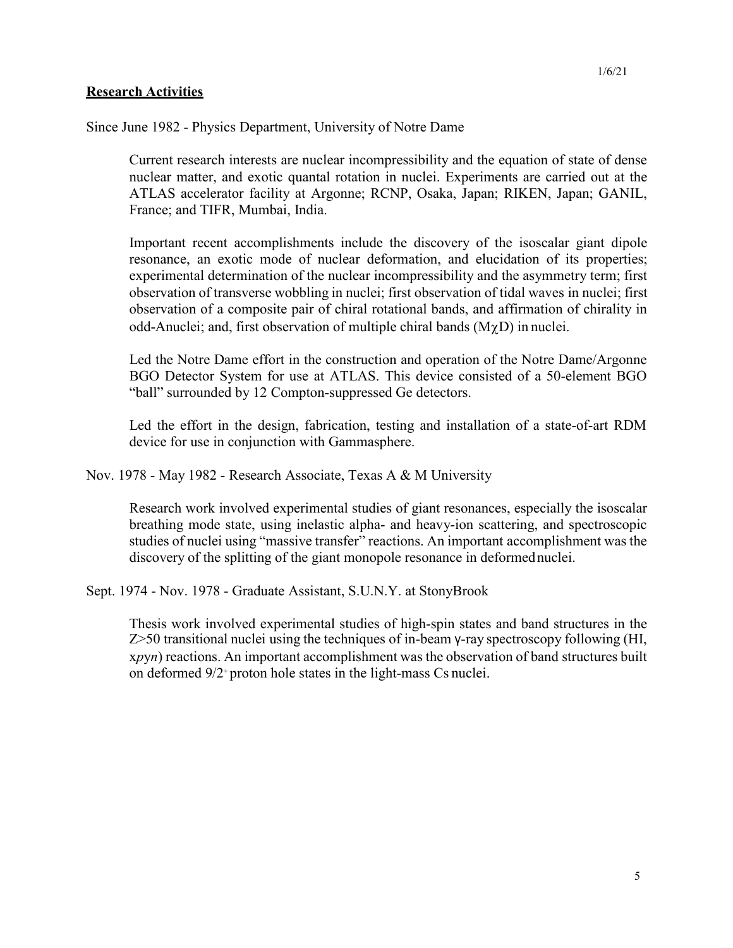Since June 1982 - Physics Department, University of Notre Dame

Current research interests are nuclear incompressibility and the equation of state of dense nuclear matter, and exotic quantal rotation in nuclei. Experiments are carried out at the ATLAS accelerator facility at Argonne; RCNP, Osaka, Japan; RIKEN, Japan; GANIL, France; and TIFR, Mumbai, India.

Important recent accomplishments include the discovery of the isoscalar giant dipole resonance, an exotic mode of nuclear deformation, and elucidation of its properties; experimental determination of the nuclear incompressibility and the asymmetry term; first observation of transverse wobbling in nuclei; first observation of tidal waves in nuclei; first observation of a composite pair of chiral rotational bands, and affirmation of chirality in odd-Anuclei; and, first observation of multiple chiral bands  $(M\gamma D)$  in nuclei.

Led the Notre Dame effort in the construction and operation of the Notre Dame/Argonne BGO Detector System for use at ATLAS. This device consisted of a 50-element BGO "ball" surrounded by 12 Compton-suppressed Ge detectors.

Led the effort in the design, fabrication, testing and installation of a state-of-art RDM device for use in conjunction with Gammasphere.

Nov. 1978 - May 1982 - Research Associate, Texas A & M University

Research work involved experimental studies of giant resonances, especially the isoscalar breathing mode state, using inelastic alpha- and heavy-ion scattering, and spectroscopic studies of nuclei using "massive transfer" reactions. An important accomplishment was the discovery of the splitting of the giant monopole resonance in deformednuclei.

Sept. 1974 - Nov. 1978 - Graduate Assistant, S.U.N.Y. at StonyBrook

Thesis work involved experimental studies of high-spin states and band structures in the Z>50 transitional nuclei using the techniques of in-beam γ-ray spectroscopy following (HI, x*p*y*n*) reactions. An important accomplishment was the observation of band structures built on deformed 9/2+ proton hole states in the light-mass Cs nuclei.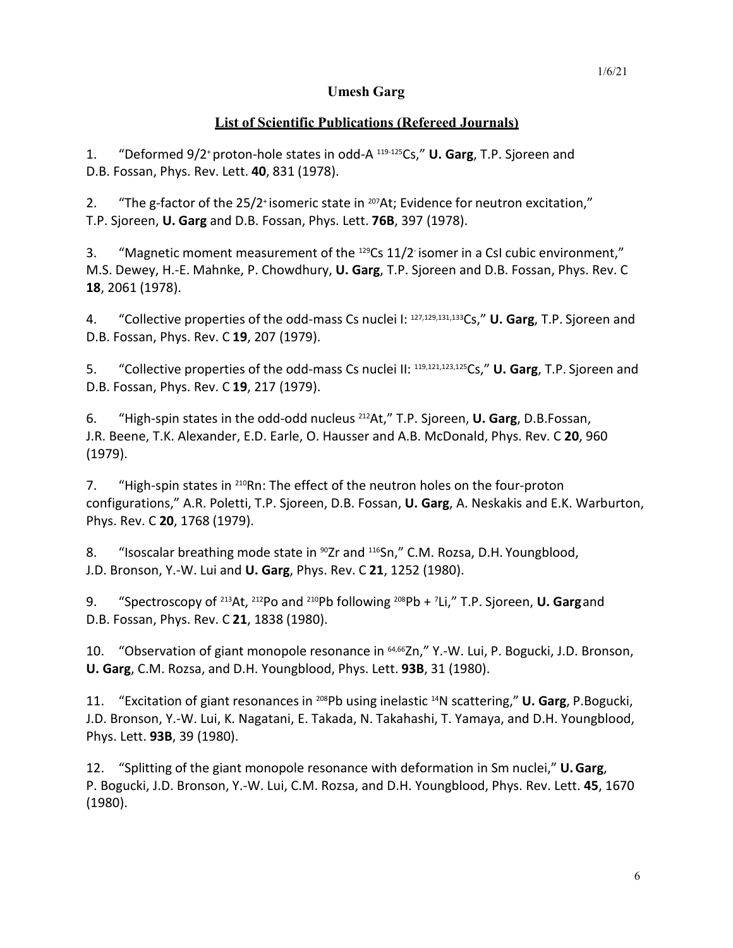# **Umesh Garg**

# **List of Scientific Publications (Refereed Journals)**

1. "Deformed 9/2+proton-hole states in odd-A 119-125Cs," **U. Garg**, T.P. Sjoreen and D.B. Fossan, Phys. Rev. Lett. **40**, 831 (1978).

2. "The g-factor of the 25/2<sup>+</sup> isomeric state in <sup>207</sup>At; Evidence for neutron excitation," T.P. Sjoreen, **U. Garg** and D.B. Fossan, Phys. Lett. **76B**, 397 (1978).

3. "Magnetic moment measurement of the <sup>129</sup>Cs 11/2 isomer in a CsI cubic environment," M.S. Dewey, H.-E. Mahnke, P. Chowdhury, **U. Garg**, T.P. Sjoreen and D.B. Fossan, Phys. Rev. C **18**, 2061 (1978).

4. "Collective properties of the odd-mass Cs nuclei I: 127,129,131,133Cs," **U. Garg**, T.P. Sjoreen and D.B. Fossan, Phys. Rev. C **19**, 207 (1979).

5. "Collective properties of the odd-mass Cs nuclei II: 119,121,123,125Cs," **U. Garg**, T.P. Sjoreen and D.B. Fossan, Phys. Rev. C **19**, 217 (1979).

6. "High-spin states in the odd-odd nucleus 212At," T.P. Sjoreen, **U. Garg**, D.B.Fossan, J.R. Beene, T.K. Alexander, E.D. Earle, O. Hausser and A.B. McDonald, Phys. Rev. C **20**, 960 (1979).

7. "High-spin states in <sup>210</sup>Rn: The effect of the neutron holes on the four-proton configurations," A.R. Poletti, T.P. Sjoreen, D.B. Fossan, **U. Garg**, A. Neskakis and E.K. Warburton, Phys. Rev. C **20**, 1768 (1979).

8. "Isoscalar breathing mode state in <sup>90</sup>Zr and <sup>116</sup>Sn," C.M. Rozsa, D.H. Youngblood, J.D. Bronson, Y.-W. Lui and **U. Garg**, Phys. Rev. C **21**, 1252 (1980).

9. "Spectroscopy of 213At, 212Po and 210Pb following 208Pb + <sup>7</sup> Li," T.P. Sjoreen, **U. Garg**and D.B. Fossan, Phys. Rev. C **21**, 1838 (1980).

10. "Observation of giant monopole resonance in <sup>64,66</sup>Zn," Y.-W. Lui, P. Bogucki, J.D. Bronson, **U. Garg**, C.M. Rozsa, and D.H. Youngblood, Phys. Lett. **93B**, 31 (1980).

11. "Excitation of giant resonances in 208Pb using inelastic 14N scattering," **U. Garg**, P.Bogucki, J.D. Bronson, Y.-W. Lui, K. Nagatani, E. Takada, N. Takahashi, T. Yamaya, and D.H. Youngblood, Phys. Lett. **93B**, 39 (1980).

12. "Splitting of the giant monopole resonance with deformation in Sm nuclei," **U.Garg**, P. Bogucki, J.D. Bronson, Y.-W. Lui, C.M. Rozsa, and D.H. Youngblood, Phys. Rev. Lett. **45**, 1670 (1980).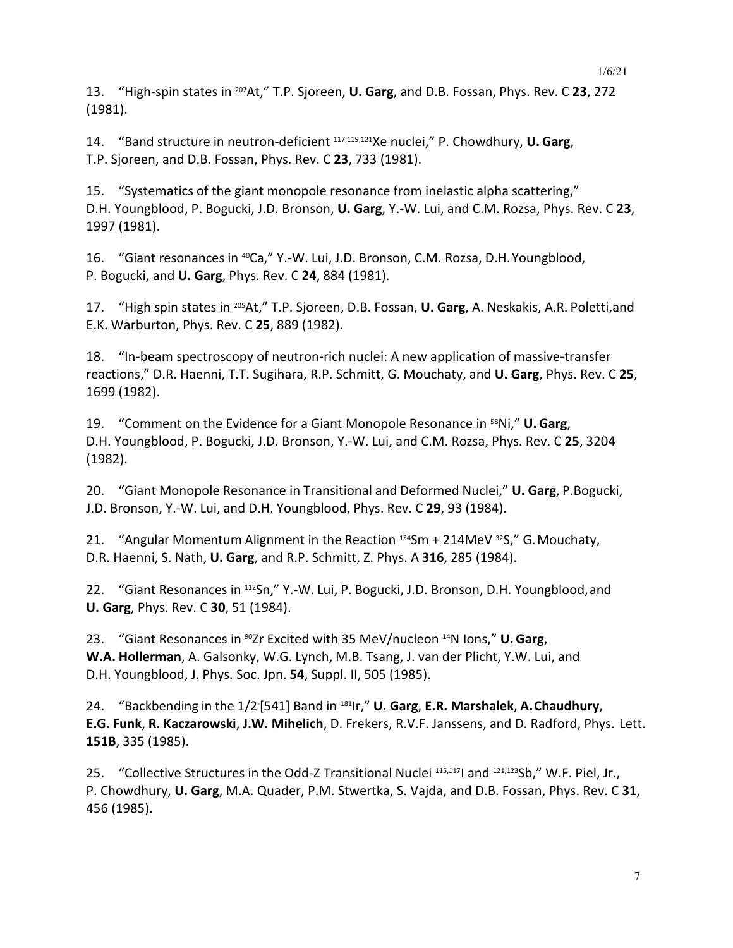13. "High-spin states in 207At," T.P. Sjoreen, **U. Garg**, and D.B. Fossan, Phys. Rev. C **23**, 272 (1981).

14. "Band structure in neutron-deficient 117,119,121Xe nuclei," P. Chowdhury, **U. Garg**, T.P. Sjoreen, and D.B. Fossan, Phys. Rev. C **23**, 733 (1981).

15. "Systematics of the giant monopole resonance from inelastic alpha scattering," D.H. Youngblood, P. Bogucki, J.D. Bronson, **U. Garg**, Y.-W. Lui, and C.M. Rozsa, Phys. Rev. C **23**, 1997 (1981).

16. "Giant resonances in 40Ca," Y.-W. Lui, J.D. Bronson, C.M. Rozsa, D.H.Youngblood, P. Bogucki, and **U. Garg**, Phys. Rev. C **24**, 884 (1981).

17. "High spin states in 205At," T.P. Sjoreen, D.B. Fossan, **U. Garg**, A. Neskakis, A.R. Poletti,and E.K. Warburton, Phys. Rev. C **25**, 889 (1982).

18. "In-beam spectroscopy of neutron-rich nuclei: A new application of massive-transfer reactions," D.R. Haenni, T.T. Sugihara, R.P. Schmitt, G. Mouchaty, and **U. Garg**, Phys. Rev. C **25**, 1699 (1982).

19. "Comment on the Evidence for a Giant Monopole Resonance in 58Ni," **U.Garg**, D.H. Youngblood, P. Bogucki, J.D. Bronson, Y.-W. Lui, and C.M. Rozsa, Phys. Rev. C **25**, 3204 (1982).

20. "Giant Monopole Resonance in Transitional and Deformed Nuclei," **U. Garg**, P.Bogucki, J.D. Bronson, Y.-W. Lui, and D.H. Youngblood, Phys. Rev. C **29**, 93 (1984).

21. "Angular Momentum Alignment in the Reaction  $154$ Sm + 214MeV  $32$ S," G. Mouchaty, D.R. Haenni, S. Nath, **U. Garg**, and R.P. Schmitt, Z. Phys. A **316**, 285 (1984).

22. "Giant Resonances in 112Sn," Y.-W. Lui, P. Bogucki, J.D. Bronson, D.H. Youngblood, and **U. Garg**, Phys. Rev. C **30**, 51 (1984).

23. "Giant Resonances in 90Zr Excited with 35 MeV/nucleon 14N Ions," **U. Garg**, **W.A. Hollerman**, A. Galsonky, W.G. Lynch, M.B. Tsang, J. van der Plicht, Y.W. Lui, and D.H. Youngblood, J. Phys. Soc. Jpn. **54**, Suppl. II, 505 (1985).

24. "Backbending in the 1/2- [541] Band in 181Ir," **U. Garg**, **E.R. Marshalek**, **A.Chaudhury**, **E.G. Funk**, **R. Kaczarowski**, **J.W. Mihelich**, D. Frekers, R.V.F. Janssens, and D. Radford, Phys. Lett. **151B**, 335 (1985).

25. "Collective Structures in the Odd-Z Transitional Nuclei 115,117I and 121,123Sb," W.F. Piel, Jr., P. Chowdhury, **U. Garg**, M.A. Quader, P.M. Stwertka, S. Vajda, and D.B. Fossan, Phys. Rev. C **31**, 456 (1985).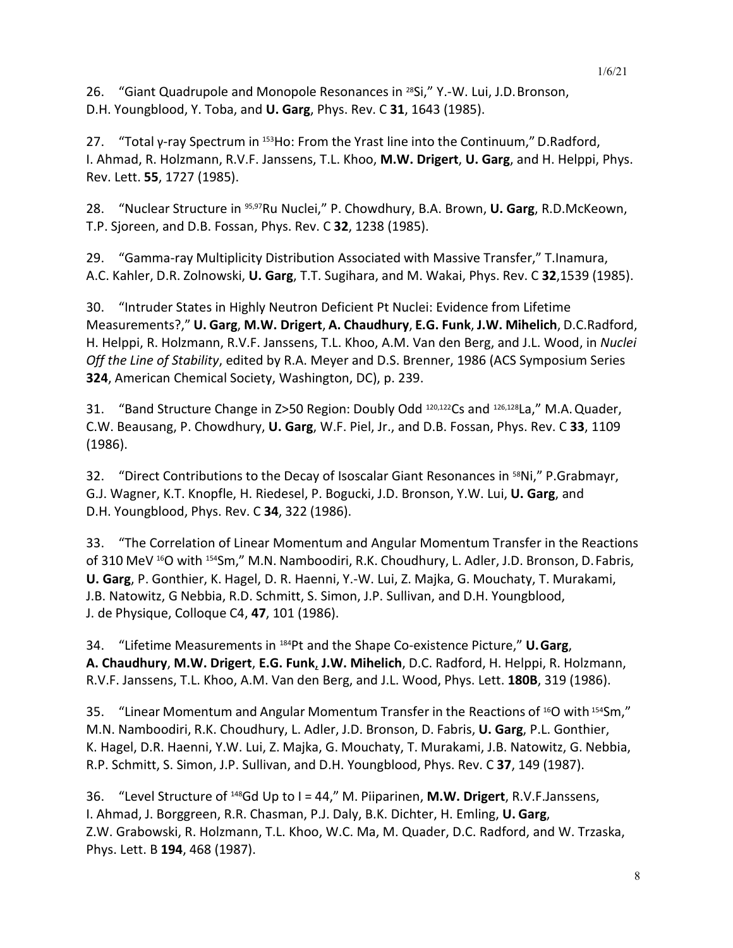26. "Giant Quadrupole and Monopole Resonances in 28Si," Y.-W. Lui, J.D.Bronson, D.H. Youngblood, Y. Toba, and **U. Garg**, Phys. Rev. C **31**, 1643 (1985).

27. "Total γ-ray Spectrum in <sup>153</sup>Ho: From the Yrast line into the Continuum," D.Radford, I. Ahmad, R. Holzmann, R.V.F. Janssens, T.L. Khoo, **M.W. Drigert**, **U. Garg**, and H. Helppi, Phys. Rev. Lett. **55**, 1727 (1985).

28. "Nuclear Structure in 95,97Ru Nuclei," P. Chowdhury, B.A. Brown, **U. Garg**, R.D.McKeown, T.P. Sjoreen, and D.B. Fossan, Phys. Rev. C **32**, 1238 (1985).

29. "Gamma-ray Multiplicity Distribution Associated with Massive Transfer," T.Inamura, A.C. Kahler, D.R. Zolnowski, **U. Garg**, T.T. Sugihara, and M. Wakai, Phys. Rev. C **32**,1539 (1985).

30. "Intruder States in Highly Neutron Deficient Pt Nuclei: Evidence from Lifetime Measurements?," **U. Garg**, **M.W. Drigert**, **A. Chaudhury**, **E.G. Funk**, **J.W. Mihelich**, D.C.Radford, H. Helppi, R. Holzmann, R.V.F. Janssens, T.L. Khoo, A.M. Van den Berg, and J.L. Wood, in *Nuclei Off the Line of Stability*, edited by R.A. Meyer and D.S. Brenner, 1986 (ACS Symposium Series **324**, American Chemical Society, Washington, DC), p. 239.

31. "Band Structure Change in Z>50 Region: Doubly Odd 120,122Cs and 126,128La," M.A.Quader, C.W. Beausang, P. Chowdhury, **U. Garg**, W.F. Piel, Jr., and D.B. Fossan, Phys. Rev. C **33**, 1109 (1986).

32. "Direct Contributions to the Decay of Isoscalar Giant Resonances in <sup>58</sup>Ni," P.Grabmayr, G.J. Wagner, K.T. Knopfle, H. Riedesel, P. Bogucki, J.D. Bronson, Y.W. Lui, **U. Garg**, and D.H. Youngblood, Phys. Rev. C **34**, 322 (1986).

33. "The Correlation of Linear Momentum and Angular Momentum Transfer in the Reactions of 310 MeV <sup>16</sup>O with <sup>154</sup>Sm," M.N. Namboodiri, R.K. Choudhury, L. Adler, J.D. Bronson, D. Fabris, **U. Garg**, P. Gonthier, K. Hagel, D. R. Haenni, Y.-W. Lui, Z. Majka, G. Mouchaty, T. Murakami, J.B. Natowitz, G Nebbia, R.D. Schmitt, S. Simon, J.P. Sullivan, and D.H. Youngblood, J. de Physique, Colloque C4, **47**, 101 (1986).

34. "Lifetime Measurements in 184Pt and the Shape Co-existence Picture," **U.Garg**, **A. Chaudhury**, **M.W. Drigert**, **E.G. Funk**, **J.W. Mihelich**, D.C. Radford, H. Helppi, R. Holzmann, R.V.F. Janssens, T.L. Khoo, A.M. Van den Berg, and J.L. Wood, Phys. Lett. **180B**, 319 (1986).

35. "Linear Momentum and Angular Momentum Transfer in the Reactions of <sup>16</sup>O with <sup>154</sup>Sm," M.N. Namboodiri, R.K. Choudhury, L. Adler, J.D. Bronson, D. Fabris, **U. Garg**, P.L. Gonthier, K. Hagel, D.R. Haenni, Y.W. Lui, Z. Majka, G. Mouchaty, T. Murakami, J.B. Natowitz, G. Nebbia, R.P. Schmitt, S. Simon, J.P. Sullivan, and D.H. Youngblood, Phys. Rev. C **37**, 149 (1987).

36. "Level Structure of 148Gd Up to I = 44," M. Piiparinen, **M.W. Drigert**, R.V.F.Janssens, I. Ahmad, J. Borggreen, R.R. Chasman, P.J. Daly, B.K. Dichter, H. Emling, **U. Garg**, Z.W. Grabowski, R. Holzmann, T.L. Khoo, W.C. Ma, M. Quader, D.C. Radford, and W. Trzaska, Phys. Lett. B **194**, 468 (1987).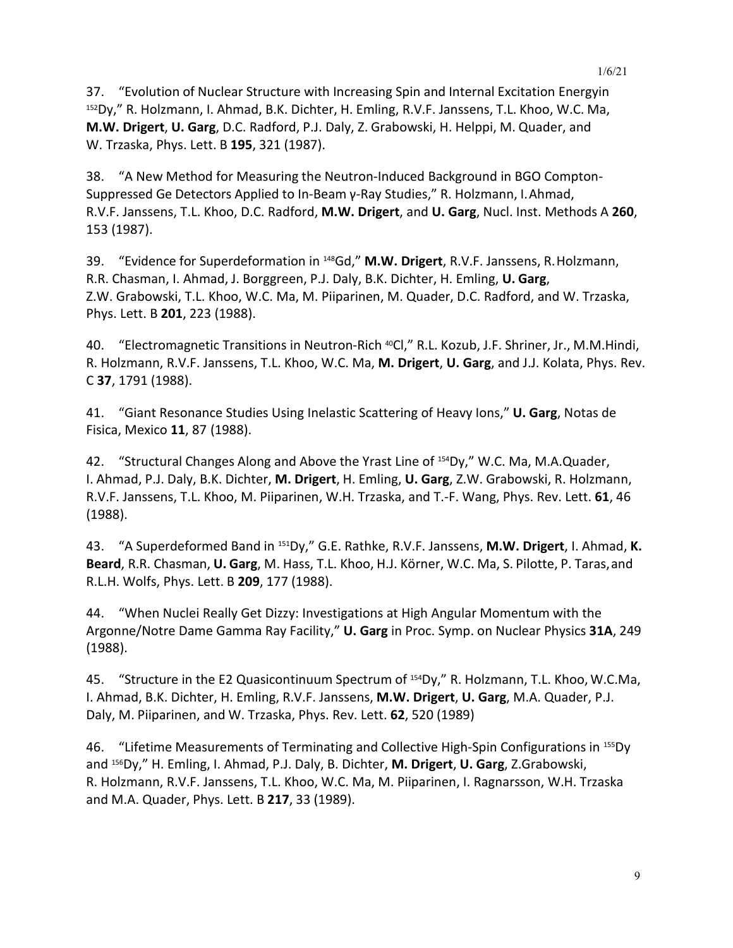37. "Evolution of Nuclear Structure with Increasing Spin and Internal Excitation Energyin <sup>152</sup>Dy," R. Holzmann, I. Ahmad, B.K. Dichter, H. Emling, R.V.F. Janssens, T.L. Khoo, W.C. Ma, **M.W. Drigert**, **U. Garg**, D.C. Radford, P.J. Daly, Z. Grabowski, H. Helppi, M. Quader, and W. Trzaska, Phys. Lett. B **195**, 321 (1987).

38. "A New Method for Measuring the Neutron-Induced Background in BGO Compton-Suppressed Ge Detectors Applied to In-Beam γ-Ray Studies," R. Holzmann, I.Ahmad, R.V.F. Janssens, T.L. Khoo, D.C. Radford, **M.W. Drigert**, and **U. Garg**, Nucl. Inst. Methods A **260**, 153 (1987).

39. "Evidence for Superdeformation in 148Gd," **M.W. Drigert**, R.V.F. Janssens, R.Holzmann, R.R. Chasman, I. Ahmad, J. Borggreen, P.J. Daly, B.K. Dichter, H. Emling, **U. Garg**, Z.W. Grabowski, T.L. Khoo, W.C. Ma, M. Piiparinen, M. Quader, D.C. Radford, and W. Trzaska, Phys. Lett. B **201**, 223 (1988).

40. "Electromagnetic Transitions in Neutron-Rich <sup>40</sup>Cl," R.L. Kozub, J.F. Shriner, Jr., M.M.Hindi, R. Holzmann, R.V.F. Janssens, T.L. Khoo, W.C. Ma, **M. Drigert**, **U. Garg**, and J.J. Kolata, Phys. Rev. C **37**, 1791 (1988).

41. "Giant Resonance Studies Using Inelastic Scattering of Heavy Ions," **U. Garg**, Notas de Fisica, Mexico **11**, 87 (1988).

42. "Structural Changes Along and Above the Yrast Line of 154Dy," W.C. Ma, M.A.Quader, I. Ahmad, P.J. Daly, B.K. Dichter, **M. Drigert**, H. Emling, **U. Garg**, Z.W. Grabowski, R. Holzmann, R.V.F. Janssens, T.L. Khoo, M. Piiparinen, W.H. Trzaska, and T.-F. Wang, Phys. Rev. Lett. **61**, 46 (1988).

43. "A Superdeformed Band in 151Dy," G.E. Rathke, R.V.F. Janssens, **M.W. Drigert**, I. Ahmad, **K. Beard**, R.R. Chasman, **U. Garg**, M. Hass, T.L. Khoo, H.J. Körner, W.C. Ma, S. Pilotte, P. Taras,and R.L.H. Wolfs, Phys. Lett. B **209**, 177 (1988).

44. "When Nuclei Really Get Dizzy: Investigations at High Angular Momentum with the Argonne/Notre Dame Gamma Ray Facility," **U. Garg** in Proc. Symp. on Nuclear Physics **31A**, 249 (1988).

45. "Structure in the E2 Quasicontinuum Spectrum of 154Dy," R. Holzmann, T.L. Khoo, W.C.Ma, I. Ahmad, B.K. Dichter, H. Emling, R.V.F. Janssens, **M.W. Drigert**, **U. Garg**, M.A. Quader, P.J. Daly, M. Piiparinen, and W. Trzaska, Phys. Rev. Lett. **62**, 520 (1989)

46. "Lifetime Measurements of Terminating and Collective High-Spin Configurations in 155Dy and 156Dy," H. Emling, I. Ahmad, P.J. Daly, B. Dichter, **M. Drigert**, **U. Garg**, Z.Grabowski, R. Holzmann, R.V.F. Janssens, T.L. Khoo, W.C. Ma, M. Piiparinen, I. Ragnarsson, W.H. Trzaska and M.A. Quader, Phys. Lett. B **217**, 33 (1989).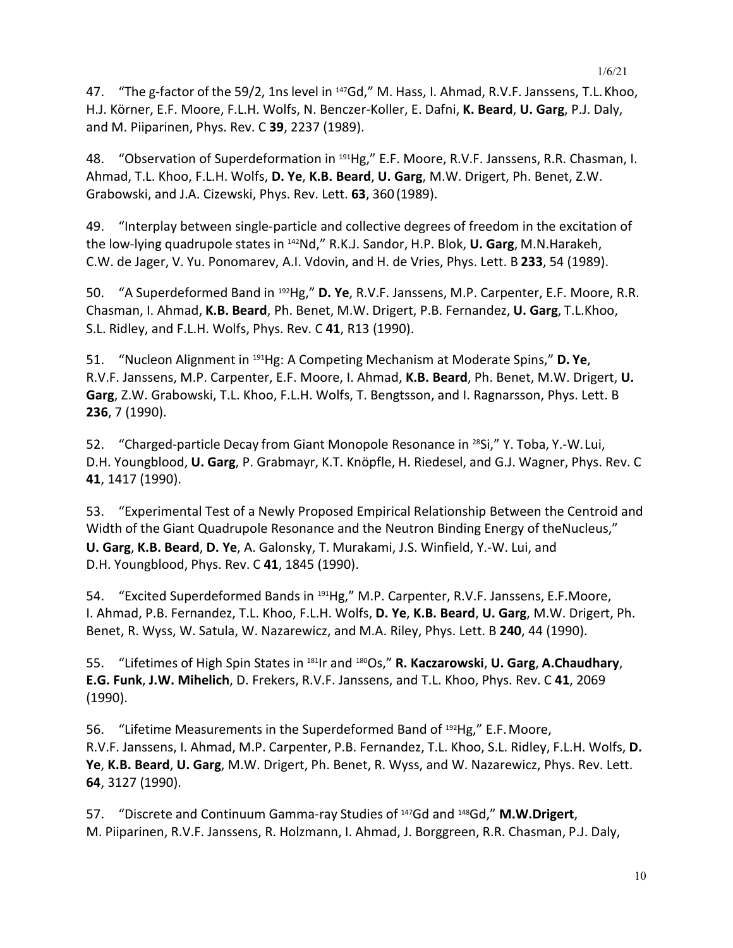47. "The g-factor of the 59/2, 1ns level in <sup>147</sup>Gd," M. Hass, I. Ahmad, R.V.F. Janssens, T.L. Khoo, H.J. Körner, E.F. Moore, F.L.H. Wolfs, N. Benczer-Koller, E. Dafni, **K. Beard**, **U. Garg**, P.J. Daly, and M. Piiparinen, Phys. Rev. C **39**, 2237 (1989).

48. "Observation of Superdeformation in <sup>191</sup>Hg," E.F. Moore, R.V.F. Janssens, R.R. Chasman, I. Ahmad, T.L. Khoo, F.L.H. Wolfs, **D. Ye**, **K.B. Beard**, **U. Garg**, M.W. Drigert, Ph. Benet, Z.W. Grabowski, and J.A. Cizewski, Phys. Rev. Lett. **63**, 360(1989).

49. "Interplay between single-particle and collective degrees of freedom in the excitation of the low-lying quadrupole states in 142Nd," R.K.J. Sandor, H.P. Blok, **U. Garg**, M.N.Harakeh, C.W. de Jager, V. Yu. Ponomarev, A.I. Vdovin, and H. de Vries, Phys. Lett. B **233**, 54 (1989).

50. "A Superdeformed Band in 192Hg," **D. Ye**, R.V.F. Janssens, M.P. Carpenter, E.F. Moore, R.R. Chasman, I. Ahmad, **K.B. Beard**, Ph. Benet, M.W. Drigert, P.B. Fernandez, **U. Garg**, T.L.Khoo, S.L. Ridley, and F.L.H. Wolfs, Phys. Rev. C **41**, R13 (1990).

51. "Nucleon Alignment in 191Hg: A Competing Mechanism at Moderate Spins," **D. Ye**, R.V.F. Janssens, M.P. Carpenter, E.F. Moore, I. Ahmad, **K.B. Beard**, Ph. Benet, M.W. Drigert, **U. Garg**, Z.W. Grabowski, T.L. Khoo, F.L.H. Wolfs, T. Bengtsson, and I. Ragnarsson, Phys. Lett. B **236**, 7 (1990).

52. "Charged-particle Decay from Giant Monopole Resonance in 28Si," Y. Toba, Y.-W.Lui, D.H. Youngblood, **U. Garg**, P. Grabmayr, K.T. Knöpfle, H. Riedesel, and G.J. Wagner, Phys. Rev. C **41**, 1417 (1990).

53. "Experimental Test of a Newly Proposed Empirical Relationship Between the Centroid and Width of the Giant Quadrupole Resonance and the Neutron Binding Energy of theNucleus," **U. Garg**, **K.B. Beard**, **D. Ye**, A. Galonsky, T. Murakami, J.S. Winfield, Y.-W. Lui, and D.H. Youngblood, Phys. Rev. C **41**, 1845 (1990).

54. "Excited Superdeformed Bands in <sup>191</sup>Hg," M.P. Carpenter, R.V.F. Janssens, E.F.Moore, I. Ahmad, P.B. Fernandez, T.L. Khoo, F.L.H. Wolfs, **D. Ye**, **K.B. Beard**, **U. Garg**, M.W. Drigert, Ph. Benet, R. Wyss, W. Satula, W. Nazarewicz, and M.A. Riley, Phys. Lett. B **240**, 44 (1990).

55. "Lifetimes of High Spin States in 181Ir and 180Os," **R. Kaczarowski**, **U. Garg**, **A.Chaudhary**, **E.G. Funk**, **J.W. Mihelich**, D. Frekers, R.V.F. Janssens, and T.L. Khoo, Phys. Rev. C **41**, 2069 (1990).

56. "Lifetime Measurements in the Superdeformed Band of <sup>192</sup>Hg," E.F. Moore, R.V.F. Janssens, I. Ahmad, M.P. Carpenter, P.B. Fernandez, T.L. Khoo, S.L. Ridley, F.L.H. Wolfs, **D. Ye**, **K.B. Beard**, **U. Garg**, M.W. Drigert, Ph. Benet, R. Wyss, and W. Nazarewicz, Phys. Rev. Lett. **64**, 3127 (1990).

57. "Discrete and Continuum Gamma-ray Studies of 147Gd and 148Gd," **M.W.Drigert**, M. Piiparinen, R.V.F. Janssens, R. Holzmann, I. Ahmad, J. Borggreen, R.R. Chasman, P.J. Daly,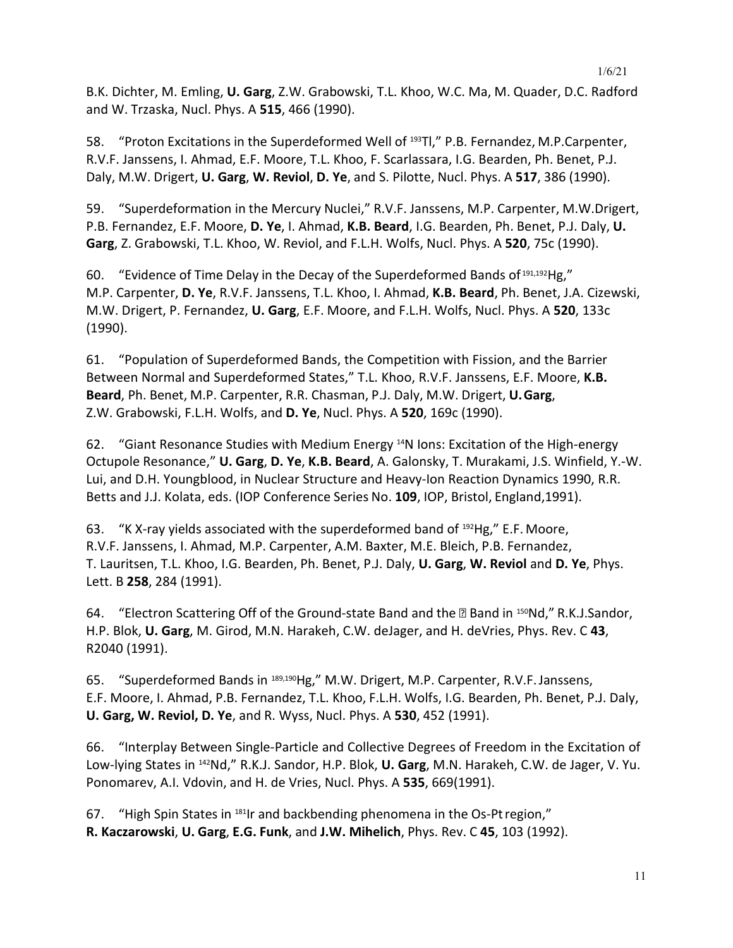B.K. Dichter, M. Emling, **U. Garg**, Z.W. Grabowski, T.L. Khoo, W.C. Ma, M. Quader, D.C. Radford and W. Trzaska, Nucl. Phys. A **515**, 466 (1990).

58. "Proton Excitations in the Superdeformed Well of 193Tl," P.B. Fernandez, M.P.Carpenter, R.V.F. Janssens, I. Ahmad, E.F. Moore, T.L. Khoo, F. Scarlassara, I.G. Bearden, Ph. Benet, P.J. Daly, M.W. Drigert, **U. Garg**, **W. Reviol**, **D. Ye**, and S. Pilotte, Nucl. Phys. A **517**, 386 (1990).

59. "Superdeformation in the Mercury Nuclei," R.V.F. Janssens, M.P. Carpenter, M.W.Drigert, P.B. Fernandez, E.F. Moore, **D. Ye**, I. Ahmad, **K.B. Beard**, I.G. Bearden, Ph. Benet, P.J. Daly, **U. Garg**, Z. Grabowski, T.L. Khoo, W. Reviol, and F.L.H. Wolfs, Nucl. Phys. A **520**, 75c (1990).

60. "Evidence of Time Delay in the Decay of the Superdeformed Bands of <sup>191,192</sup>Hg," M.P. Carpenter, **D. Ye**, R.V.F. Janssens, T.L. Khoo, I. Ahmad, **K.B. Beard**, Ph. Benet, J.A. Cizewski, M.W. Drigert, P. Fernandez, **U. Garg**, E.F. Moore, and F.L.H. Wolfs, Nucl. Phys. A **520**, 133c (1990).

61. "Population of Superdeformed Bands, the Competition with Fission, and the Barrier Between Normal and Superdeformed States," T.L. Khoo, R.V.F. Janssens, E.F. Moore, **K.B. Beard**, Ph. Benet, M.P. Carpenter, R.R. Chasman, P.J. Daly, M.W. Drigert, **U.Garg**, Z.W. Grabowski, F.L.H. Wolfs, and **D. Ye**, Nucl. Phys. A **520**, 169c (1990).

62. "Giant Resonance Studies with Medium Energy 14N Ions: Excitation of the High-energy Octupole Resonance," **U. Garg**, **D. Ye**, **K.B. Beard**, A. Galonsky, T. Murakami, J.S. Winfield, Y.-W. Lui, and D.H. Youngblood, in Nuclear Structure and Heavy-Ion Reaction Dynamics 1990, R.R. Betts and J.J. Kolata, eds. (IOP Conference Series No. **109**, IOP, Bristol, England,1991).

63. "K X-ray yields associated with the superdeformed band of 192Hg," E.F. Moore, R.V.F. Janssens, I. Ahmad, M.P. Carpenter, A.M. Baxter, M.E. Bleich, P.B. Fernandez, T. Lauritsen, T.L. Khoo, I.G. Bearden, Ph. Benet, P.J. Daly, **U. Garg**, **W. Reviol** and **D. Ye**, Phys. Lett. B **258**, 284 (1991).

64. "Electron Scattering Off of the Ground-state Band and the  $\mathbb B$  Band in <sup>150</sup>Nd," R.K.J.Sandor, H.P. Blok, **U. Garg**, M. Girod, M.N. Harakeh, C.W. deJager, and H. deVries, Phys. Rev. C **43**, R2040 (1991).

65. "Superdeformed Bands in <sup>189,190</sup>Hg," M.W. Drigert, M.P. Carpenter, R.V.F. Janssens, E.F. Moore, I. Ahmad, P.B. Fernandez, T.L. Khoo, F.L.H. Wolfs, I.G. Bearden, Ph. Benet, P.J. Daly, **U. Garg, W. Reviol, D. Ye**, and R. Wyss, Nucl. Phys. A **530**, 452 (1991).

66. "Interplay Between Single-Particle and Collective Degrees of Freedom in the Excitation of Low-lying States in 142Nd," R.K.J. Sandor, H.P. Blok, **U. Garg**, M.N. Harakeh, C.W. de Jager, V. Yu. Ponomarev, A.I. Vdovin, and H. de Vries, Nucl. Phys. A **535**, 669(1991).

67. "High Spin States in <sup>181</sup>Ir and backbending phenomena in the Os-Pt region," **R. Kaczarowski**, **U. Garg**, **E.G. Funk**, and **J.W. Mihelich**, Phys. Rev. C **45**, 103 (1992).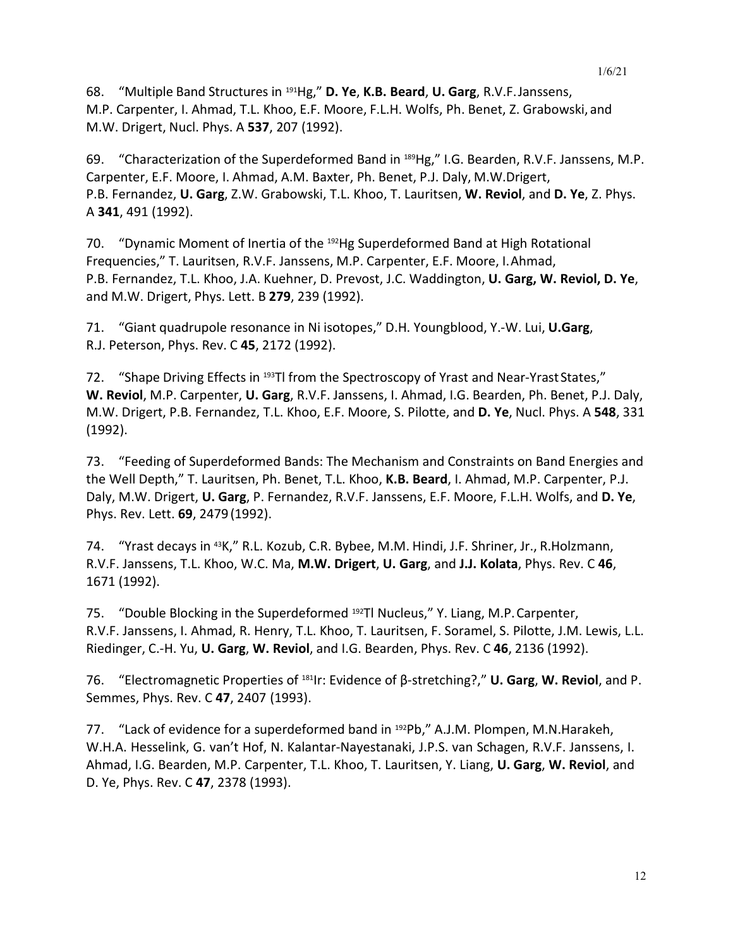68. "Multiple Band Structures in 191Hg," **D. Ye**, **K.B. Beard**, **U. Garg**, R.V.F.Janssens, M.P. Carpenter, I. Ahmad, T.L. Khoo, E.F. Moore, F.L.H. Wolfs, Ph. Benet, Z. Grabowski, and M.W. Drigert, Nucl. Phys. A **537**, 207 (1992).

69. "Characterization of the Superdeformed Band in 189Hg," I.G. Bearden, R.V.F. Janssens, M.P. Carpenter, E.F. Moore, I. Ahmad, A.M. Baxter, Ph. Benet, P.J. Daly, M.W.Drigert, P.B. Fernandez, **U. Garg**, Z.W. Grabowski, T.L. Khoo, T. Lauritsen, **W. Reviol**, and **D. Ye**, Z. Phys. A **341**, 491 (1992).

70. "Dynamic Moment of Inertia of the 192Hg Superdeformed Band at High Rotational Frequencies," T. Lauritsen, R.V.F. Janssens, M.P. Carpenter, E.F. Moore, I.Ahmad, P.B. Fernandez, T.L. Khoo, J.A. Kuehner, D. Prevost, J.C. Waddington, **U. Garg, W. Reviol, D. Ye**, and M.W. Drigert, Phys. Lett. B **279**, 239 (1992).

71. "Giant quadrupole resonance in Ni isotopes," D.H. Youngblood, Y.-W. Lui, **U.Garg**, R.J. Peterson, Phys. Rev. C **45**, 2172 (1992).

72. "Shape Driving Effects in 193TI from the Spectroscopy of Yrast and Near-Yrast States," **W. Reviol**, M.P. Carpenter, **U. Garg**, R.V.F. Janssens, I. Ahmad, I.G. Bearden, Ph. Benet, P.J. Daly, M.W. Drigert, P.B. Fernandez, T.L. Khoo, E.F. Moore, S. Pilotte, and **D. Ye**, Nucl. Phys. A **548**, 331 (1992).

73. "Feeding of Superdeformed Bands: The Mechanism and Constraints on Band Energies and the Well Depth," T. Lauritsen, Ph. Benet, T.L. Khoo, **K.B. Beard**, I. Ahmad, M.P. Carpenter, P.J. Daly, M.W. Drigert, **U. Garg**, P. Fernandez, R.V.F. Janssens, E.F. Moore, F.L.H. Wolfs, and **D. Ye**, Phys. Rev. Lett. **69**, 2479(1992).

74. "Yrast decays in 43K," R.L. Kozub, C.R. Bybee, M.M. Hindi, J.F. Shriner, Jr., R.Holzmann, R.V.F. Janssens, T.L. Khoo, W.C. Ma, **M.W. Drigert**, **U. Garg**, and **J.J. Kolata**, Phys. Rev. C **46**, 1671 (1992).

75. "Double Blocking in the Superdeformed 192Tl Nucleus," Y. Liang, M.P.Carpenter, R.V.F. Janssens, I. Ahmad, R. Henry, T.L. Khoo, T. Lauritsen, F. Soramel, S. Pilotte, J.M. Lewis, L.L. Riedinger, C.-H. Yu, **U. Garg**, **W. Reviol**, and I.G. Bearden, Phys. Rev. C **46**, 2136 (1992).

76. "Electromagnetic Properties of 181Ir: Evidence of β-stretching?," **U. Garg**, **W. Reviol**, and P. Semmes, Phys. Rev. C **47**, 2407 (1993).

77. "Lack of evidence for a superdeformed band in <sup>192</sup>Pb," A.J.M. Plompen, M.N.Harakeh, W.H.A. Hesselink, G. van't Hof, N. Kalantar-Nayestanaki, J.P.S. van Schagen, R.V.F. Janssens, I. Ahmad, I.G. Bearden, M.P. Carpenter, T.L. Khoo, T. Lauritsen, Y. Liang, **U. Garg**, **W. Reviol**, and D. Ye, Phys. Rev. C **47**, 2378 (1993).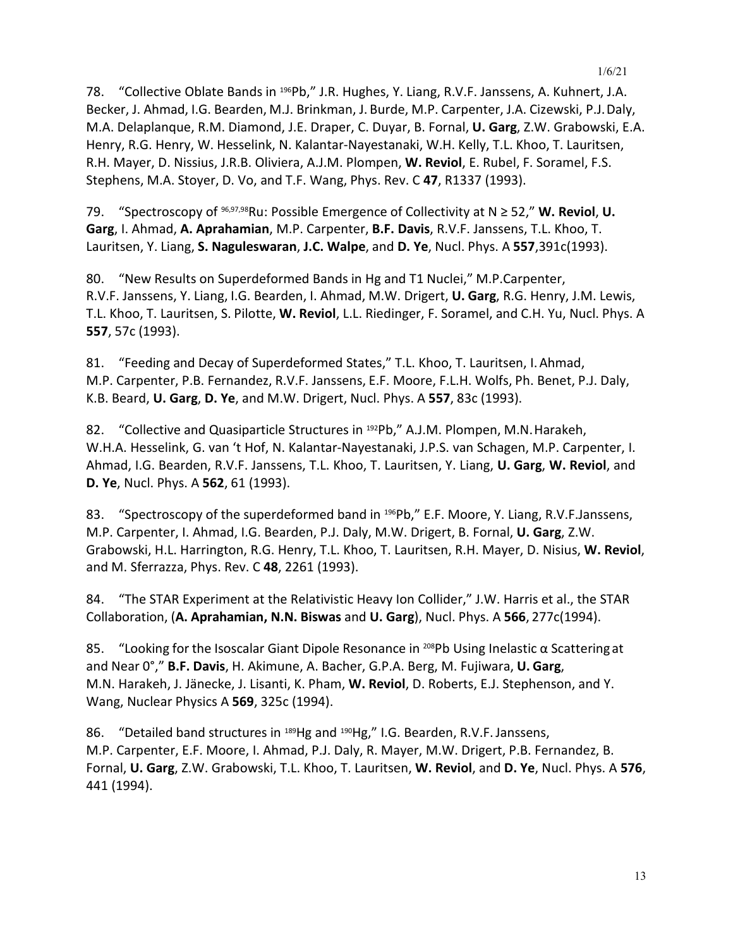78. "Collective Oblate Bands in <sup>196</sup>Pb," J.R. Hughes, Y. Liang, R.V.F. Janssens, A. Kuhnert, J.A. Becker, J. Ahmad, I.G. Bearden, M.J. Brinkman, J. Burde, M.P. Carpenter, J.A. Cizewski, P.J.Daly, M.A. Delaplanque, R.M. Diamond, J.E. Draper, C. Duyar, B. Fornal, **U. Garg**, Z.W. Grabowski, E.A. Henry, R.G. Henry, W. Hesselink, N. Kalantar-Nayestanaki, W.H. Kelly, T.L. Khoo, T. Lauritsen, R.H. Mayer, D. Nissius, J.R.B. Oliviera, A.J.M. Plompen, **W. Reviol**, E. Rubel, F. Soramel, F.S. Stephens, M.A. Stoyer, D. Vo, and T.F. Wang, Phys. Rev. C **47**, R1337 (1993).

79. "Spectroscopy of 96,97,98Ru: Possible Emergence of Collectivity at N ≥ 52," **W. Reviol**, **U. Garg**, I. Ahmad, **A. Aprahamian**, M.P. Carpenter, **B.F. Davis**, R.V.F. Janssens, T.L. Khoo, T. Lauritsen, Y. Liang, **S. Naguleswaran**, **J.C. Walpe**, and **D. Ye**, Nucl. Phys. A **557**,391c(1993).

80. "New Results on Superdeformed Bands in Hg and T1 Nuclei," M.P.Carpenter, R.V.F. Janssens, Y. Liang, I.G. Bearden, I. Ahmad, M.W. Drigert, **U. Garg**, R.G. Henry, J.M. Lewis, T.L. Khoo, T. Lauritsen, S. Pilotte, **W. Reviol**, L.L. Riedinger, F. Soramel, and C.H. Yu, Nucl. Phys. A **557**, 57c (1993).

81. "Feeding and Decay of Superdeformed States," T.L. Khoo, T. Lauritsen, I.Ahmad, M.P. Carpenter, P.B. Fernandez, R.V.F. Janssens, E.F. Moore, F.L.H. Wolfs, Ph. Benet, P.J. Daly, K.B. Beard, **U. Garg**, **D. Ye**, and M.W. Drigert, Nucl. Phys. A **557**, 83c (1993).

82. "Collective and Quasiparticle Structures in <sup>192</sup>Pb," A.J.M. Plompen, M.N. Harakeh, W.H.A. Hesselink, G. van 't Hof, N. Kalantar-Nayestanaki, J.P.S. van Schagen, M.P. Carpenter, I. Ahmad, I.G. Bearden, R.V.F. Janssens, T.L. Khoo, T. Lauritsen, Y. Liang, **U. Garg**, **W. Reviol**, and **D. Ye**, Nucl. Phys. A **562**, 61 (1993).

83. "Spectroscopy of the superdeformed band in <sup>196</sup>Pb," E.F. Moore, Y. Liang, R.V.F.Janssens, M.P. Carpenter, I. Ahmad, I.G. Bearden, P.J. Daly, M.W. Drigert, B. Fornal, **U. Garg**, Z.W. Grabowski, H.L. Harrington, R.G. Henry, T.L. Khoo, T. Lauritsen, R.H. Mayer, D. Nisius, **W. Reviol**, and M. Sferrazza, Phys. Rev. C **48**, 2261 (1993).

84. "The STAR Experiment at the Relativistic Heavy Ion Collider," J.W. Harris et al., the STAR Collaboration, (**A. Aprahamian, N.N. Biswas** and **U. Garg**), Nucl. Phys. A **566**, 277c(1994).

85. "Looking for the Isoscalar Giant Dipole Resonance in <sup>208</sup>Pb Using Inelastic  $\alpha$  Scattering at and Near 0°," **B.F. Davis**, H. Akimune, A. Bacher, G.P.A. Berg, M. Fujiwara, **U. Garg**, M.N. Harakeh, J. Jänecke, J. Lisanti, K. Pham, **W. Reviol**, D. Roberts, E.J. Stephenson, and Y. Wang, Nuclear Physics A **569**, 325c (1994).

86. "Detailed band structures in <sup>189</sup>Hg and <sup>190</sup>Hg," I.G. Bearden, R.V.F. Janssens, M.P. Carpenter, E.F. Moore, I. Ahmad, P.J. Daly, R. Mayer, M.W. Drigert, P.B. Fernandez, B. Fornal, **U. Garg**, Z.W. Grabowski, T.L. Khoo, T. Lauritsen, **W. Reviol**, and **D. Ye**, Nucl. Phys. A **576**, 441 (1994).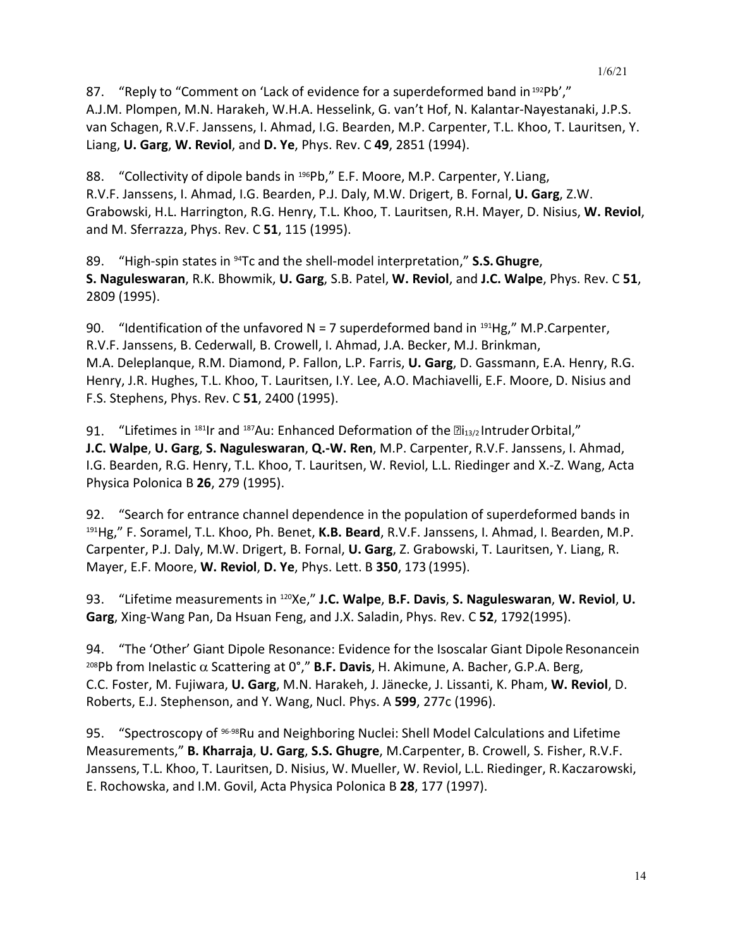87. "Reply to "Comment on 'Lack of evidence for a superdeformed band in 192Pb'," A.J.M. Plompen, M.N. Harakeh, W.H.A. Hesselink, G. van't Hof, N. Kalantar-Nayestanaki, J.P.S. van Schagen, R.V.F. Janssens, I. Ahmad, I.G. Bearden, M.P. Carpenter, T.L. Khoo, T. Lauritsen, Y. Liang, **U. Garg**, **W. Reviol**, and **D. Ye**, Phys. Rev. C **49**, 2851 (1994).

88. "Collectivity of dipole bands in <sup>196</sup>Pb," E.F. Moore, M.P. Carpenter, Y. Liang, R.V.F. Janssens, I. Ahmad, I.G. Bearden, P.J. Daly, M.W. Drigert, B. Fornal, **U. Garg**, Z.W. Grabowski, H.L. Harrington, R.G. Henry, T.L. Khoo, T. Lauritsen, R.H. Mayer, D. Nisius, **W. Reviol**, and M. Sferrazza, Phys. Rev. C **51**, 115 (1995).

89. "High-spin states in 94Tc and the shell-model interpretation," **S.S.Ghugre**, **S. Naguleswaran**, R.K. Bhowmik, **U. Garg**, S.B. Patel, **W. Reviol**, and **J.C. Walpe**, Phys. Rev. C **51**, 2809 (1995).

90. "Identification of the unfavored  $N = 7$  superdeformed band in  $191$ Hg," M.P.Carpenter, R.V.F. Janssens, B. Cederwall, B. Crowell, I. Ahmad, J.A. Becker, M.J. Brinkman, M.A. Deleplanque, R.M. Diamond, P. Fallon, L.P. Farris, **U. Garg**, D. Gassmann, E.A. Henry, R.G. Henry, J.R. Hughes, T.L. Khoo, T. Lauritsen, I.Y. Lee, A.O. Machiavelli, E.F. Moore, D. Nisius and F.S. Stephens, Phys. Rev. C **51**, 2400 (1995).

91. "Lifetimes in <sup>181</sup>Ir and <sup>187</sup>Au: Enhanced Deformation of the  $\mathbb{E}$ <sub>13/2</sub> Intruder Orbital," **J.C. Walpe**, **U. Garg**, **S. Naguleswaran**, **Q.-W. Ren**, M.P. Carpenter, R.V.F. Janssens, I. Ahmad, I.G. Bearden, R.G. Henry, T.L. Khoo, T. Lauritsen, W. Reviol, L.L. Riedinger and X.-Z. Wang, Acta Physica Polonica B **26**, 279 (1995).

92. "Search for entrance channel dependence in the population of superdeformed bands in 191Hg," F. Soramel, T.L. Khoo, Ph. Benet, **K.B. Beard**, R.V.F. Janssens, I. Ahmad, I. Bearden, M.P. Carpenter, P.J. Daly, M.W. Drigert, B. Fornal, **U. Garg**, Z. Grabowski, T. Lauritsen, Y. Liang, R. Mayer, E.F. Moore, **W. Reviol**, **D. Ye**, Phys. Lett. B **350**, 173 (1995).

93. "Lifetime measurements in 120Xe," **J.C. Walpe**, **B.F. Davis**, **S. Naguleswaran**, **W. Reviol**, **U. Garg**, Xing-Wang Pan, Da Hsuan Feng, and J.X. Saladin, Phys. Rev. C **52**, 1792(1995).

94. "The 'Other' Giant Dipole Resonance: Evidence for the Isoscalar Giant Dipole Resonancein 208Pb from Inelastic α Scattering at 0°," **B.F. Davis**, H. Akimune, A. Bacher, G.P.A. Berg, C.C. Foster, M. Fujiwara, **U. Garg**, M.N. Harakeh, J. Jänecke, J. Lissanti, K. Pham, **W. Reviol**, D. Roberts, E.J. Stephenson, and Y. Wang, Nucl. Phys. A **599**, 277c (1996).

95. "Spectroscopy of <sup>96-98</sup>Ru and Neighboring Nuclei: Shell Model Calculations and Lifetime Measurements," **B. Kharraja**, **U. Garg**, **S.S. Ghugre**, M.Carpenter, B. Crowell, S. Fisher, R.V.F. Janssens, T.L. Khoo, T. Lauritsen, D. Nisius, W. Mueller, W. Reviol, L.L. Riedinger, R.Kaczarowski, E. Rochowska, and I.M. Govil, Acta Physica Polonica B **28**, 177 (1997).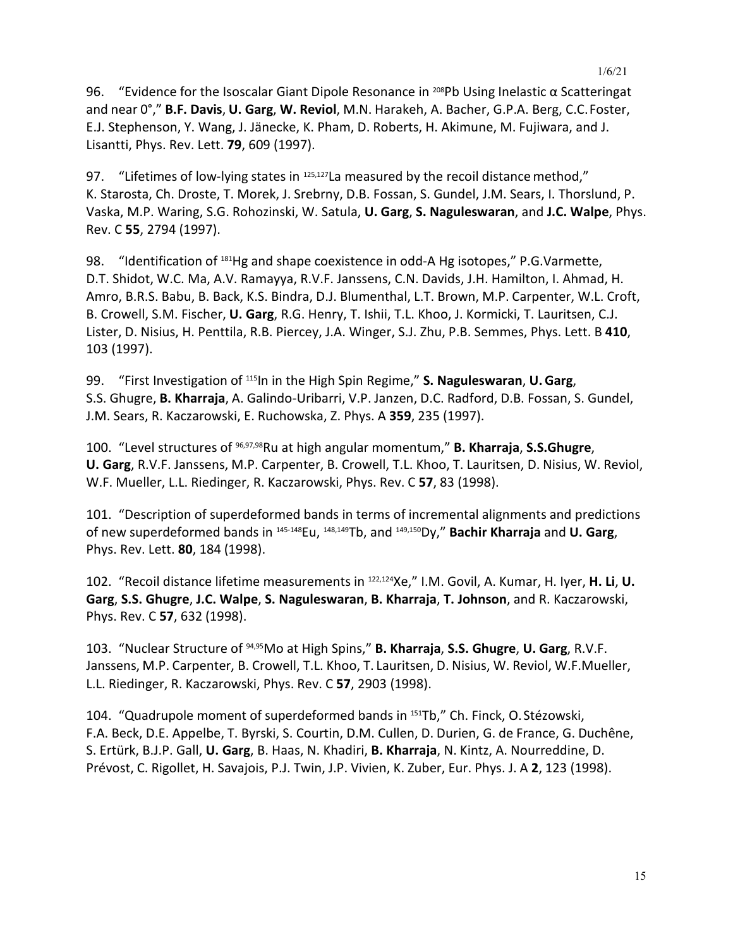96. "Evidence for the Isoscalar Giant Dipole Resonance in <sup>208</sup>Pb Using Inelastic  $\alpha$  Scatteringat and near 0°," **B.F. Davis**, **U. Garg**, **W. Reviol**, M.N. Harakeh, A. Bacher, G.P.A. Berg, C.C.Foster, E.J. Stephenson, Y. Wang, J. Jänecke, K. Pham, D. Roberts, H. Akimune, M. Fujiwara, and J. Lisantti, Phys. Rev. Lett. **79**, 609 (1997).

97. "Lifetimes of low-lying states in <sup>125,127</sup>La measured by the recoil distance method," K. Starosta, Ch. Droste, T. Morek, J. Srebrny, D.B. Fossan, S. Gundel, J.M. Sears, I. Thorslund, P. Vaska, M.P. Waring, S.G. Rohozinski, W. Satula, **U. Garg**, **S. Naguleswaran**, and **J.C. Walpe**, Phys. Rev. C **55**, 2794 (1997).

98. "Identification of 181Hg and shape coexistence in odd-A Hg isotopes," P.G.Varmette, D.T. Shidot, W.C. Ma, A.V. Ramayya, R.V.F. Janssens, C.N. Davids, J.H. Hamilton, I. Ahmad, H. Amro, B.R.S. Babu, B. Back, K.S. Bindra, D.J. Blumenthal, L.T. Brown, M.P. Carpenter, W.L. Croft, B. Crowell, S.M. Fischer, **U. Garg**, R.G. Henry, T. Ishii, T.L. Khoo, J. Kormicki, T. Lauritsen, C.J. Lister, D. Nisius, H. Penttila, R.B. Piercey, J.A. Winger, S.J. Zhu, P.B. Semmes, Phys. Lett. B **410**, 103 (1997).

99. "First Investigation of 115In in the High Spin Regime," **S. Naguleswaran**, **U.Garg**, S.S. Ghugre, **B. Kharraja**, A. Galindo-Uribarri, V.P. Janzen, D.C. Radford, D.B. Fossan, S. Gundel, J.M. Sears, R. Kaczarowski, E. Ruchowska, Z. Phys. A **359**, 235 (1997).

100. "Level structures of 96,97,98Ru at high angular momentum," **B. Kharraja**, **S.S.Ghugre**, **U. Garg**, R.V.F. Janssens, M.P. Carpenter, B. Crowell, T.L. Khoo, T. Lauritsen, D. Nisius, W. Reviol, W.F. Mueller, L.L. Riedinger, R. Kaczarowski, Phys. Rev. C **57**, 83 (1998).

101. "Description of superdeformed bands in terms of incremental alignments and predictions of new superdeformed bands in 145-148Eu, 148,149Tb, and 149,150Dy," **Bachir Kharraja** and **U. Garg**, Phys. Rev. Lett. **80**, 184 (1998).

102. "Recoil distance lifetime measurements in 122,124Xe," I.M. Govil, A. Kumar, H. Iyer, **H. Li**, **U. Garg**, **S.S. Ghugre**, **J.C. Walpe**, **S. Naguleswaran**, **B. Kharraja**, **T. Johnson**, and R. Kaczarowski, Phys. Rev. C **57**, 632 (1998).

103. "Nuclear Structure of 94,95Mo at High Spins," **B. Kharraja**, **S.S. Ghugre**, **U. Garg**, R.V.F. Janssens, M.P. Carpenter, B. Crowell, T.L. Khoo, T. Lauritsen, D. Nisius, W. Reviol, W.F.Mueller, L.L. Riedinger, R. Kaczarowski, Phys. Rev. C **57**, 2903 (1998).

104. "Quadrupole moment of superdeformed bands in 151Tb," Ch. Finck, O. Stézowski, F.A. Beck, D.E. Appelbe, T. Byrski, S. Courtin, D.M. Cullen, D. Durien, G. de France, G. Duchêne, S. Ertürk, B.J.P. Gall, **U. Garg**, B. Haas, N. Khadiri, **B. Kharraja**, N. Kintz, A. Nourreddine, D. Prévost, C. Rigollet, H. Savajois, P.J. Twin, J.P. Vivien, K. Zuber, Eur. Phys. J. A **2**, 123 (1998).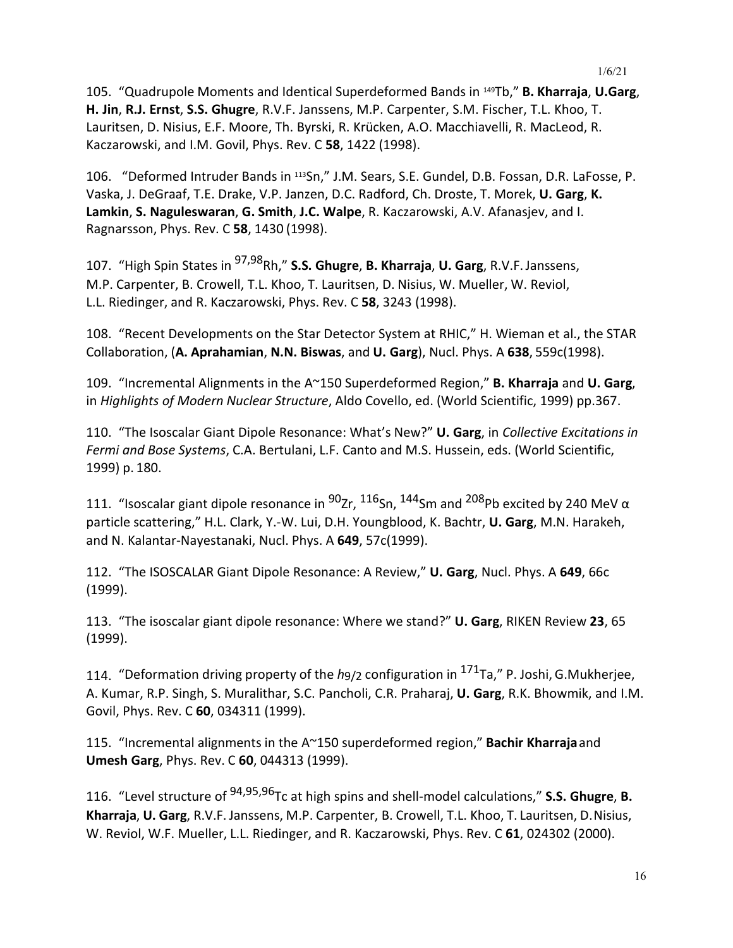105. "Quadrupole Moments and Identical Superdeformed Bands in 149Tb," **B. Kharraja**, **U.Garg**, **H. Jin**, **R.J. Ernst**, **S.S. Ghugre**, R.V.F. Janssens, M.P. Carpenter, S.M. Fischer, T.L. Khoo, T. Lauritsen, D. Nisius, E.F. Moore, Th. Byrski, R. Krücken, A.O. Macchiavelli, R. MacLeod, R. Kaczarowski, and I.M. Govil, Phys. Rev. C **58**, 1422 (1998).

106. "Deformed Intruder Bands in 113Sn," J.M. Sears, S.E. Gundel, D.B. Fossan, D.R. LaFosse, P. Vaska, J. DeGraaf, T.E. Drake, V.P. Janzen, D.C. Radford, Ch. Droste, T. Morek, **U. Garg**, **K. Lamkin**, **S. Naguleswaran**, **G. Smith**, **J.C. Walpe**, R. Kaczarowski, A.V. Afanasjev, and I. Ragnarsson, Phys. Rev. C **58**, 1430 (1998).

107. "High Spin States in 97,98Rh," **S.S. Ghugre**, **B. Kharraja**, **U. Garg**, R.V.F.Janssens, M.P. Carpenter, B. Crowell, T.L. Khoo, T. Lauritsen, D. Nisius, W. Mueller, W. Reviol, L.L. Riedinger, and R. Kaczarowski, Phys. Rev. C **58**, 3243 (1998).

108. "Recent Developments on the Star Detector System at RHIC," H. Wieman et al., the STAR Collaboration, (**A. Aprahamian**, **N.N. Biswas**, and **U. Garg**), Nucl. Phys. A **638**, 559c(1998).

109. "Incremental Alignments in the A~150 Superdeformed Region," **B. Kharraja** and **U. Garg**, in *Highlights of Modern Nuclear Structure*, Aldo Covello, ed. (World Scientific, 1999) pp.367.

110. "The Isoscalar Giant Dipole Resonance: What's New?" **U. Garg**, in *Collective Excitations in Fermi and Bose Systems*, C.A. Bertulani, L.F. Canto and M.S. Hussein, eds. (World Scientific, 1999) p. 180.

111. "Isoscalar giant dipole resonance in  $^{90}$ Zr,  $^{116}$ Sn,  $^{144}$ Sm and  $^{208}$ Pb excited by 240 MeV  $\alpha$ particle scattering," H.L. Clark, Y.-W. Lui, D.H. Youngblood, K. Bachtr, **U. Garg**, M.N. Harakeh, and N. Kalantar-Nayestanaki, Nucl. Phys. A **649**, 57c(1999).

112. "The ISOSCALAR Giant Dipole Resonance: A Review," **U. Garg**, Nucl. Phys. A **649**, 66c (1999).

113. "The isoscalar giant dipole resonance: Where we stand?" **U. Garg**, RIKEN Review **23**, 65 (1999).

114. "Deformation driving property of the *h*9/2 configuration in 171Ta," P. Joshi, G.Mukherjee, A. Kumar, R.P. Singh, S. Muralithar, S.C. Pancholi, C.R. Praharaj, **U. Garg**, R.K. Bhowmik, and I.M. Govil, Phys. Rev. C **60**, 034311 (1999).

115. "Incremental alignments in the A~150 superdeformed region," **Bachir Kharraja**and **Umesh Garg**, Phys. Rev. C **60**, 044313 (1999).

116. "Level structure of 94,95,96Tc at high spins and shell-model calculations," **S.S. Ghugre**, **B. Kharraja**, **U. Garg**, R.V.F. Janssens, M.P. Carpenter, B. Crowell, T.L. Khoo, T. Lauritsen, D.Nisius, W. Reviol, W.F. Mueller, L.L. Riedinger, and R. Kaczarowski, Phys. Rev. C **61**, 024302 (2000).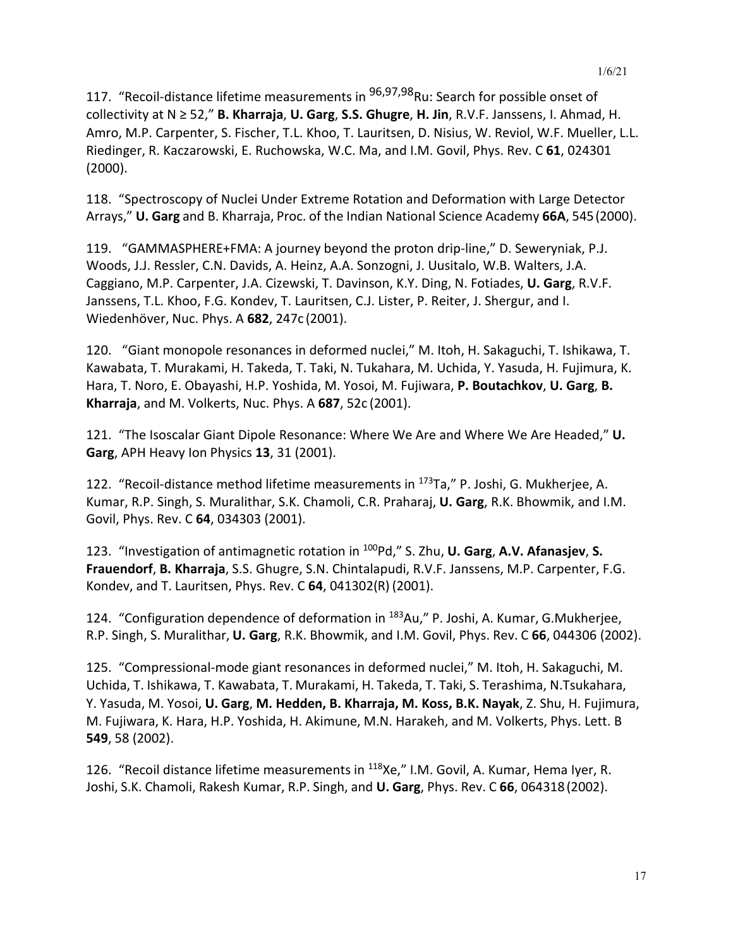117. "Recoil-distance lifetime measurements in <sup>96,97,98</sup>Ru: Search for possible onset of collectivity at N ≥ 52," **B. Kharraja**, **U. Garg**, **S.S. Ghugre**, **H. Jin**, R.V.F. Janssens, I. Ahmad, H. Amro, M.P. Carpenter, S. Fischer, T.L. Khoo, T. Lauritsen, D. Nisius, W. Reviol, W.F. Mueller, L.L. Riedinger, R. Kaczarowski, E. Ruchowska, W.C. Ma, and I.M. Govil, Phys. Rev. C **61**, 024301 (2000).

118. "Spectroscopy of Nuclei Under Extreme Rotation and Deformation with Large Detector Arrays," **U. Garg** and B. Kharraja, Proc. of the Indian National Science Academy **66A**, 545(2000).

119. "GAMMASPHERE+FMA: A journey beyond the proton drip-line," D. Seweryniak, P.J. Woods, J.J. Ressler, C.N. Davids, A. Heinz, A.A. Sonzogni, J. Uusitalo, W.B. Walters, J.A. Caggiano, M.P. Carpenter, J.A. Cizewski, T. Davinson, K.Y. Ding, N. Fotiades, **U. Garg**, R.V.F. Janssens, T.L. Khoo, F.G. Kondev, T. Lauritsen, C.J. Lister, P. Reiter, J. Shergur, and I. Wiedenhöver, Nuc. Phys. A **682**, 247c (2001).

120. "Giant monopole resonances in deformed nuclei," M. Itoh, H. Sakaguchi, T. Ishikawa, T. Kawabata, T. Murakami, H. Takeda, T. Taki, N. Tukahara, M. Uchida, Y. Yasuda, H. Fujimura, K. Hara, T. Noro, E. Obayashi, H.P. Yoshida, M. Yosoi, M. Fujiwara, **P. Boutachkov**, **U. Garg**, **B. Kharraja**, and M. Volkerts, Nuc. Phys. A **687**, 52c (2001).

121. "The Isoscalar Giant Dipole Resonance: Where We Are and Where We Are Headed," **U. Garg**, APH Heavy Ion Physics **13**, 31 (2001).

122. "Recoil-distance method lifetime measurements in 173Ta," P. Joshi, G. Mukherjee, A. Kumar, R.P. Singh, S. Muralithar, S.K. Chamoli, C.R. Praharaj, **U. Garg**, R.K. Bhowmik, and I.M. Govil, Phys. Rev. C **64**, 034303 (2001).

123. "Investigation of antimagnetic rotation in 100Pd," S. Zhu, **U. Garg**, **A.V. Afanasjev**, **S. Frauendorf**, **B. Kharraja**, S.S. Ghugre, S.N. Chintalapudi, R.V.F. Janssens, M.P. Carpenter, F.G. Kondev, and T. Lauritsen, Phys. Rev. C **64**, 041302(R) (2001).

124. "Configuration dependence of deformation in 183Au," P. Joshi, A. Kumar, G.Mukherjee, R.P. Singh, S. Muralithar, **U. Garg**, R.K. Bhowmik, and I.M. Govil, Phys. Rev. C **66**, 044306 (2002).

125. "Compressional-mode giant resonances in deformed nuclei," M. Itoh, H. Sakaguchi, M. Uchida, T. Ishikawa, T. Kawabata, T. Murakami, H. Takeda, T. Taki, S. Terashima, N.Tsukahara, Y. Yasuda, M. Yosoi, **U. Garg**, **M. Hedden, B. Kharraja, M. Koss, B.K. Nayak**, Z. Shu, H. Fujimura, M. Fujiwara, K. Hara, H.P. Yoshida, H. Akimune, M.N. Harakeh, and M. Volkerts, Phys. Lett. B **549**, 58 (2002).

126. "Recoil distance lifetime measurements in <sup>118</sup>Xe," I.M. Govil, A. Kumar, Hema Iyer, R. Joshi, S.K. Chamoli, Rakesh Kumar, R.P. Singh, and **U. Garg**, Phys. Rev. C **66**, 064318(2002).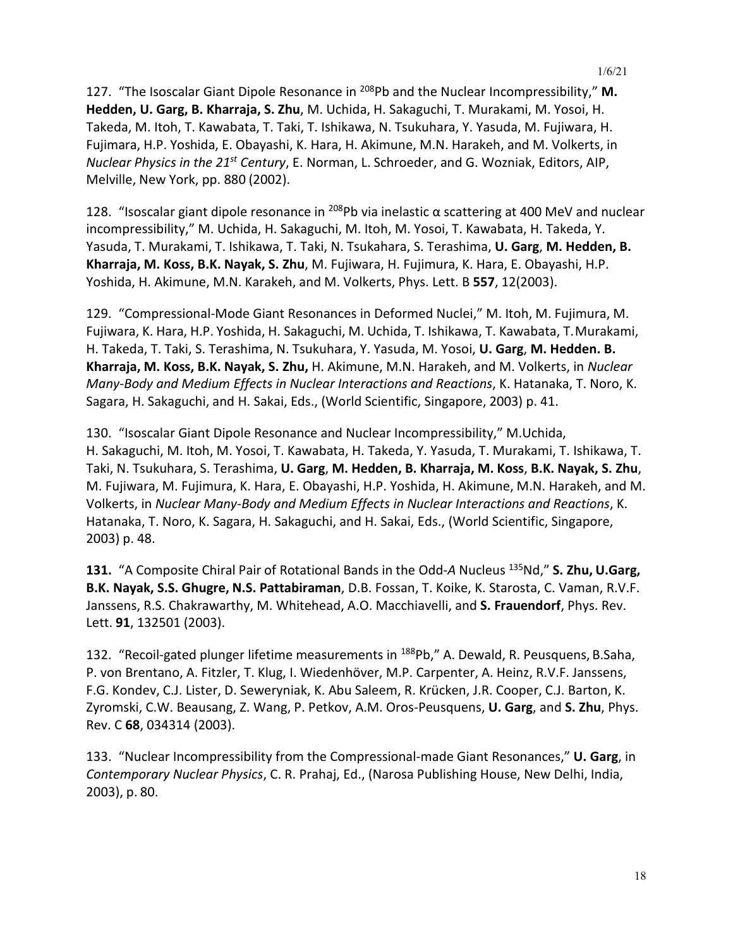127. "The Isoscalar Giant Dipole Resonance in 208Pb and the Nuclear Incompressibility," **M. Hedden, U. Garg, B. Kharraja, S. Zhu**, M. Uchida, H. Sakaguchi, T. Murakami, M. Yosoi, H. Takeda, M. Itoh, T. Kawabata, T. Taki, T. Ishikawa, N. Tsukuhara, Y. Yasuda, M. Fujiwara, H. Fujimara, H.P. Yoshida, E. Obayashi, K. Hara, H. Akimune, M.N. Harakeh, and M. Volkerts, in *Nuclear Physics in the 21st Century*, E. Norman, L. Schroeder, and G. Wozniak, Editors, AIP, Melville, New York, pp. 880 (2002).

128. "Isoscalar giant dipole resonance in <sup>208</sup>Pb via inelastic  $\alpha$  scattering at 400 MeV and nuclear incompressibility," M. Uchida, H. Sakaguchi, M. Itoh, M. Yosoi, T. Kawabata, H. Takeda, Y. Yasuda, T. Murakami, T. Ishikawa, T. Taki, N. Tsukahara, S. Terashima, **U. Garg**, **M. Hedden, B. Kharraja, M. Koss, B.K. Nayak, S. Zhu**, M. Fujiwara, H. Fujimura, K. Hara, E. Obayashi, H.P. Yoshida, H. Akimune, M.N. Karakeh, and M. Volkerts, Phys. Lett. B **557**, 12(2003).

129. "Compressional-Mode Giant Resonances in Deformed Nuclei," M. Itoh, M. Fujimura, M. Fujiwara, K. Hara, H.P. Yoshida, H. Sakaguchi, M. Uchida, T. Ishikawa, T. Kawabata, T.Murakami, H. Takeda, T. Taki, S. Terashima, N. Tsukuhara, Y. Yasuda, M. Yosoi, **U. Garg**, **M. Hedden. B. Kharraja, M. Koss, B.K. Nayak, S. Zhu,** H. Akimune, M.N. Harakeh, and M. Volkerts, in *Nuclear Many-Body and Medium Effects in Nuclear Interactions and Reactions*, K. Hatanaka, T. Noro, K. Sagara, H. Sakaguchi, and H. Sakai, Eds., (World Scientific, Singapore, 2003) p. 41.

130. "Isoscalar Giant Dipole Resonance and Nuclear Incompressibility," M.Uchida, H. Sakaguchi, M. Itoh, M. Yosoi, T. Kawabata, H. Takeda, Y. Yasuda, T. Murakami, T. Ishikawa, T. Taki, N. Tsukuhara, S. Terashima, **U. Garg**, **M. Hedden, B. Kharraja, M. Koss**, **B.K. Nayak, S. Zhu**, M. Fujiwara, M. Fujimura, K. Hara, E. Obayashi, H.P. Yoshida, H. Akimune, M.N. Harakeh, and M. Volkerts, in *Nuclear Many-Body and Medium Effects in Nuclear Interactions and Reactions*, K. Hatanaka, T. Noro, K. Sagara, H. Sakaguchi, and H. Sakai, Eds., (World Scientific, Singapore, 2003) p. 48.

**131.** "A Composite Chiral Pair of Rotational Bands in the Odd-*A* Nucleus 135Nd," **S. Zhu, U.Garg, B.K. Nayak, S.S. Ghugre, N.S. Pattabiraman**, D.B. Fossan, T. Koike, K. Starosta, C. Vaman, R.V.F. Janssens, R.S. Chakrawarthy, M. Whitehead, A.O. Macchiavelli, and **S. Frauendorf**, Phys. Rev. Lett. **91**, 132501 (2003).

132. "Recoil-gated plunger lifetime measurements in 188Pb," A. Dewald, R. Peusquens, B.Saha, P. von Brentano, A. Fitzler, T. Klug, I. Wiedenhöver, M.P. Carpenter, A. Heinz, R.V.F. Janssens, F.G. Kondev, C.J. Lister, D. Seweryniak, K. Abu Saleem, R. Krücken, J.R. Cooper, C.J. Barton, K. Zyromski, C.W. Beausang, Z. Wang, P. Petkov, A.M. Oros-Peusquens, **U. Garg**, and **S. Zhu**, Phys. Rev. C **68**, 034314 (2003).

133. "Nuclear Incompressibility from the Compressional-made Giant Resonances," **U. Garg**, in *Contemporary Nuclear Physics*, C. R. Prahaj, Ed., (Narosa Publishing House, New Delhi, India, 2003), p. 80.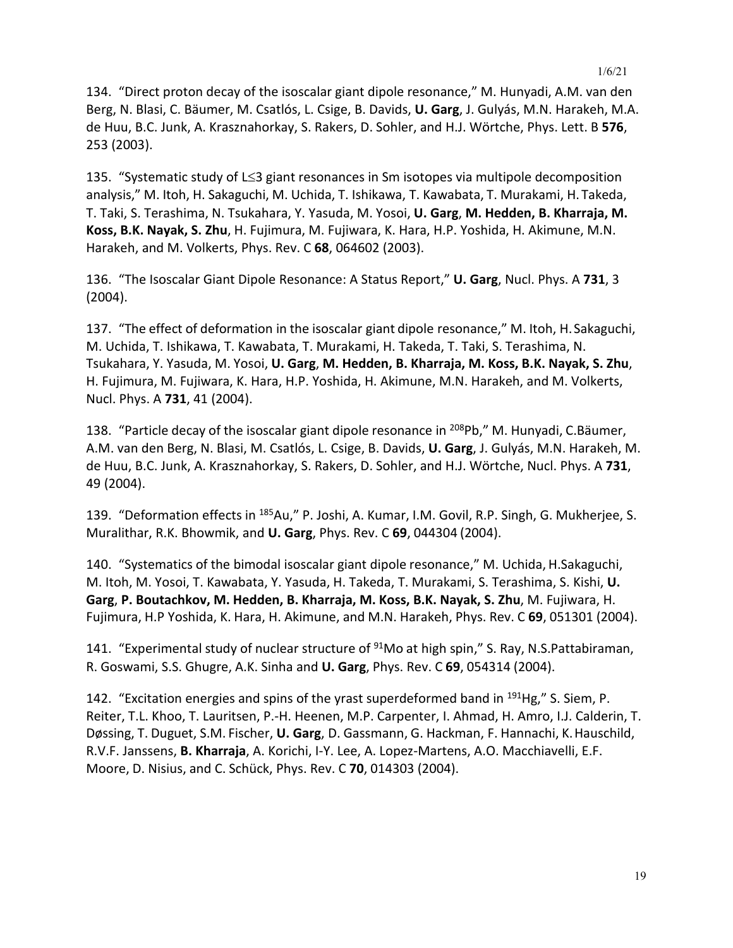134. "Direct proton decay of the isoscalar giant dipole resonance," M. Hunyadi, A.M. van den Berg, N. Blasi, C. Bäumer, M. Csatlós, L. Csige, B. Davids, **U. Garg**, J. Gulyás, M.N. Harakeh, M.A. de Huu, B.C. Junk, A. Krasznahorkay, S. Rakers, D. Sohler, and H.J. Wörtche, Phys. Lett. B **576**, 253 (2003).

135. "Systematic study of L≤3 giant resonances in Sm isotopes via multipole decomposition analysis," M. Itoh, H. Sakaguchi, M. Uchida, T. Ishikawa, T. Kawabata, T. Murakami, H. Takeda, T. Taki, S. Terashima, N. Tsukahara, Y. Yasuda, M. Yosoi, **U. Garg**, **M. Hedden, B. Kharraja, M. Koss, B.K. Nayak, S. Zhu**, H. Fujimura, M. Fujiwara, K. Hara, H.P. Yoshida, H. Akimune, M.N. Harakeh, and M. Volkerts, Phys. Rev. C **68**, 064602 (2003).

136. "The Isoscalar Giant Dipole Resonance: A Status Report," **U. Garg**, Nucl. Phys. A **731**, 3 (2004).

137. "The effect of deformation in the isoscalar giant dipole resonance," M. Itoh, H. Sakaguchi, M. Uchida, T. Ishikawa, T. Kawabata, T. Murakami, H. Takeda, T. Taki, S. Terashima, N. Tsukahara, Y. Yasuda, M. Yosoi, **U. Garg**, **M. Hedden, B. Kharraja, M. Koss, B.K. Nayak, S. Zhu**, H. Fujimura, M. Fujiwara, K. Hara, H.P. Yoshida, H. Akimune, M.N. Harakeh, and M. Volkerts, Nucl. Phys. A **731**, 41 (2004).

138. "Particle decay of the isoscalar giant dipole resonance in <sup>208</sup>Pb," M. Hunyadi, C.Bäumer, A.M. van den Berg, N. Blasi, M. Csatlós, L. Csige, B. Davids, **U. Garg**, J. Gulyás, M.N. Harakeh, M. de Huu, B.C. Junk, A. Krasznahorkay, S. Rakers, D. Sohler, and H.J. Wörtche, Nucl. Phys. A **731**, 49 (2004).

139. "Deformation effects in 185Au," P. Joshi, A. Kumar, I.M. Govil, R.P. Singh, G. Mukherjee, S. Muralithar, R.K. Bhowmik, and **U. Garg**, Phys. Rev. C **69**, 044304 (2004).

140. "Systematics of the bimodal isoscalar giant dipole resonance," M. Uchida, H.Sakaguchi, M. Itoh, M. Yosoi, T. Kawabata, Y. Yasuda, H. Takeda, T. Murakami, S. Terashima, S. Kishi, **U. Garg**, **P. Boutachkov, M. Hedden, B. Kharraja, M. Koss, B.K. Nayak, S. Zhu**, M. Fujiwara, H. Fujimura, H.P Yoshida, K. Hara, H. Akimune, and M.N. Harakeh, Phys. Rev. C **69**, 051301 (2004).

141. "Experimental study of nuclear structure of  $91$ Mo at high spin," S. Ray, N.S.Pattabiraman, R. Goswami, S.S. Ghugre, A.K. Sinha and **U. Garg**, Phys. Rev. C **69**, 054314 (2004).

142. "Excitation energies and spins of the yrast superdeformed band in  $^{191}$ Hg," S. Siem, P. Reiter, T.L. Khoo, T. Lauritsen, P.-H. Heenen, M.P. Carpenter, I. Ahmad, H. Amro, I.J. Calderin, T. Døssing, T. Duguet, S.M. Fischer, **U. Garg**, D. Gassmann, G. Hackman, F. Hannachi, K.Hauschild, R.V.F. Janssens, **B. Kharraja**, A. Korichi, I-Y. Lee, A. Lopez-Martens, A.O. Macchiavelli, E.F. Moore, D. Nisius, and C. Schück, Phys. Rev. C **70**, 014303 (2004).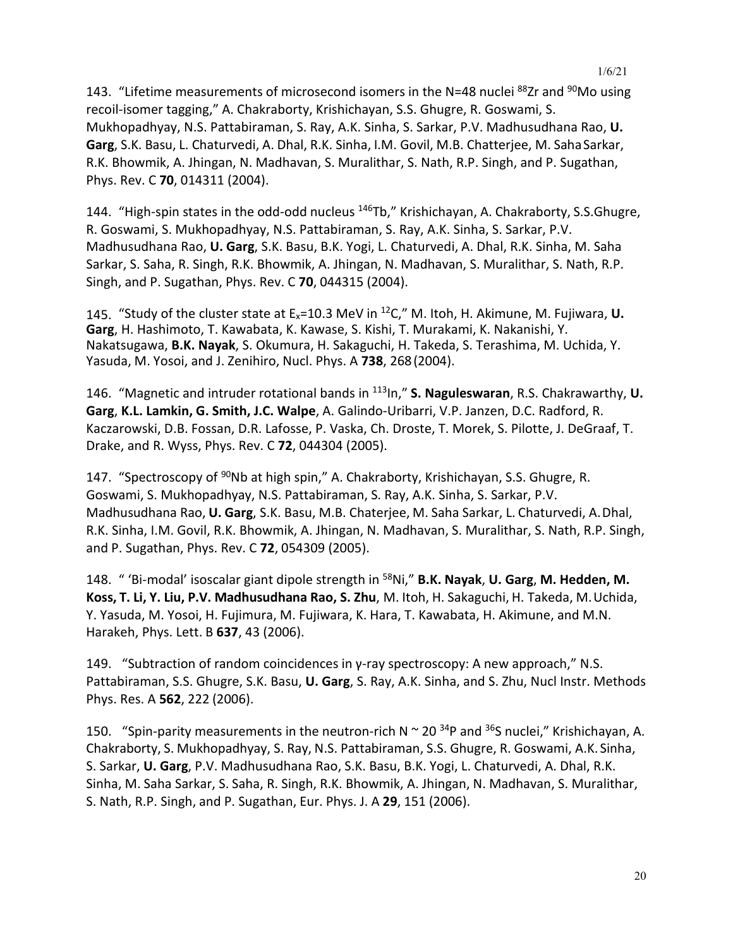143. "Lifetime measurements of microsecond isomers in the N=48 nuclei <sup>88</sup>Zr and <sup>90</sup>Mo using recoil-isomer tagging," A. Chakraborty, Krishichayan, S.S. Ghugre, R. Goswami, S. Mukhopadhyay, N.S. Pattabiraman, S. Ray, A.K. Sinha, S. Sarkar, P.V. Madhusudhana Rao, **U. Garg**, S.K. Basu, L. Chaturvedi, A. Dhal, R.K. Sinha, I.M. Govil, M.B. Chatterjee, M. SahaSarkar, R.K. Bhowmik, A. Jhingan, N. Madhavan, S. Muralithar, S. Nath, R.P. Singh, and P. Sugathan, Phys. Rev. C **70**, 014311 (2004).

144. "High-spin states in the odd-odd nucleus <sup>146</sup>Tb," Krishichayan, A. Chakraborty, S.S.Ghugre, R. Goswami, S. Mukhopadhyay, N.S. Pattabiraman, S. Ray, A.K. Sinha, S. Sarkar, P.V. Madhusudhana Rao, **U. Garg**, S.K. Basu, B.K. Yogi, L. Chaturvedi, A. Dhal, R.K. Sinha, M. Saha Sarkar, S. Saha, R. Singh, R.K. Bhowmik, A. Jhingan, N. Madhavan, S. Muralithar, S. Nath, R.P. Singh, and P. Sugathan, Phys. Rev. C **70**, 044315 (2004).

145. "Study of the cluster state at Ex=10.3 MeV in 12C," M. Itoh, H. Akimune, M. Fujiwara, **U. Garg**, H. Hashimoto, T. Kawabata, K. Kawase, S. Kishi, T. Murakami, K. Nakanishi, Y. Nakatsugawa, **B.K. Nayak**, S. Okumura, H. Sakaguchi, H. Takeda, S. Terashima, M. Uchida, Y. Yasuda, M. Yosoi, and J. Zenihiro, Nucl. Phys. A **738**, 268(2004).

146. "Magnetic and intruder rotational bands in 113In," **S. Naguleswaran**, R.S. Chakrawarthy, **U. Garg**, **K.L. Lamkin, G. Smith, J.C. Walpe**, A. Galindo-Uribarri, V.P. Janzen, D.C. Radford, R. Kaczarowski, D.B. Fossan, D.R. Lafosse, P. Vaska, Ch. Droste, T. Morek, S. Pilotte, J. DeGraaf, T. Drake, and R. Wyss, Phys. Rev. C **72**, 044304 (2005).

147. "Spectroscopy of <sup>90</sup>Nb at high spin," A. Chakraborty, Krishichayan, S.S. Ghugre, R. Goswami, S. Mukhopadhyay, N.S. Pattabiraman, S. Ray, A.K. Sinha, S. Sarkar, P.V. Madhusudhana Rao, **U. Garg**, S.K. Basu, M.B. Chaterjee, M. Saha Sarkar, L. Chaturvedi, A.Dhal, R.K. Sinha, I.M. Govil, R.K. Bhowmik, A. Jhingan, N. Madhavan, S. Muralithar, S. Nath, R.P. Singh, and P. Sugathan, Phys. Rev. C **72**, 054309 (2005).

148. " 'Bi-modal' isoscalar giant dipole strength in 58Ni," **B.K. Nayak**, **U. Garg**, **M. Hedden, M. Koss, T. Li, Y. Liu, P.V. Madhusudhana Rao, S. Zhu**, M. Itoh, H. Sakaguchi, H. Takeda, M.Uchida, Y. Yasuda, M. Yosoi, H. Fujimura, M. Fujiwara, K. Hara, T. Kawabata, H. Akimune, and M.N. Harakeh, Phys. Lett. B **637**, 43 (2006).

149. "Subtraction of random coincidences in γ-ray spectroscopy: A new approach," N.S. Pattabiraman, S.S. Ghugre, S.K. Basu, **U. Garg**, S. Ray, A.K. Sinha, and S. Zhu, Nucl Instr. Methods Phys. Res. A **562**, 222 (2006).

150. "Spin-parity measurements in the neutron-rich N  $\sim$  20 <sup>34</sup>P and <sup>36</sup>S nuclei," Krishichayan, A. Chakraborty, S. Mukhopadhyay, S. Ray, N.S. Pattabiraman, S.S. Ghugre, R. Goswami, A.K. Sinha, S. Sarkar, **U. Garg**, P.V. Madhusudhana Rao, S.K. Basu, B.K. Yogi, L. Chaturvedi, A. Dhal, R.K. Sinha, M. Saha Sarkar, S. Saha, R. Singh, R.K. Bhowmik, A. Jhingan, N. Madhavan, S. Muralithar, S. Nath, R.P. Singh, and P. Sugathan, Eur. Phys. J. A **29**, 151 (2006).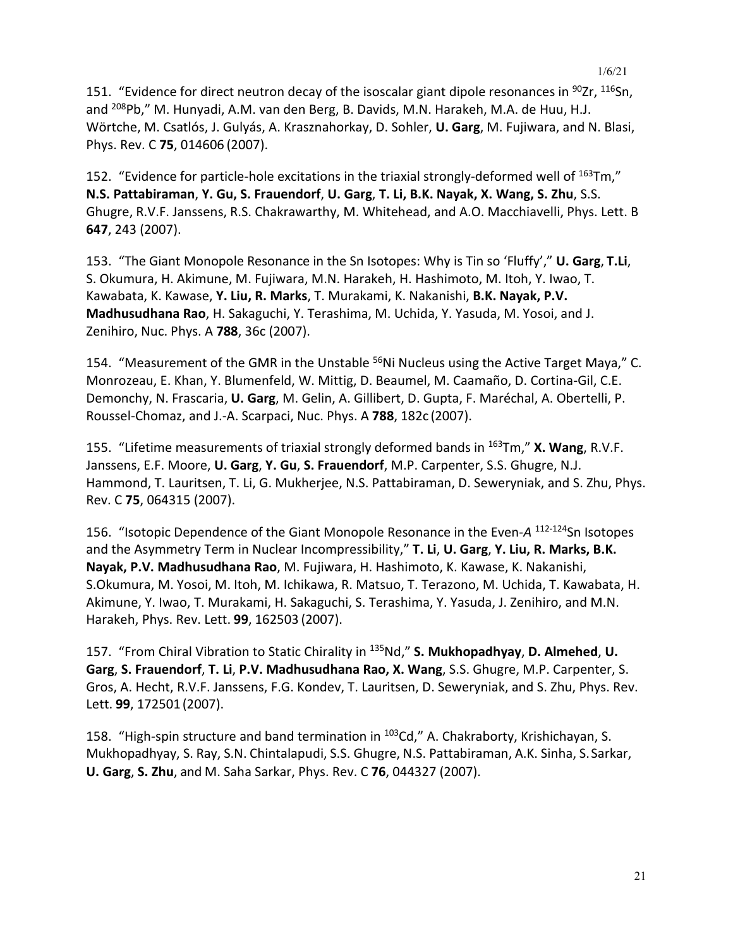151. "Evidence for direct neutron decay of the isoscalar giant dipole resonances in  $90Zr$ ,  $116Sn$ , and <sup>208</sup>Pb," M. Hunyadi, A.M. van den Berg, B. Davids, M.N. Harakeh, M.A. de Huu, H.J. Wörtche, M. Csatlós, J. Gulyás, A. Krasznahorkay, D. Sohler, **U. Garg**, M. Fujiwara, and N. Blasi, Phys. Rev. C **75**, 014606 (2007).

152. "Evidence for particle-hole excitations in the triaxial strongly-deformed well of  $^{163}$ Tm," **N.S. Pattabiraman**, **Y. Gu, S. Frauendorf**, **U. Garg**, **T. Li, B.K. Nayak, X. Wang, S. Zhu**, S.S. Ghugre, R.V.F. Janssens, R.S. Chakrawarthy, M. Whitehead, and A.O. Macchiavelli, Phys. Lett. B **647**, 243 (2007).

153. "The Giant Monopole Resonance in the Sn Isotopes: Why is Tin so 'Fluffy'," **U. Garg**, **T.Li**, S. Okumura, H. Akimune, M. Fujiwara, M.N. Harakeh, H. Hashimoto, M. Itoh, Y. Iwao, T. Kawabata, K. Kawase, **Y. Liu, R. Marks**, T. Murakami, K. Nakanishi, **B.K. Nayak, P.V. Madhusudhana Rao**, H. Sakaguchi, Y. Terashima, M. Uchida, Y. Yasuda, M. Yosoi, and J. Zenihiro, Nuc. Phys. A **788**, 36c (2007).

154. "Measurement of the GMR in the Unstable <sup>56</sup>Ni Nucleus using the Active Target Maya," C. Monrozeau, E. Khan, Y. Blumenfeld, W. Mittig, D. Beaumel, M. Caamaño, D. Cortina-Gil, C.E. Demonchy, N. Frascaria, **U. Garg**, M. Gelin, A. Gillibert, D. Gupta, F. Maréchal, A. Obertelli, P. Roussel-Chomaz, and J.-A. Scarpaci, Nuc. Phys. A **788**, 182c (2007).

155. "Lifetime measurements of triaxial strongly deformed bands in 163Tm," **X. Wang**, R.V.F. Janssens, E.F. Moore, **U. Garg**, **Y. Gu**, **S. Frauendorf**, M.P. Carpenter, S.S. Ghugre, N.J. Hammond, T. Lauritsen, T. Li, G. Mukherjee, N.S. Pattabiraman, D. Seweryniak, and S. Zhu, Phys. Rev. C **75**, 064315 (2007).

156. "Isotopic Dependence of the Giant Monopole Resonance in the Even-*A* 112-124Sn Isotopes and the Asymmetry Term in Nuclear Incompressibility," **T. Li**, **U. Garg**, **Y. Liu, R. Marks, B.K. Nayak, P.V. Madhusudhana Rao**, M. Fujiwara, H. Hashimoto, K. Kawase, K. Nakanishi, S.Okumura, M. Yosoi, M. Itoh, M. Ichikawa, R. Matsuo, T. Terazono, M. Uchida, T. Kawabata, H. Akimune, Y. Iwao, T. Murakami, H. Sakaguchi, S. Terashima, Y. Yasuda, J. Zenihiro, and M.N. Harakeh, Phys. Rev. Lett. **99**, 162503 (2007).

157. "From Chiral Vibration to Static Chirality in 135Nd," **S. Mukhopadhyay**, **D. Almehed**, **U. Garg**, **S. Frauendorf**, **T. Li**, **P.V. Madhusudhana Rao, X. Wang**, S.S. Ghugre, M.P. Carpenter, S. Gros, A. Hecht, R.V.F. Janssens, F.G. Kondev, T. Lauritsen, D. Seweryniak, and S. Zhu, Phys. Rev. Lett. **99**, 172501 (2007).

158. "High-spin structure and band termination in <sup>103</sup>Cd," A. Chakraborty, Krishichayan, S. Mukhopadhyay, S. Ray, S.N. Chintalapudi, S.S. Ghugre, N.S. Pattabiraman, A.K. Sinha, S.Sarkar, **U. Garg**, **S. Zhu**, and M. Saha Sarkar, Phys. Rev. C **76**, 044327 (2007).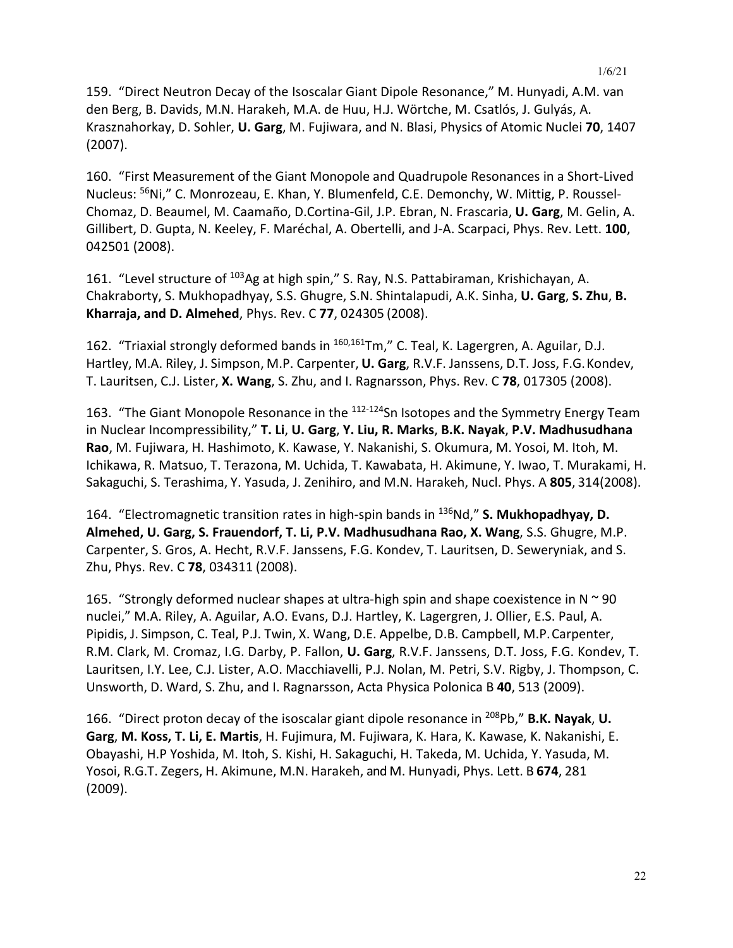159. "Direct Neutron Decay of the Isoscalar Giant Dipole Resonance," M. Hunyadi, A.M. van den Berg, B. Davids, M.N. Harakeh, M.A. de Huu, H.J. Wörtche, M. Csatlós, J. Gulyás, A. Krasznahorkay, D. Sohler, **U. Garg**, M. Fujiwara, and N. Blasi, Physics of Atomic Nuclei **70**, 1407 (2007).

160. "First Measurement of the Giant Monopole and Quadrupole Resonances in a Short-Lived Nucleus: <sup>56</sup>Ni," C. Monrozeau, E. Khan, Y. Blumenfeld, C.E. Demonchy, W. Mittig, P. Roussel-Chomaz, D. Beaumel, M. Caamaño, D.Cortina-Gil, J.P. Ebran, N. Frascaria, **U. Garg**, M. Gelin, A. Gillibert, D. Gupta, N. Keeley, F. Maréchal, A. Obertelli, and J-A. Scarpaci, Phys. Rev. Lett. **100**, 042501 (2008).

161. "Level structure of 103Ag at high spin," S. Ray, N.S. Pattabiraman, Krishichayan, A. Chakraborty, S. Mukhopadhyay, S.S. Ghugre, S.N. Shintalapudi, A.K. Sinha, **U. Garg**, **S. Zhu**, **B. Kharraja, and D. Almehed**, Phys. Rev. C **77**, 024305 (2008).

162. "Triaxial strongly deformed bands in <sup>160,161</sup>Tm," C. Teal, K. Lagergren, A. Aguilar, D.J. Hartley, M.A. Riley, J. Simpson, M.P. Carpenter, **U. Garg**, R.V.F. Janssens, D.T. Joss, F.G.Kondev, T. Lauritsen, C.J. Lister, **X. Wang**, S. Zhu, and I. Ragnarsson, Phys. Rev. C **78**, 017305 (2008).

163. "The Giant Monopole Resonance in the <sup>112-124</sup>Sn Isotopes and the Symmetry Energy Team in Nuclear Incompressibility," **T. Li**, **U. Garg**, **Y. Liu, R. Marks**, **B.K. Nayak**, **P.V. Madhusudhana Rao**, M. Fujiwara, H. Hashimoto, K. Kawase, Y. Nakanishi, S. Okumura, M. Yosoi, M. Itoh, M. Ichikawa, R. Matsuo, T. Terazona, M. Uchida, T. Kawabata, H. Akimune, Y. Iwao, T. Murakami, H. Sakaguchi, S. Terashima, Y. Yasuda, J. Zenihiro, and M.N. Harakeh, Nucl. Phys. A **805**, 314(2008).

164. "Electromagnetic transition rates in high-spin bands in 136Nd," **S. Mukhopadhyay, D. Almehed, U. Garg, S. Frauendorf, T. Li, P.V. Madhusudhana Rao, X. Wang**, S.S. Ghugre, M.P. Carpenter, S. Gros, A. Hecht, R.V.F. Janssens, F.G. Kondev, T. Lauritsen, D. Seweryniak, and S. Zhu, Phys. Rev. C **78**, 034311 (2008).

165. "Strongly deformed nuclear shapes at ultra-high spin and shape coexistence in  $N \approx 90$ nuclei," M.A. Riley, A. Aguilar, A.O. Evans, D.J. Hartley, K. Lagergren, J. Ollier, E.S. Paul, A. Pipidis, J. Simpson, C. Teal, P.J. Twin, X. Wang, D.E. Appelbe, D.B. Campbell, M.P.Carpenter, R.M. Clark, M. Cromaz, I.G. Darby, P. Fallon, **U. Garg**, R.V.F. Janssens, D.T. Joss, F.G. Kondev, T. Lauritsen, I.Y. Lee, C.J. Lister, A.O. Macchiavelli, P.J. Nolan, M. Petri, S.V. Rigby, J. Thompson, C. Unsworth, D. Ward, S. Zhu, and I. Ragnarsson, Acta Physica Polonica B **40**, 513 (2009).

166. "Direct proton decay of the isoscalar giant dipole resonance in 208Pb," **B.K. Nayak**, **U. Garg**, **M. Koss, T. Li, E. Martis**, H. Fujimura, M. Fujiwara, K. Hara, K. Kawase, K. Nakanishi, E. Obayashi, H.P Yoshida, M. Itoh, S. Kishi, H. Sakaguchi, H. Takeda, M. Uchida, Y. Yasuda, M. Yosoi, R.G.T. Zegers, H. Akimune, M.N. Harakeh, and M. Hunyadi, Phys. Lett. B **674**, 281 (2009).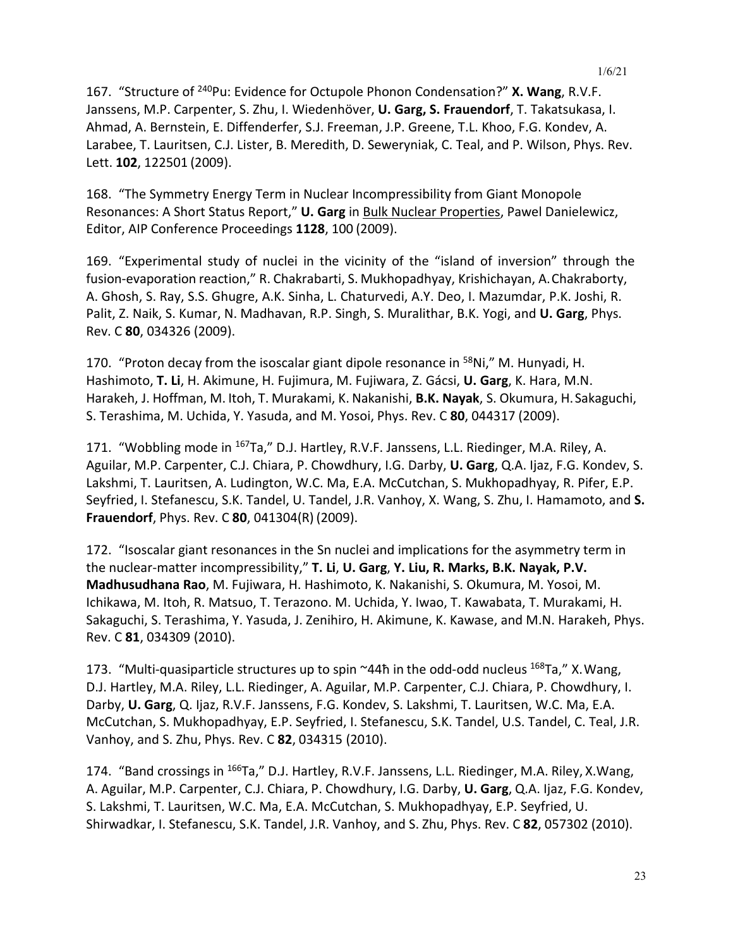167. "Structure of 240Pu: Evidence for Octupole Phonon Condensation?" **X. Wang**, R.V.F. Janssens, M.P. Carpenter, S. Zhu, I. Wiedenhöver, **U. Garg, S. Frauendorf**, T. Takatsukasa, I. Ahmad, A. Bernstein, E. Diffenderfer, S.J. Freeman, J.P. Greene, T.L. Khoo, F.G. Kondev, A. Larabee, T. Lauritsen, C.J. Lister, B. Meredith, D. Seweryniak, C. Teal, and P. Wilson, Phys. Rev. Lett. **102**, 122501 (2009).

168. "The Symmetry Energy Term in Nuclear Incompressibility from Giant Monopole Resonances: A Short Status Report," **U. Garg** in Bulk Nuclear Properties, Pawel Danielewicz, Editor, AIP Conference Proceedings **1128**, 100 (2009).

169. "Experimental study of nuclei in the vicinity of the "island of inversion" through the fusion-evaporation reaction," R. Chakrabarti, S. Mukhopadhyay, Krishichayan, A.Chakraborty, A. Ghosh, S. Ray, S.S. Ghugre, A.K. Sinha, L. Chaturvedi, A.Y. Deo, I. Mazumdar, P.K. Joshi, R. Palit, Z. Naik, S. Kumar, N. Madhavan, R.P. Singh, S. Muralithar, B.K. Yogi, and **U. Garg**, Phys. Rev. C **80**, 034326 (2009).

170. "Proton decay from the isoscalar giant dipole resonance in  $58$ Ni," M. Hunyadi, H. Hashimoto, **T. Li**, H. Akimune, H. Fujimura, M. Fujiwara, Z. Gácsi, **U. Garg**, K. Hara, M.N. Harakeh, J. Hoffman, M. Itoh, T. Murakami, K. Nakanishi, **B.K. Nayak**, S. Okumura, H.Sakaguchi, S. Terashima, M. Uchida, Y. Yasuda, and M. Yosoi, Phys. Rev. C **80**, 044317 (2009).

171. "Wobbling mode in 167Ta," D.J. Hartley, R.V.F. Janssens, L.L. Riedinger, M.A. Riley, A. Aguilar, M.P. Carpenter, C.J. Chiara, P. Chowdhury, I.G. Darby, **U. Garg**, Q.A. Ijaz, F.G. Kondev, S. Lakshmi, T. Lauritsen, A. Ludington, W.C. Ma, E.A. McCutchan, S. Mukhopadhyay, R. Pifer, E.P. Seyfried, I. Stefanescu, S.K. Tandel, U. Tandel, J.R. Vanhoy, X. Wang, S. Zhu, I. Hamamoto, and **S. Frauendorf**, Phys. Rev. C **80**, 041304(R) (2009).

172. "Isoscalar giant resonances in the Sn nuclei and implications for the asymmetry term in the nuclear-matter incompressibility," **T. Li**, **U. Garg**, **Y. Liu, R. Marks, B.K. Nayak, P.V. Madhusudhana Rao**, M. Fujiwara, H. Hashimoto, K. Nakanishi, S. Okumura, M. Yosoi, M. Ichikawa, M. Itoh, R. Matsuo, T. Terazono. M. Uchida, Y. Iwao, T. Kawabata, T. Murakami, H. Sakaguchi, S. Terashima, Y. Yasuda, J. Zenihiro, H. Akimune, K. Kawase, and M.N. Harakeh, Phys. Rev. C **81**, 034309 (2010).

173. "Multi-quasiparticle structures up to spin  $\sim$ 44ħ in the odd-odd nucleus  $^{168}$ Ta," X. Wang, D.J. Hartley, M.A. Riley, L.L. Riedinger, A. Aguilar, M.P. Carpenter, C.J. Chiara, P. Chowdhury, I. Darby, **U. Garg**, Q. Ijaz, R.V.F. Janssens, F.G. Kondev, S. Lakshmi, T. Lauritsen, W.C. Ma, E.A. McCutchan, S. Mukhopadhyay, E.P. Seyfried, I. Stefanescu, S.K. Tandel, U.S. Tandel, C. Teal, J.R. Vanhoy, and S. Zhu, Phys. Rev. C **82**, 034315 (2010).

174. "Band crossings in <sup>166</sup>Ta," D.J. Hartley, R.V.F. Janssens, L.L. Riedinger, M.A. Riley, X.Wang, A. Aguilar, M.P. Carpenter, C.J. Chiara, P. Chowdhury, I.G. Darby, **U. Garg**, Q.A. Ijaz, F.G. Kondev, S. Lakshmi, T. Lauritsen, W.C. Ma, E.A. McCutchan, S. Mukhopadhyay, E.P. Seyfried, U. Shirwadkar, I. Stefanescu, S.K. Tandel, J.R. Vanhoy, and S. Zhu, Phys. Rev. C **82**, 057302 (2010).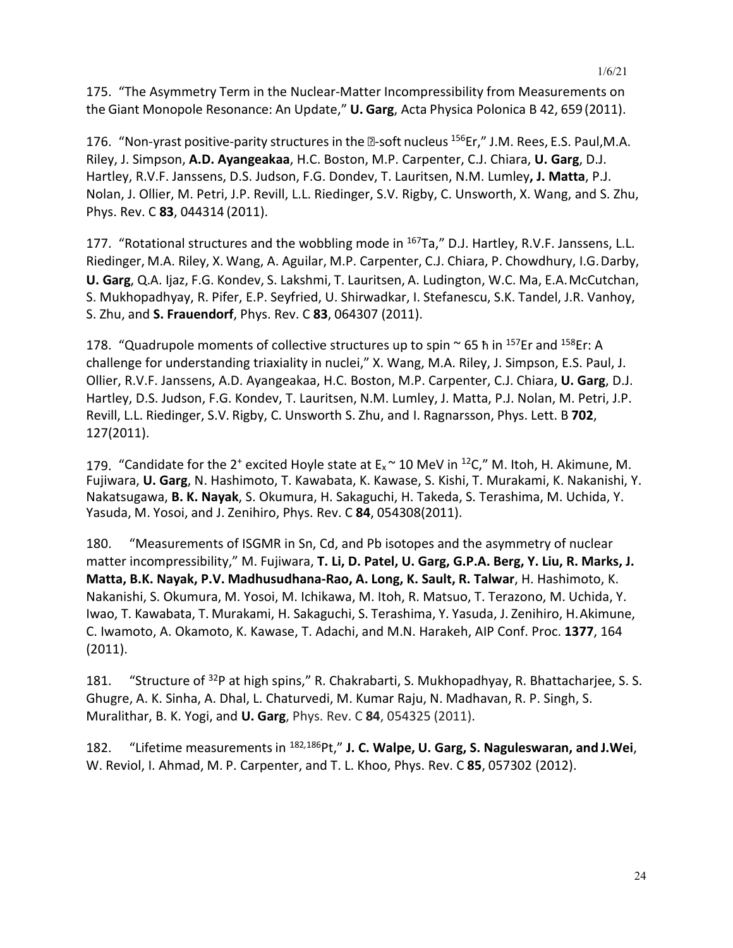175. "The Asymmetry Term in the Nuclear-Matter Incompressibility from Measurements on the Giant Monopole Resonance: An Update," **U. Garg**, Acta Physica Polonica B 42, 659 (2011).

176. "Non-yrast positive-parity structures in the  $2$ -soft nucleus  $156$ Er," J.M. Rees, E.S. Paul, M.A. Riley, J. Simpson, **A.D. Ayangeakaa**, H.C. Boston, M.P. Carpenter, C.J. Chiara, **U. Garg**, D.J. Hartley, R.V.F. Janssens, D.S. Judson, F.G. Dondev, T. Lauritsen, N.M. Lumley**, J. Matta**, P.J. Nolan, J. Ollier, M. Petri, J.P. Revill, L.L. Riedinger, S.V. Rigby, C. Unsworth, X. Wang, and S. Zhu, Phys. Rev. C **83**, 044314 (2011).

177. "Rotational structures and the wobbling mode in <sup>167</sup>Ta," D.J. Hartley, R.V.F. Janssens, L.L. Riedinger, M.A. Riley, X. Wang, A. Aguilar, M.P. Carpenter, C.J. Chiara, P. Chowdhury, I.G.Darby, **U. Garg**, Q.A. Ijaz, F.G. Kondev, S. Lakshmi, T. Lauritsen, A. Ludington, W.C. Ma, E.A.McCutchan, S. Mukhopadhyay, R. Pifer, E.P. Seyfried, U. Shirwadkar, I. Stefanescu, S.K. Tandel, J.R. Vanhoy, S. Zhu, and **S. Frauendorf**, Phys. Rev. C **83**, 064307 (2011).

178. "Quadrupole moments of collective structures up to spin  $\sim$  65 h in <sup>157</sup>Er and <sup>158</sup>Er: A challenge for understanding triaxiality in nuclei," X. Wang, M.A. Riley, J. Simpson, E.S. Paul, J. Ollier, R.V.F. Janssens, A.D. Ayangeakaa, H.C. Boston, M.P. Carpenter, C.J. Chiara, **U. Garg**, D.J. Hartley, D.S. Judson, F.G. Kondev, T. Lauritsen, N.M. Lumley, J. Matta, P.J. Nolan, M. Petri, J.P. Revill, L.L. Riedinger, S.V. Rigby, C. Unsworth S. Zhu, and I. Ragnarsson, Phys. Lett. B **702**, 127(2011).

179. "Candidate for the 2<sup>+</sup> excited Hoyle state at  $E_x \sim 10$  MeV in <sup>12</sup>C," M. Itoh, H. Akimune, M. Fujiwara, **U. Garg**, N. Hashimoto, T. Kawabata, K. Kawase, S. Kishi, T. Murakami, K. Nakanishi, Y. Nakatsugawa, **B. K. Nayak**, S. Okumura, H. Sakaguchi, H. Takeda, S. Terashima, M. Uchida, Y. Yasuda, M. Yosoi, and J. Zenihiro, Phys. Rev. C **84**, 054308(2011).

180. "Measurements of ISGMR in Sn, Cd, and Pb isotopes and the asymmetry of nuclear matter incompressibility," M. Fujiwara, **T. Li, D. Patel, U. Garg, G.P.A. Berg, Y. Liu, R. Marks, J. Matta, B.K. Nayak, P.V. Madhusudhana-Rao, A. Long, K. Sault, R. Talwar**, H. Hashimoto, K. Nakanishi, S. Okumura, M. Yosoi, M. Ichikawa, M. Itoh, R. Matsuo, T. Terazono, M. Uchida, Y. Iwao, T. Kawabata, T. Murakami, H. Sakaguchi, S. Terashima, Y. Yasuda, J. Zenihiro, H.Akimune, C. Iwamoto, A. Okamoto, K. Kawase, T. Adachi, and M.N. Harakeh, AIP Conf. Proc. **1377**, 164 (2011).

181. "Structure of <sup>32</sup>P at high spins," R. Chakrabarti, S. Mukhopadhyay, R. Bhattacharjee, S. S. Ghugre, A. K. Sinha, A. Dhal, L. Chaturvedi, M. Kumar Raju, N. Madhavan, R. P. Singh, S. Muralithar, B. K. Yogi, and **U. Garg**, Phys. Rev. C **84**, 054325 (2011).

182. "Lifetime measurements in <sup>182</sup>*,*186Pt," **J. C. Walpe, U. Garg, S. Naguleswaran, and J.Wei**, W. Reviol, I. Ahmad, M. P. Carpenter, and T. L. Khoo, Phys. Rev. C **85**, 057302 (2012).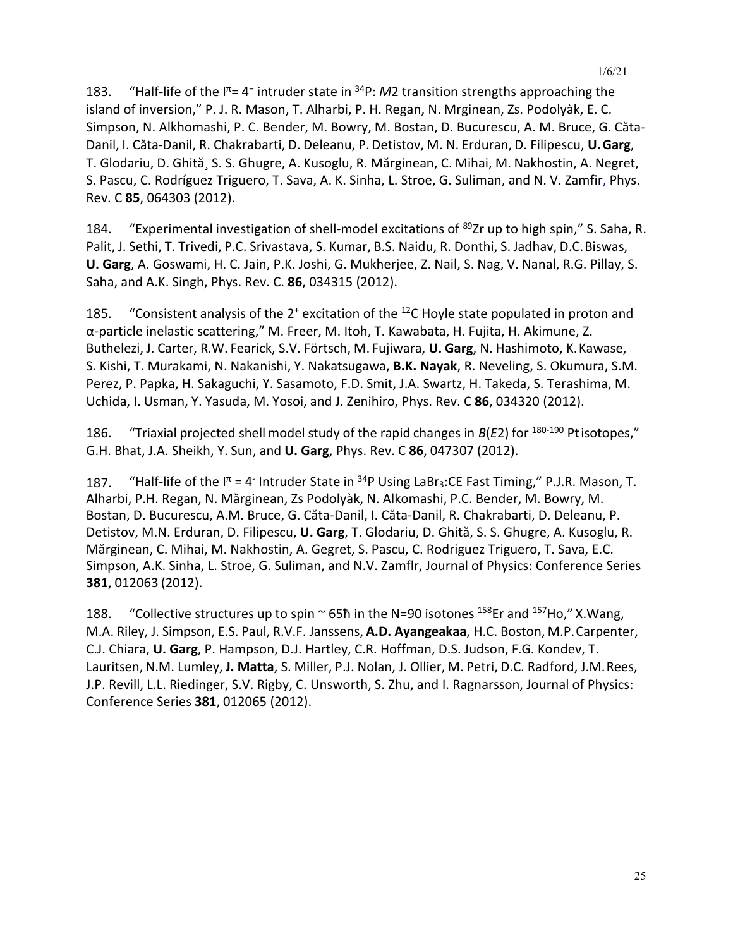183. "Half-life of the I<sup>π</sup>= 4<sup>−</sup> intruder state in 34P: *M*2 transition strengths approaching the island of inversion," P. J. R. Mason, T. Alharbi, P. H. Regan, N. Mrginean, Zs. Podolyàk, E. C. Simpson, N. Alkhomashi, P. C. Bender, M. Bowry, M. Bostan, D. Bucurescu, A. M. Bruce, G. Căta-Danil, I. Căta-Danil, R. Chakrabarti, D. Deleanu, P. Detistov, M. N. Erduran, D. Filipescu, **U.Garg**, T. Glodariu, D. Ghită¸ S. S. Ghugre, A. Kusoglu, R. Mărginean, C. Mihai, M. Nakhostin, A. Negret, S. Pascu, C. Rodríguez Triguero, T. Sava, A. K. Sinha, L. Stroe, G. Suliman, and N. V. Zamfir, Phys. Rev. C **85**, 064303 (2012).

184. "Experimental investigation of shell-model excitations of <sup>89</sup>Zr up to high spin," S. Saha, R. Palit, J. Sethi, T. Trivedi, P.C. Srivastava, S. Kumar, B.S. Naidu, R. Donthi, S. Jadhav, D.C.Biswas, **U. Garg**, A. Goswami, H. C. Jain, P.K. Joshi, G. Mukherjee, Z. Nail, S. Nag, V. Nanal, R.G. Pillay, S. Saha, and A.K. Singh, Phys. Rev. C. **86**, 034315 (2012).

185. "Consistent analysis of the 2<sup>+</sup> excitation of the <sup>12</sup>C Hoyle state populated in proton and α-particle inelastic scattering," M. Freer, M. Itoh, T. Kawabata, H. Fujita, H. Akimune, Z. Buthelezi, J. Carter, R.W. Fearick, S.V. Förtsch, M. Fujiwara, **U. Garg**, N. Hashimoto, K.Kawase, S. Kishi, T. Murakami, N. Nakanishi, Y. Nakatsugawa, **B.K. Nayak**, R. Neveling, S. Okumura, S.M. Perez, P. Papka, H. Sakaguchi, Y. Sasamoto, F.D. Smit, J.A. Swartz, H. Takeda, S. Terashima, M. Uchida, I. Usman, Y. Yasuda, M. Yosoi, and J. Zenihiro, Phys. Rev. C **86**, 034320 (2012).

186. "Triaxial projected shell model study of the rapid changes in *B*(*E*2) for 180-190 Ptisotopes," G.H. Bhat, J.A. Sheikh, Y. Sun, and **U. Garg**, Phys. Rev. C **86**, 047307 (2012).

187. "Half-life of the  $I^{\pi} = 4$ <sup>-</sup> Intruder State in <sup>34</sup>P Using LaBr<sub>3</sub>:CE Fast Timing," P.J.R. Mason, T. Alharbi, P.H. Regan, N. Mărginean, Zs Podolyàk, N. Alkomashi, P.C. Bender, M. Bowry, M. Bostan, D. Bucurescu, A.M. Bruce, G. Căta-Danil, I. Căta-Danil, R. Chakrabarti, D. Deleanu, P. Detistov, M.N. Erduran, D. Filipescu, **U. Garg**, T. Glodariu, D. Ghită, S. S. Ghugre, A. Kusoglu, R. Mărginean, C. Mihai, M. Nakhostin, A. Gegret, S. Pascu, C. Rodriguez Triguero, T. Sava, E.C. Simpson, A.K. Sinha, L. Stroe, G. Suliman, and N.V. Zamflr, Journal of Physics: Conference Series **381**, 012063 (2012).

188. "Collective structures up to spin  $\sim$  65h in the N=90 isotones <sup>158</sup>Er and <sup>157</sup>Ho," X. Wang, M.A. Riley, J. Simpson, E.S. Paul, R.V.F. Janssens, **A.D. Ayangeakaa**, H.C. Boston, M.P.Carpenter, C.J. Chiara, **U. Garg**, P. Hampson, D.J. Hartley, C.R. Hoffman, D.S. Judson, F.G. Kondev, T. Lauritsen, N.M. Lumley, **J. Matta**, S. Miller, P.J. Nolan, J. Ollier, M. Petri, D.C. Radford, J.M.Rees, J.P. Revill, L.L. Riedinger, S.V. Rigby, C. Unsworth, S. Zhu, and I. Ragnarsson, Journal of Physics: Conference Series **381**, 012065 (2012).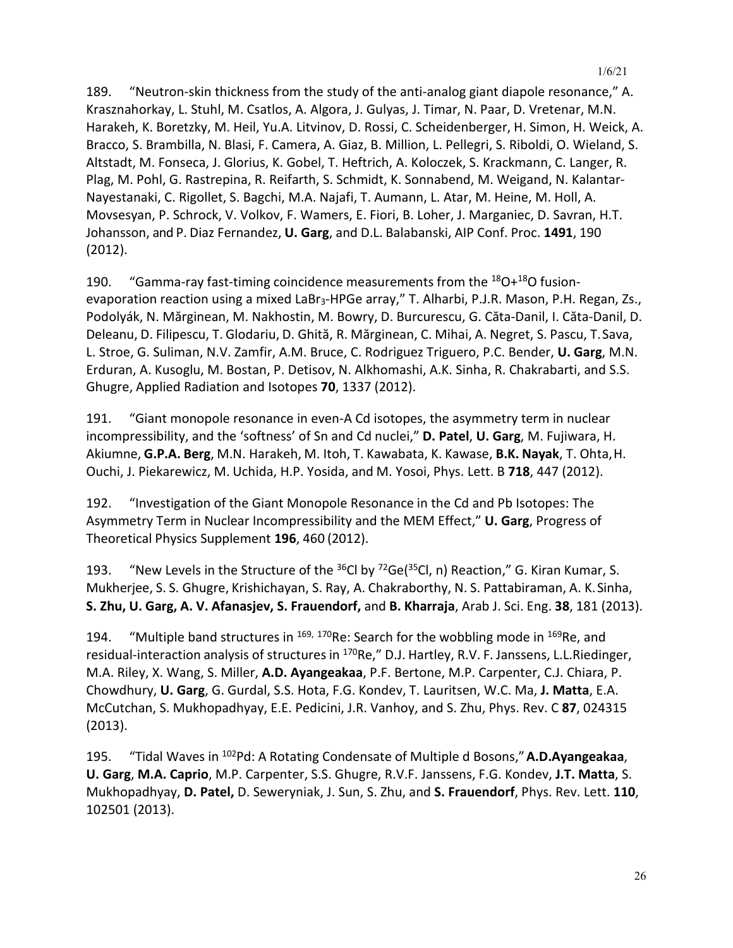189. "Neutron-skin thickness from the study of the anti-analog giant diapole resonance," A. Krasznahorkay, L. Stuhl, M. Csatlos, A. Algora, J. Gulyas, J. Timar, N. Paar, D. Vretenar, M.N. Harakeh, K. Boretzky, M. Heil, Yu.A. Litvinov, D. Rossi, C. Scheidenberger, H. Simon, H. Weick, A. Bracco, S. Brambilla, N. Blasi, F. Camera, A. Giaz, B. Million, L. Pellegri, S. Riboldi, O. Wieland, S. Altstadt, M. Fonseca, J. Glorius, K. Gobel, T. Heftrich, A. Koloczek, S. Krackmann, C. Langer, R. Plag, M. Pohl, G. Rastrepina, R. Reifarth, S. Schmidt, K. Sonnabend, M. Weigand, N. Kalantar-Nayestanaki, C. Rigollet, S. Bagchi, M.A. Najafi, T. Aumann, L. Atar, M. Heine, M. Holl, A. Movsesyan, P. Schrock, V. Volkov, F. Wamers, E. Fiori, B. Loher, J. Marganiec, D. Savran, H.T. Johansson, and P. Diaz Fernandez, **U. Garg**, and D.L. Balabanski, AIP Conf. Proc. **1491**, 190 (2012).

190. "Gamma-ray fast-timing coincidence measurements from the  $^{18}O+^{18}O$  fusionevaporation reaction using a mixed LaBr<sub>3</sub>-HPGe array," T. Alharbi, P.J.R. Mason, P.H. Regan, Zs., Podolyák, N. Mărginean, M. Nakhostin, M. Bowry, D. Burcurescu, G. Căta-Danil, I. Căta-Danil, D. Deleanu, D. Filipescu, T. Glodariu, D. Ghită, R. Mărginean, C. Mihai, A. Negret, S. Pascu, T.Sava, L. Stroe, G. Suliman, N.V. Zamfir, A.M. Bruce, C. Rodriguez Triguero, P.C. Bender, **U. Garg**, M.N. Erduran, A. Kusoglu, M. Bostan, P. Detisov, N. Alkhomashi, A.K. Sinha, R. Chakrabarti, and S.S. Ghugre, Applied Radiation and Isotopes **70**, 1337 (2012).

191. "Giant monopole resonance in even-A Cd isotopes, the asymmetry term in nuclear incompressibility, and the 'softness' of Sn and Cd nuclei," **D. Patel**, **U. Garg**, M. Fujiwara, H. Akiumne, **G.P.A. Berg**, M.N. Harakeh, M. Itoh, T. Kawabata, K. Kawase, **B.K. Nayak**, T. Ohta,H. Ouchi, J. Piekarewicz, M. Uchida, H.P. Yosida, and M. Yosoi, Phys. Lett. B **718**, 447 (2012).

192. "Investigation of the Giant Monopole Resonance in the Cd and Pb Isotopes: The Asymmetry Term in Nuclear Incompressibility and the MEM Effect," **U. Garg**, Progress of Theoretical Physics Supplement **196**, 460 (2012).

193. "New Levels in the Structure of the  $36$ Cl by  $72$ Ge( $35$ Cl, n) Reaction," G. Kiran Kumar, S. Mukherjee, S. S. Ghugre, Krishichayan, S. Ray, A. Chakraborthy, N. S. Pattabiraman, A. K.Sinha, **S. Zhu, U. Garg, A. V. Afanasjev, S. Frauendorf,** and **B. Kharraja**, Arab J. Sci. Eng. **38**, 181 (2013).

194. "Multiple band structures in  $^{169, 170}$ Re: Search for the wobbling mode in  $^{169}$ Re, and residual-interaction analysis of structures in <sup>170</sup>Re," D.J. Hartley, R.V. F. Janssens, L.L.Riedinger, M.A. Riley, X. Wang, S. Miller, **A.D. Ayangeakaa**, P.F. Bertone, M.P. Carpenter, C.J. Chiara, P. Chowdhury, **U. Garg**, G. Gurdal, S.S. Hota, F.G. Kondev, T. Lauritsen, W.C. Ma, **J. Matta**, E.A. McCutchan, S. Mukhopadhyay, E.E. Pedicini, J.R. Vanhoy, and S. Zhu, Phys. Rev. C **87**, 024315 (2013).

195. "Tidal Waves in 102Pd: A Rotating Condensate of Multiple d Bosons,"**A.D.Ayangeakaa**, **U. Garg**, **M.A. Caprio**, M.P. Carpenter, S.S. Ghugre, R.V.F. Janssens, F.G. Kondev, **J.T. Matta**, S. Mukhopadhyay, **D. Patel,** D. Seweryniak, J. Sun, S. Zhu, and **S. Frauendorf**, Phys. Rev. Lett. **110**, 102501 (2013).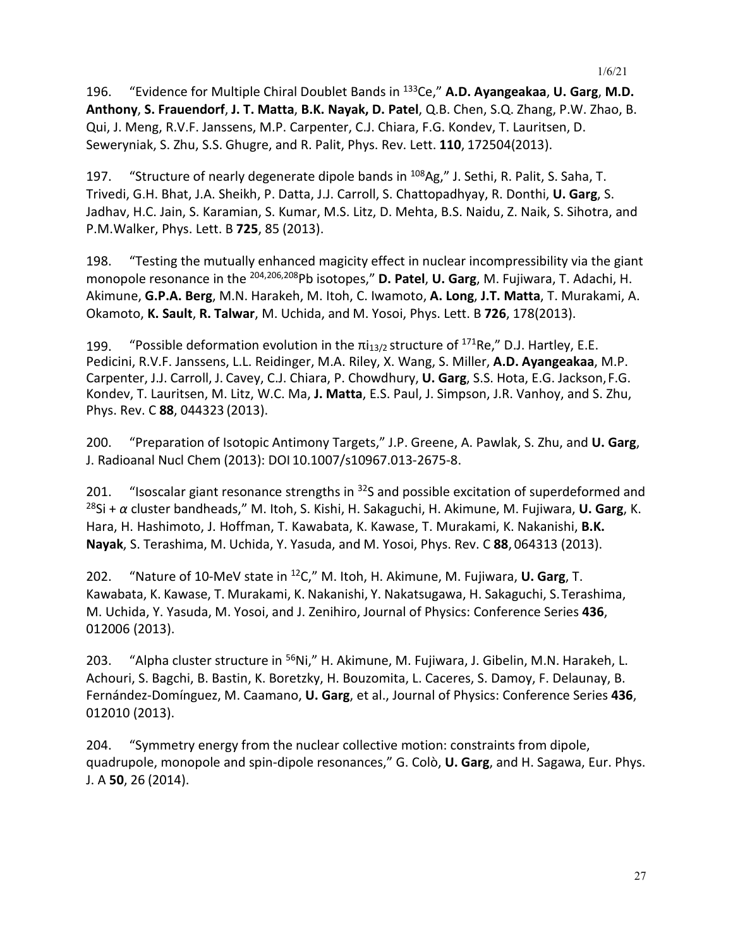196. "Evidence for Multiple Chiral Doublet Bands in 133Ce," **A.D. Ayangeakaa**, **U. Garg**, **M.D. Anthony**, **S. Frauendorf**, **J. T. Matta**, **B.K. Nayak, D. Patel**, Q.B. Chen, S.Q. Zhang, P.W. Zhao, B. Qui, J. Meng, R.V.F. Janssens, M.P. Carpenter, C.J. Chiara, F.G. Kondev, T. Lauritsen, D. Seweryniak, S. Zhu, S.S. Ghugre, and R. Palit, Phys. Rev. Lett. **110**, 172504(2013).

197. "Structure of nearly degenerate dipole bands in <sup>108</sup>Ag," J. Sethi, R. Palit, S. Saha, T. Trivedi, G.H. Bhat, J.A. Sheikh, P. Datta, J.J. Carroll, S. Chattopadhyay, R. Donthi, **U. Garg**, S. Jadhav, H.C. Jain, S. Karamian, S. Kumar, M.S. Litz, D. Mehta, B.S. Naidu, Z. Naik, S. Sihotra, and P.M.Walker, Phys. Lett. B **725**, 85 (2013).

198. "Testing the mutually enhanced magicity effect in nuclear incompressibility via the giant monopole resonance in the 204,206,208Pb isotopes," **D. Patel**, **U. Garg**, M. Fujiwara, T. Adachi, H. Akimune, **G.P.A. Berg**, M.N. Harakeh, M. Itoh, C. Iwamoto, **A. Long**, **J.T. Matta**, T. Murakami, A. Okamoto, **K. Sault**, **R. Talwar**, M. Uchida, and M. Yosoi, Phys. Lett. B **726**, 178(2013).

199. "Possible deformation evolution in the  $\pi i_{13/2}$  structure of  $^{171}$ Re," D.J. Hartley, E.E. Pedicini, R.V.F. Janssens, L.L. Reidinger, M.A. Riley, X. Wang, S. Miller, **A.D. Ayangeakaa**, M.P. Carpenter, J.J. Carroll, J. Cavey, C.J. Chiara, P. Chowdhury, **U. Garg**, S.S. Hota, E.G. Jackson,F.G. Kondev, T. Lauritsen, M. Litz, W.C. Ma, **J. Matta**, E.S. Paul, J. Simpson, J.R. Vanhoy, and S. Zhu, Phys. Rev. C **88**, 044323 (2013).

200. "Preparation of Isotopic Antimony Targets," J.P. Greene, A. Pawlak, S. Zhu, and **U. Garg**, J. Radioanal Nucl Chem (2013): DOI 10.1007/s10967.013-2675-8.

201. "Isoscalar giant resonance strengths in  $32$ S and possible excitation of superdeformed and 28Si + *α* cluster bandheads," M. Itoh, S. Kishi, H. Sakaguchi, H. Akimune, M. Fujiwara, **U. Garg**, K. Hara, H. Hashimoto, J. Hoffman, T. Kawabata, K. Kawase, T. Murakami, K. Nakanishi, **B.K. Nayak**, S. Terashima, M. Uchida, Y. Yasuda, and M. Yosoi, Phys. Rev. C **88**, 064313 (2013).

202. "Nature of 10-MeV state in 12C," M. Itoh, H. Akimune, M. Fujiwara, **U. Garg**, T. Kawabata, K. Kawase, T. Murakami, K. Nakanishi, Y. Nakatsugawa, H. Sakaguchi, S.Terashima, M. Uchida, Y. Yasuda, M. Yosoi, and J. Zenihiro, Journal of Physics: Conference Series **436**, 012006 (2013).

203. "Alpha cluster structure in <sup>56</sup>Ni," H. Akimune, M. Fujiwara, J. Gibelin, M.N. Harakeh, L. Achouri, S. Bagchi, B. Bastin, K. Boretzky, H. Bouzomita, L. Caceres, S. Damoy, F. Delaunay, B. Fernández-Domínguez, M. Caamano, **U. Garg**, et al., Journal of Physics: Conference Series **436**, 012010 (2013).

204. "Symmetry energy from the nuclear collective motion: constraints from dipole, quadrupole, monopole and spin-dipole resonances," G. Colò, **U. Garg**, and H. Sagawa, Eur. Phys. J. A **50**, 26 (2014).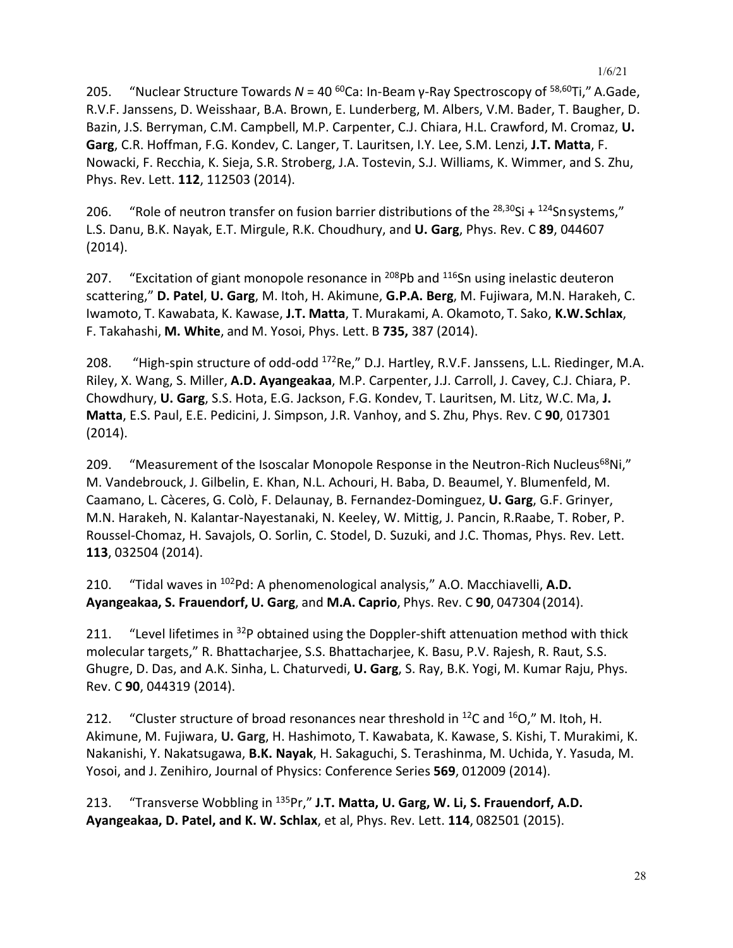205. "Nuclear Structure Towards *N* = 40 60Ca: In-Beam γ-Ray Spectroscopy of 58,60Ti," A.Gade, R.V.F. Janssens, D. Weisshaar, B.A. Brown, E. Lunderberg, M. Albers, V.M. Bader, T. Baugher, D. Bazin, J.S. Berryman, C.M. Campbell, M.P. Carpenter, C.J. Chiara, H.L. Crawford, M. Cromaz, **U. Garg**, C.R. Hoffman, F.G. Kondev, C. Langer, T. Lauritsen, I.Y. Lee, S.M. Lenzi, **J.T. Matta**, F. Nowacki, F. Recchia, K. Sieja, S.R. Stroberg, J.A. Tostevin, S.J. Williams, K. Wimmer, and S. Zhu, Phys. Rev. Lett. **112**, 112503 (2014).

206. "Role of neutron transfer on fusion barrier distributions of the  $^{28,30}$ Si +  $^{124}$ Snsystems," L.S. Danu, B.K. Nayak, E.T. Mirgule, R.K. Choudhury, and **U. Garg**, Phys. Rev. C **89**, 044607 (2014).

207. "Excitation of giant monopole resonance in <sup>208</sup>Pb and <sup>116</sup>Sn using inelastic deuteron scattering," **D. Patel**, **U. Garg**, M. Itoh, H. Akimune, **G.P.A. Berg**, M. Fujiwara, M.N. Harakeh, C. Iwamoto, T. Kawabata, K. Kawase, **J.T. Matta**, T. Murakami, A. Okamoto, T. Sako, **K.W.Schlax**, F. Takahashi, **M. White**, and M. Yosoi, Phys. Lett. B **735,** 387 (2014).

208. "High-spin structure of odd-odd <sup>172</sup>Re," D.J. Hartley, R.V.F. Janssens, L.L. Riedinger, M.A. Riley, X. Wang, S. Miller, **A.D. Ayangeakaa**, M.P. Carpenter, J.J. Carroll, J. Cavey, C.J. Chiara, P. Chowdhury, **U. Garg**, S.S. Hota, E.G. Jackson, F.G. Kondev, T. Lauritsen, M. Litz, W.C. Ma, **J. Matta**, E.S. Paul, E.E. Pedicini, J. Simpson, J.R. Vanhoy, and S. Zhu, Phys. Rev. C **90**, 017301 (2014).

209. "Measurement of the Isoscalar Monopole Response in the Neutron-Rich Nucleus<sup>68</sup>Ni," M. Vandebrouck, J. Gilbelin, E. Khan, N.L. Achouri, H. Baba, D. Beaumel, Y. Blumenfeld, M. Caamano, L. Càceres, G. Colò, F. Delaunay, B. Fernandez-Dominguez, **U. Garg**, G.F. Grinyer, M.N. Harakeh, N. Kalantar-Nayestanaki, N. Keeley, W. Mittig, J. Pancin, R.Raabe, T. Rober, P. Roussel-Chomaz, H. Savajols, O. Sorlin, C. Stodel, D. Suzuki, and J.C. Thomas, Phys. Rev. Lett. **113**, 032504 (2014).

210. "Tidal waves in 102Pd: A phenomenological analysis," A.O. Macchiavelli, **A.D. Ayangeakaa, S. Frauendorf, U. Garg**, and **M.A. Caprio**, Phys. Rev. C **90**, 047304(2014).

211. "Level lifetimes in <sup>32</sup>P obtained using the Doppler-shift attenuation method with thick molecular targets," R. Bhattacharjee, S.S. Bhattacharjee, K. Basu, P.V. Rajesh, R. Raut, S.S. Ghugre, D. Das, and A.K. Sinha, L. Chaturvedi, **U. Garg**, S. Ray, B.K. Yogi, M. Kumar Raju, Phys. Rev. C **90**, 044319 (2014).

212. "Cluster structure of broad resonances near threshold in  $^{12}$ C and  $^{16}$ O," M. Itoh, H. Akimune, M. Fujiwara, **U. Garg**, H. Hashimoto, T. Kawabata, K. Kawase, S. Kishi, T. Murakimi, K. Nakanishi, Y. Nakatsugawa, **B.K. Nayak**, H. Sakaguchi, S. Terashinma, M. Uchida, Y. Yasuda, M. Yosoi, and J. Zenihiro, Journal of Physics: Conference Series **569**, 012009 (2014).

213. "Transverse Wobbling in 135Pr," **J.T. Matta, U. Garg, W. Li, S. Frauendorf, A.D. Ayangeakaa, D. Patel, and K. W. Schlax**, et al, Phys. Rev. Lett. **114**, 082501 (2015).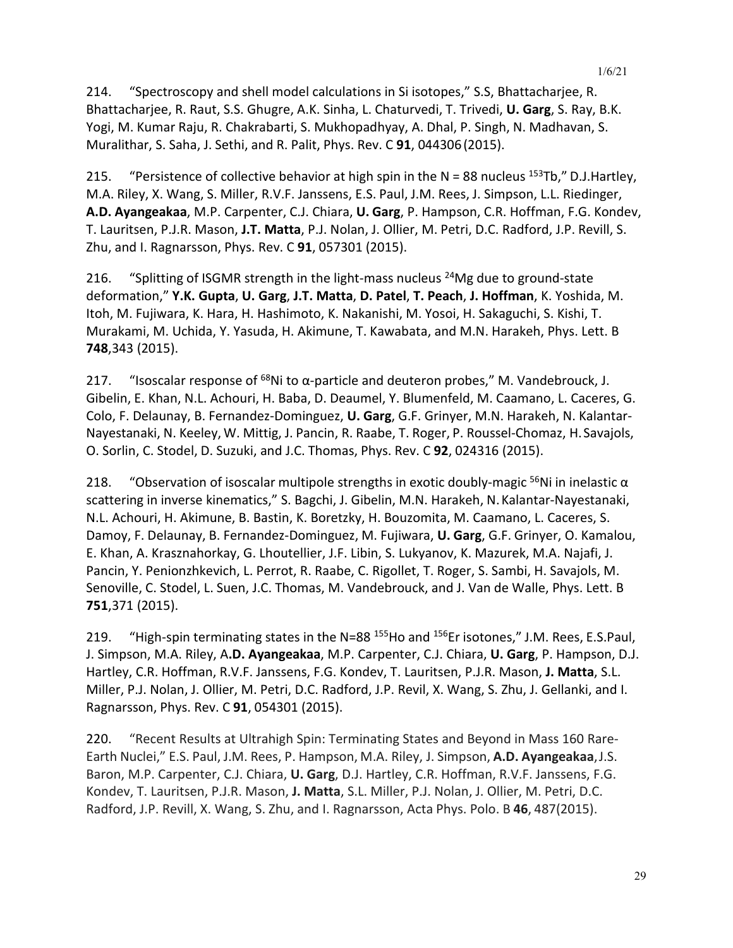214. "Spectroscopy and shell model calculations in Si isotopes," S.S, Bhattacharjee, R. Bhattacharjee, R. Raut, S.S. Ghugre, A.K. Sinha, L. Chaturvedi, T. Trivedi, **U. Garg**, S. Ray, B.K. Yogi, M. Kumar Raju, R. Chakrabarti, S. Mukhopadhyay, A. Dhal, P. Singh, N. Madhavan, S. Muralithar, S. Saha, J. Sethi, and R. Palit, Phys. Rev. C **91**, 044306(2015).

215. "Persistence of collective behavior at high spin in the  $N = 88$  nucleus  $153Tb''$ , D.J.Hartley, M.A. Riley, X. Wang, S. Miller, R.V.F. Janssens, E.S. Paul, J.M. Rees, J. Simpson, L.L. Riedinger, **A.D. Ayangeakaa**, M.P. Carpenter, C.J. Chiara, **U. Garg**, P. Hampson, C.R. Hoffman, F.G. Kondev, T. Lauritsen, P.J.R. Mason, **J.T. Matta**, P.J. Nolan, J. Ollier, M. Petri, D.C. Radford, J.P. Revill, S. Zhu, and I. Ragnarsson, Phys. Rev. C **91**, 057301 (2015).

216. "Splitting of ISGMR strength in the light-mass nucleus  $^{24}$ Mg due to ground-state deformation," **Y.K. Gupta**, **U. Garg**, **J.T. Matta**, **D. Patel**, **T. Peach**, **J. Hoffman**, K. Yoshida, M. Itoh, M. Fujiwara, K. Hara, H. Hashimoto, K. Nakanishi, M. Yosoi, H. Sakaguchi, S. Kishi, T. Murakami, M. Uchida, Y. Yasuda, H. Akimune, T. Kawabata, and M.N. Harakeh, Phys. Lett. B **748**,343 (2015).

217. "Isoscalar response of  $^{68}$ Ni to  $\alpha$ -particle and deuteron probes," M. Vandebrouck, J. Gibelin, E. Khan, N.L. Achouri, H. Baba, D. Deaumel, Y. Blumenfeld, M. Caamano, L. Caceres, G. Colo, F. Delaunay, B. Fernandez-Dominguez, **U. Garg**, G.F. Grinyer, M.N. Harakeh, N. Kalantar-Nayestanaki, N. Keeley, W. Mittig, J. Pancin, R. Raabe, T. Roger, P. Roussel-Chomaz, H.Savajols, O. Sorlin, C. Stodel, D. Suzuki, and J.C. Thomas, Phys. Rev. C **92**, 024316 (2015).

218. "Observation of isoscalar multipole strengths in exotic doubly-magic <sup>56</sup>Ni in inelastic  $\alpha$ scattering in inverse kinematics," S. Bagchi, J. Gibelin, M.N. Harakeh, N.Kalantar-Nayestanaki, N.L. Achouri, H. Akimune, B. Bastin, K. Boretzky, H. Bouzomita, M. Caamano, L. Caceres, S. Damoy, F. Delaunay, B. Fernandez-Dominguez, M. Fujiwara, **U. Garg**, G.F. Grinyer, O. Kamalou, E. Khan, A. Krasznahorkay, G. Lhoutellier, J.F. Libin, S. Lukyanov, K. Mazurek, M.A. Najafi, J. Pancin, Y. Penionzhkevich, L. Perrot, R. Raabe, C. Rigollet, T. Roger, S. Sambi, H. Savajols, M. Senoville, C. Stodel, L. Suen, J.C. Thomas, M. Vandebrouck, and J. Van de Walle, Phys. Lett. B **751**,371 (2015).

219. "High-spin terminating states in the N=88<sup>155</sup>Ho and <sup>156</sup>Er isotones," J.M. Rees, E.S.Paul, J. Simpson, M.A. Riley, A**.D. Ayangeakaa**, M.P. Carpenter, C.J. Chiara, **U. Garg**, P. Hampson, D.J. Hartley, C.R. Hoffman, R.V.F. Janssens, F.G. Kondev, T. Lauritsen, P.J.R. Mason, **J. Matta**, S.L. Miller, P.J. Nolan, J. Ollier, M. Petri, D.C. Radford, J.P. Revil, X. Wang, S. Zhu, J. Gellanki, and I. Ragnarsson, Phys. Rev. C **91**, 054301 (2015).

220. "Recent Results at Ultrahigh Spin: Terminating States and Beyond in Mass 160 Rare-Earth Nuclei," E.S. Paul, J.M. Rees, P. Hampson, M.A. Riley, J. Simpson, **A.D. Ayangeakaa**,J.S. Baron, M.P. Carpenter, C.J. Chiara, **U. Garg**, D.J. Hartley, C.R. Hoffman, R.V.F. Janssens, F.G. Kondev, T. Lauritsen, P.J.R. Mason, **J. Matta**, S.L. Miller, P.J. Nolan, J. Ollier, M. Petri, D.C. Radford, J.P. Revill, X. Wang, S. Zhu, and I. Ragnarsson, Acta Phys. Polo. B **46**, 487(2015).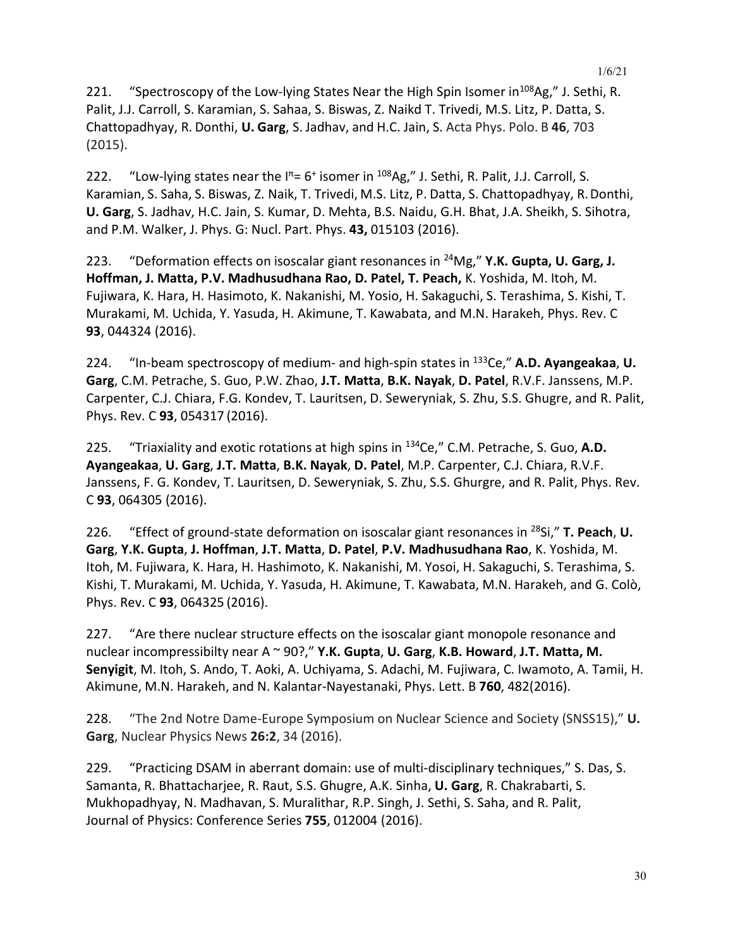221. "Spectroscopy of the Low-lying States Near the High Spin Isomer in<sup>108</sup>Ag," J. Sethi, R. Palit, J.J. Carroll, S. Karamian, S. Sahaa, S. Biswas, Z. Naikd T. Trivedi, M.S. Litz, P. Datta, S. Chattopadhyay, R. Donthi, **U. Garg**, S. Jadhav, and H.C. Jain, S. Acta Phys. Polo. B **46**, 703 (2015).

222. "Low-lying states near the  $I^{\pi}= 6^+$  isomer in  $^{108}$ Ag," J. Sethi, R. Palit, J.J. Carroll, S. Karamian, S. Saha, S. Biswas, Z. Naik, T. Trivedi, M.S. Litz, P. Datta, S. Chattopadhyay, R.Donthi, **U. Garg**, S. Jadhav, H.C. Jain, S. Kumar, D. Mehta, B.S. Naidu, G.H. Bhat, J.A. Sheikh, S. Sihotra, and P.M. Walker, J. Phys. G: Nucl. Part. Phys. **43,** 015103 (2016).

223. "Deformation effects on isoscalar giant resonances in 24Mg," **Y.K. Gupta, U. Garg, J. Hoffman, J. Matta, P.V. Madhusudhana Rao, D. Patel, T. Peach,** K. Yoshida, M. Itoh, M. Fujiwara, K. Hara, H. Hasimoto, K. Nakanishi, M. Yosio, H. Sakaguchi, S. Terashima, S. Kishi, T. Murakami, M. Uchida, Y. Yasuda, H. Akimune, T. Kawabata, and M.N. Harakeh, Phys. Rev. C **93**, 044324 (2016).

224. "In-beam spectroscopy of medium- and high-spin states in 133Ce," **A.D. Ayangeakaa**, **U. Garg**, C.M. Petrache, S. Guo, P.W. Zhao, **J.T. Matta**, **B.K. Nayak**, **D. Patel**, R.V.F. Janssens, M.P. Carpenter, C.J. Chiara, F.G. Kondev, T. Lauritsen, D. Seweryniak, S. Zhu, S.S. Ghugre, and R. Palit, Phys. Rev. C **93**, 054317 (2016).

225. "Triaxiality and exotic rotations at high spins in 134Ce," C.M. Petrache, S. Guo, **A.D. Ayangeakaa**, **U. Garg**, **J.T. Matta**, **B.K. Nayak**, **D. Patel**, M.P. Carpenter, C.J. Chiara, R.V.F. Janssens, F. G. Kondev, T. Lauritsen, D. Seweryniak, S. Zhu, S.S. Ghurgre, and R. Palit, Phys. Rev. C **93**, 064305 (2016).

226. "Effect of ground-state deformation on isoscalar giant resonances in 28Si," **T. Peach**, **U. Garg**, **Y.K. Gupta**, **J. Hoffman**, **J.T. Matta**, **D. Patel**, **P.V. Madhusudhana Rao**, K. Yoshida, M. Itoh, M. Fujiwara, K. Hara, H. Hashimoto, K. Nakanishi, M. Yosoi, H. Sakaguchi, S. Terashima, S. Kishi, T. Murakami, M. Uchida, Y. Yasuda, H. Akimune, T. Kawabata, M.N. Harakeh, and G. Colò, Phys. Rev. C **93**, 064325 (2016).

227. "Are there nuclear structure effects on the isoscalar giant monopole resonance and nuclear incompressibilty near A ~ 90?," **Y.K. Gupta**, **U. Garg**, **K.B. Howard**, **J.T. Matta, M. Senyigit**, M. Itoh, S. Ando, T. Aoki, A. Uchiyama, S. Adachi, M. Fujiwara, C. Iwamoto, A. Tamii, H. Akimune, M.N. Harakeh, and N. Kalantar-Nayestanaki, Phys. Lett. B **760**, 482(2016).

228. "The 2nd Notre Dame-Europe Symposium on Nuclear Science and Society (SNSS15)," **U. Garg**, Nuclear Physics News **26:2**, 34 (2016).

229. "Practicing DSAM in aberrant domain: use of multi-disciplinary techniques," S. Das, S. Samanta, R. Bhattacharjee, R. Raut, S.S. Ghugre, A.K. Sinha, **U. Garg**, R. Chakrabarti, S. Mukhopadhyay, N. Madhavan, S. Muralithar, R.P. Singh, J. Sethi, S. Saha, and R. Palit, Journal of Physics: Conference Series **755**, 012004 (2016).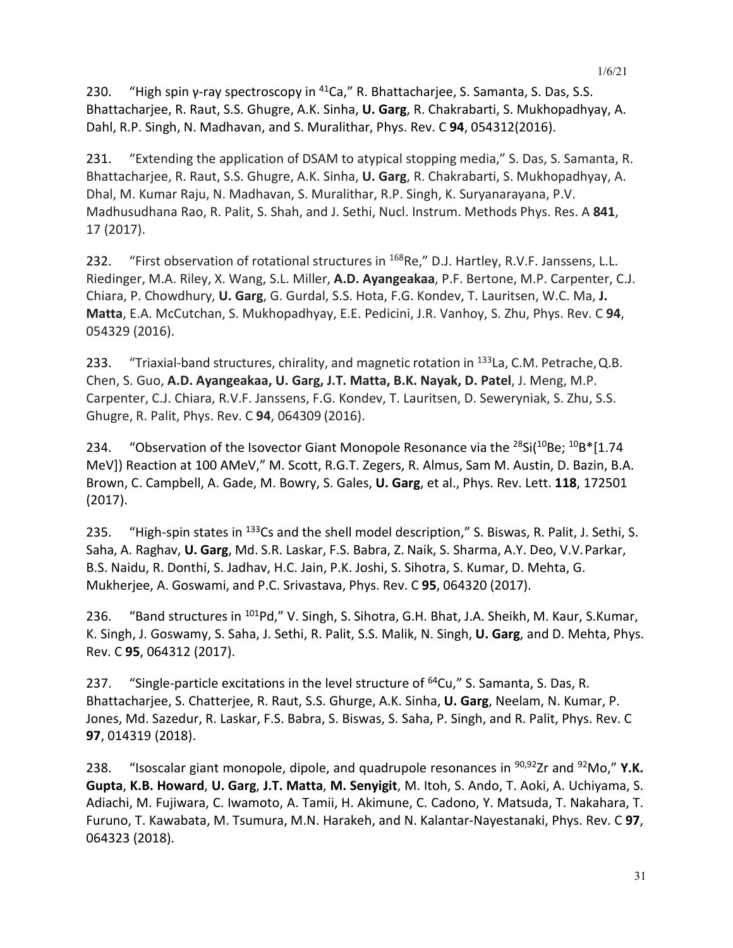231. "Extending the application of DSAM to atypical stopping media," S. Das, S. Samanta, R. Bhattacharjee, R. Raut, S.S. Ghugre, A.K. Sinha, **U. Garg**, R. Chakrabarti, S. Mukhopadhyay, A. Dhal, M. Kumar Raju, N. Madhavan, S. Muralithar, R.P. Singh, K. Suryanarayana, P.V. Madhusudhana Rao, R. Palit, S. Shah, and J. Sethi, Nucl. Instrum. Methods Phys. Res. A **841**, 17 (2017).

232. "First observation of rotational structures in <sup>168</sup>Re," D.J. Hartley, R.V.F. Janssens, L.L. Riedinger, M.A. Riley, X. Wang, S.L. Miller, **A.D. Ayangeakaa**, P.F. Bertone, M.P. Carpenter, C.J. Chiara, P. Chowdhury, **U. Garg**, G. Gurdal, S.S. Hota, F.G. Kondev, T. Lauritsen, W.C. Ma, **J. Matta**, E.A. McCutchan, S. Mukhopadhyay, E.E. Pedicini, J.R. Vanhoy, S. Zhu, Phys. Rev. C **94**, 054329 (2016).

233. "Triaxial-band structures, chirality, and magnetic rotation in <sup>133</sup>La, C.M. Petrache, Q.B. Chen, S. Guo, **A.D. Ayangeakaa, U. Garg, J.T. Matta, B.K. Nayak, D. Patel**, J. Meng, M.P. Carpenter, C.J. Chiara, R.V.F. Janssens, F.G. Kondev, T. Lauritsen, D. Seweryniak, S. Zhu, S.S. Ghugre, R. Palit, Phys. Rev. C **94**, 064309 (2016).

234. "Observation of the Isovector Giant Monopole Resonance via the  $^{28}Si(^{10}Be; ^{10}B*$  [1.74 MeV]) Reaction at 100 AMeV," M. Scott, R.G.T. Zegers, R. Almus, Sam M. Austin, D. Bazin, B.A. Brown, C. Campbell, A. Gade, M. Bowry, S. Gales, **U. Garg**, et al., Phys. Rev. Lett. **118**, 172501 (2017).

235. "High-spin states in <sup>133</sup>Cs and the shell model description," S. Biswas, R. Palit, J. Sethi, S. Saha, A. Raghav, **U. Garg**, Md. S.R. Laskar, F.S. Babra, Z. Naik, S. Sharma, A.Y. Deo, V.V.Parkar, B.S. Naidu, R. Donthi, S. Jadhav, H.C. Jain, P.K. Joshi, S. Sihotra, S. Kumar, D. Mehta, G. Mukherjee, A. Goswami, and P.C. Srivastava, Phys. Rev. C **95**, 064320 (2017).

236. "Band structures in <sup>101</sup>Pd," V. Singh, S. Sihotra, G.H. Bhat, J.A. Sheikh, M. Kaur, S. Kumar, K. Singh, J. Goswamy, S. Saha, J. Sethi, R. Palit, S.S. Malik, N. Singh, **U. Garg**, and D. Mehta, Phys. Rev. C **95**, 064312 (2017).

237. "Single-particle excitations in the level structure of  $^{64}$ Cu," S. Samanta, S. Das, R. Bhattacharjee, S. Chatterjee, R. Raut, S.S. Ghurge, A.K. Sinha, **U. Garg**, Neelam, N. Kumar, P. Jones, Md. Sazedur, R. Laskar, F.S. Babra, S. Biswas, S. Saha, P. Singh, and R. Palit, Phys. Rev. C **97**, 014319 (2018).

238. "Isoscalar giant monopole, dipole, and quadrupole resonances in 90,92Zr and 92Mo," **Y.K. Gupta**, **K.B. Howard**, **U. Garg**, **J.T. Matta**, **M. Senyigit**, M. Itoh, S. Ando, T. Aoki, A. Uchiyama, S. Adiachi, M. Fujiwara, C. Iwamoto, A. Tamii, H. Akimune, C. Cadono, Y. Matsuda, T. Nakahara, T. Furuno, T. Kawabata, M. Tsumura, M.N. Harakeh, and N. Kalantar-Nayestanaki, Phys. Rev. C **97**, 064323 (2018).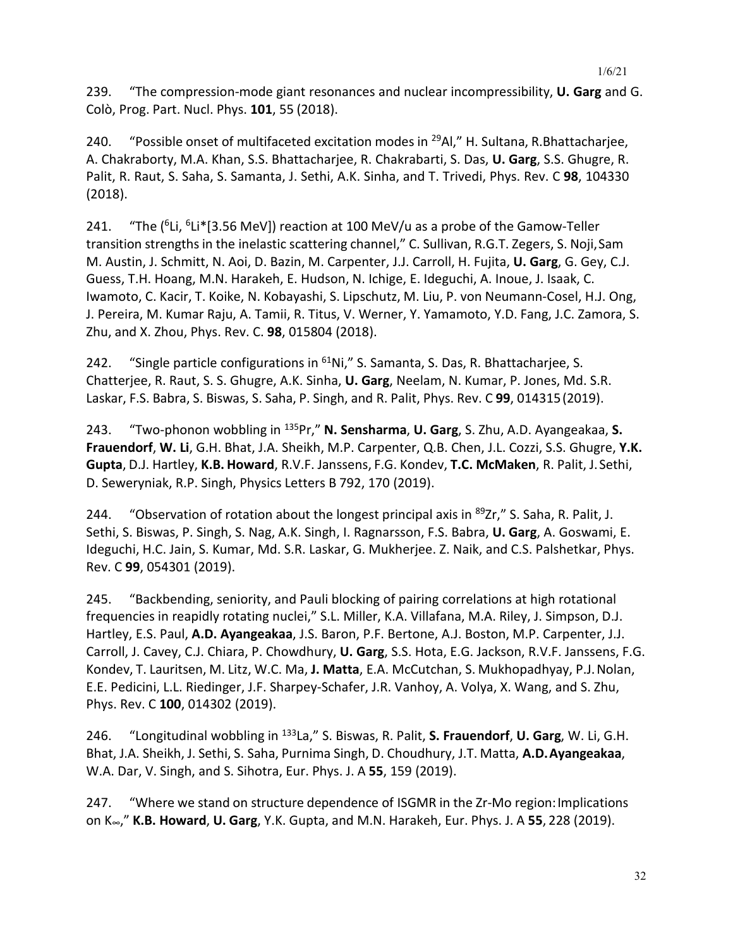240. "Possible onset of multifaceted excitation modes in <sup>29</sup>Al," H. Sultana, R.Bhattacharjee, A. Chakraborty, M.A. Khan, S.S. Bhattacharjee, R. Chakrabarti, S. Das, **U. Garg**, S.S. Ghugre, R. Palit, R. Raut, S. Saha, S. Samanta, J. Sethi, A.K. Sinha, and T. Trivedi, Phys. Rev. C **98**, 104330 (2018).

241. "The  $(^{6}Li, ^{6}Li* [3.56 \text{ MeV}])$  reaction at 100 MeV/u as a probe of the Gamow-Teller transition strengths in the inelastic scattering channel," C. Sullivan, R.G.T. Zegers, S. Noji,Sam M. Austin, J. Schmitt, N. Aoi, D. Bazin, M. Carpenter, J.J. Carroll, H. Fujita, **U. Garg**, G. Gey, C.J. Guess, T.H. Hoang, M.N. Harakeh, E. Hudson, N. Ichige, E. Ideguchi, A. Inoue, J. Isaak, C. Iwamoto, C. Kacir, T. Koike, N. Kobayashi, S. Lipschutz, M. Liu, P. von Neumann-Cosel, H.J. Ong, J. Pereira, M. Kumar Raju, A. Tamii, R. Titus, V. Werner, Y. Yamamoto, Y.D. Fang, J.C. Zamora, S. Zhu, and X. Zhou, Phys. Rev. C. **98**, 015804 (2018).

242. "Single particle configurations in <sup>61</sup>Ni," S. Samanta, S. Das, R. Bhattacharjee, S. Chatterjee, R. Raut, S. S. Ghugre, A.K. Sinha, **U. Garg**, Neelam, N. Kumar, P. Jones, Md. S.R. Laskar, F.S. Babra, S. Biswas, S. Saha, P. Singh, and R. Palit, Phys. Rev. C **99**, 014315(2019).

243. "Two-phonon wobbling in 135Pr," **N. Sensharma**, **U. Garg**, S. Zhu, A.D. Ayangeakaa, **S. Frauendorf**, **W. Li**, G.H. Bhat, J.A. Sheikh, M.P. Carpenter, Q.B. Chen, J.L. Cozzi, S.S. Ghugre, **Y.K. Gupta**, D.J. Hartley, **K.B. Howard**, R.V.F. Janssens, F.G. Kondev, **T.C. McMaken**, R. Palit, J.Sethi, D. Seweryniak, R.P. Singh, Physics Letters B 792, 170 (2019).

244. "Observation of rotation about the longest principal axis in  $^{89}Zr''$ , S. Saha, R. Palit, J. Sethi, S. Biswas, P. Singh, S. Nag, A.K. Singh, I. Ragnarsson, F.S. Babra, **U. Garg**, A. Goswami, E. Ideguchi, H.C. Jain, S. Kumar, Md. S.R. Laskar, G. Mukherjee. Z. Naik, and C.S. Palshetkar, Phys. Rev. C **99**, 054301 (2019).

245. "Backbending, seniority, and Pauli blocking of pairing correlations at high rotational frequencies in reapidly rotating nuclei," S.L. Miller, K.A. Villafana, M.A. Riley, J. Simpson, D.J. Hartley, E.S. Paul, **A.D. Ayangeakaa**, J.S. Baron, P.F. Bertone, A.J. Boston, M.P. Carpenter, J.J. Carroll, J. Cavey, C.J. Chiara, P. Chowdhury, **U. Garg**, S.S. Hota, E.G. Jackson, R.V.F. Janssens, F.G. Kondev, T. Lauritsen, M. Litz, W.C. Ma, **J. Matta**, E.A. McCutchan, S. Mukhopadhyay, P.J.Nolan, E.E. Pedicini, L.L. Riedinger, J.F. Sharpey-Schafer, J.R. Vanhoy, A. Volya, X. Wang, and S. Zhu, Phys. Rev. C **100**, 014302 (2019).

246. "Longitudinal wobbling in 133La," S. Biswas, R. Palit, **S. Frauendorf**, **U. Garg**, W. Li, G.H. Bhat, J.A. Sheikh, J. Sethi, S. Saha, Purnima Singh, D. Choudhury, J.T. Matta, **A.D.Ayangeakaa**, W.A. Dar, V. Singh, and S. Sihotra, Eur. Phys. J. A **55**, 159 (2019).

247. "Where we stand on structure dependence of ISGMR in the Zr-Mo region:Implications on K∞," **K.B. Howard**, **U. Garg**, Y.K. Gupta, and M.N. Harakeh, Eur. Phys. J. A **55**, 228 (2019).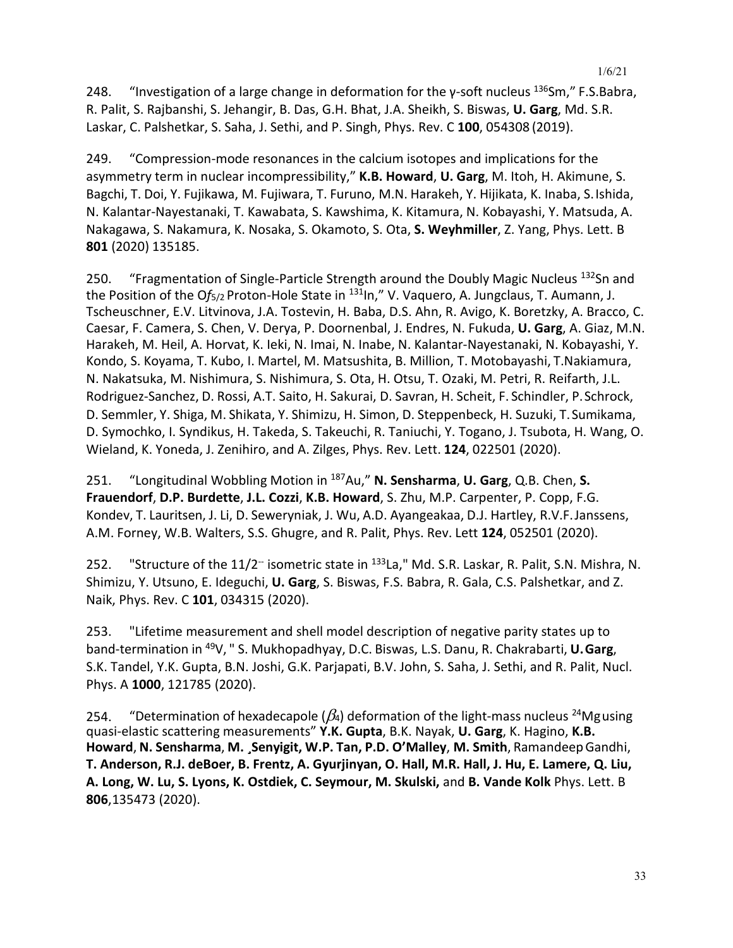248. "Investigation of a large change in deformation for the  $\gamma$ -soft nucleus  $^{136}$ Sm," F.S.Babra, R. Palit, S. Rajbanshi, S. Jehangir, B. Das, G.H. Bhat, J.A. Sheikh, S. Biswas, **U. Garg**, Md. S.R. Laskar, C. Palshetkar, S. Saha, J. Sethi, and P. Singh, Phys. Rev. C **100**, 054308 (2019).

249. "Compression-mode resonances in the calcium isotopes and implications for the asymmetry term in nuclear incompressibility," **K.B. Howard**, **U. Garg**, M. Itoh, H. Akimune, S. Bagchi, T. Doi, Y. Fujikawa, M. Fujiwara, T. Furuno, M.N. Harakeh, Y. Hijikata, K. Inaba, S.Ishida, N. Kalantar-Nayestanaki, T. Kawabata, S. Kawshima, K. Kitamura, N. Kobayashi, Y. Matsuda, A. Nakagawa, S. Nakamura, K. Nosaka, S. Okamoto, S. Ota, **S. Weyhmiller**, Z. Yang, Phys. Lett. B **801** (2020) 135185.

250. "Fragmentation of Single-Particle Strength around the Doubly Magic Nucleus <sup>132</sup>Sn and the Position of the Of<sub>5/2</sub> Proton-Hole State in <sup>131</sup>ln," V. Vaquero, A. Jungclaus, T. Aumann, J. Tscheuschner, E.V. Litvinova, J.A. Tostevin, H. Baba, D.S. Ahn, R. Avigo, K. Boretzky, A. Bracco, C. Caesar, F. Camera, S. Chen, V. Derya, P. Doornenbal, J. Endres, N. Fukuda, **U. Garg**, A. Giaz, M.N. Harakeh, M. Heil, A. Horvat, K. Ieki, N. Imai, N. Inabe, N. Kalantar-Nayestanaki, N. Kobayashi, Y. Kondo, S. Koyama, T. Kubo, I. Martel, M. Matsushita, B. Million, T. Motobayashi, T.Nakiamura, N. Nakatsuka, M. Nishimura, S. Nishimura, S. Ota, H. Otsu, T. Ozaki, M. Petri, R. Reifarth, J.L. Rodriguez-Sanchez, D. Rossi, A.T. Saito, H. Sakurai, D. Savran, H. Scheit, F. Schindler, P.Schrock, D. Semmler, Y. Shiga, M. Shikata, Y. Shimizu, H. Simon, D. Steppenbeck, H. Suzuki, T.Sumikama, D. Symochko, I. Syndikus, H. Takeda, S. Takeuchi, R. Taniuchi, Y. Togano, J. Tsubota, H. Wang, O. Wieland, K. Yoneda, J. Zenihiro, and A. Zilges, Phys. Rev. Lett. **124**, 022501 (2020).

251. "Longitudinal Wobbling Motion in 187Au," **N. Sensharma**, **U. Garg**, Q.B. Chen, **S. Frauendorf**, **D.P. Burdette**, **J.L. Cozzi**, **K.B. Howard**, S. Zhu, M.P. Carpenter, P. Copp, F.G. Kondev, T. Lauritsen, J. Li, D. Seweryniak, J. Wu, A.D. Ayangeakaa, D.J. Hartley, R.V.F.Janssens, A.M. Forney, W.B. Walters, S.S. Ghugre, and R. Palit, Phys. Rev. Lett **124**, 052501 (2020).

252. "Structure of the 11/2<sup>--</sup> isometric state in <sup>133</sup>La," Md. S.R. Laskar, R. Palit, S.N. Mishra, N. Shimizu, Y. Utsuno, E. Ideguchi, **U. Garg**, S. Biswas, F.S. Babra, R. Gala, C.S. Palshetkar, and Z. Naik, Phys. Rev. C **101**, 034315 (2020).

253. "Lifetime measurement and shell model description of negative parity states up to band-termination in 49V, " S. Mukhopadhyay, D.C. Biswas, L.S. Danu, R. Chakrabarti, **U.Garg**, S.K. Tandel, Y.K. Gupta, B.N. Joshi, G.K. Parjapati, B.V. John, S. Saha, J. Sethi, and R. Palit, Nucl. Phys. A **1000**, 121785 (2020).

254. "Determination of hexadecapole ( $\beta_4$ ) deformation of the light-mass nucleus <sup>24</sup>Mgusing quasi-elastic scattering measurements" **Y.K. Gupta**, B.K. Nayak, **U. Garg**, K. Hagino, **K.B. Howard**, **N. Sensharma**, **M. ¸Senyigit, W.P. Tan, P.D. O'Malley**, **M. Smith**, RamandeepGandhi, **T. Anderson, R.J. deBoer, B. Frentz, A. Gyurjinyan, O. Hall, M.R. Hall, J. Hu, E. Lamere, Q. Liu, A. Long, W. Lu, S. Lyons, K. Ostdiek, C. Seymour, M. Skulski,** and **B. Vande Kolk** Phys. Lett. B **806**,135473 (2020).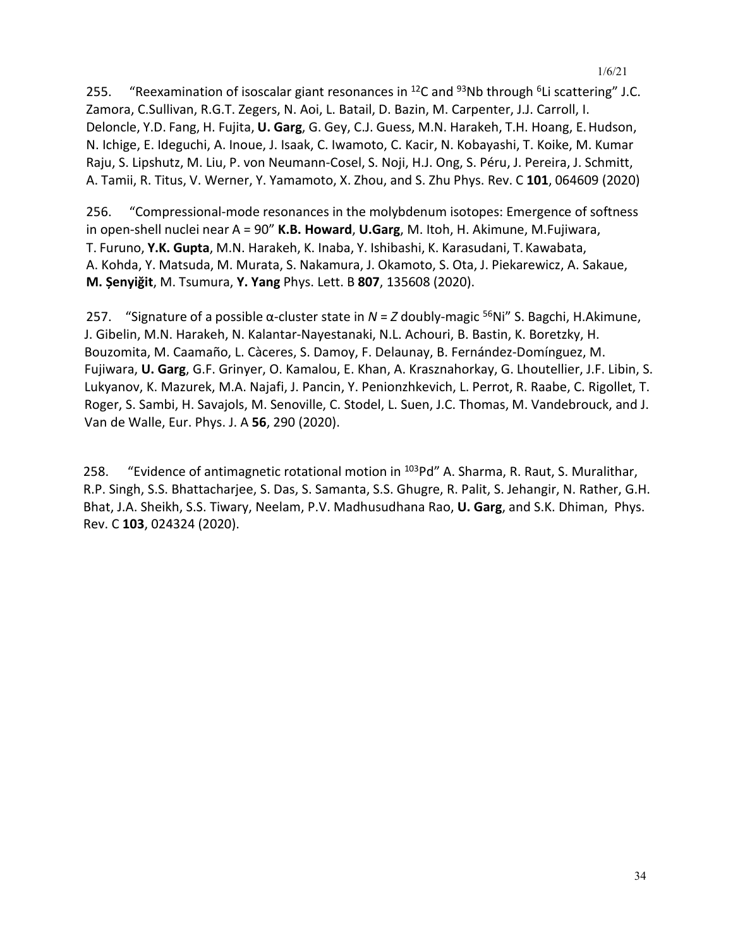255. "Reexamination of isoscalar giant resonances in <sup>12</sup>C and <sup>93</sup>Nb through <sup>6</sup>Li scattering" J.C. Zamora, C.Sullivan, R.G.T. Zegers, N. Aoi, L. Batail, D. Bazin, M. Carpenter, J.J. Carroll, I. Deloncle, Y.D. Fang, H. Fujita, **U. Garg**, G. Gey, C.J. Guess, M.N. Harakeh, T.H. Hoang, E.Hudson, N. Ichige, E. Ideguchi, A. Inoue, J. Isaak, C. Iwamoto, C. Kacir, N. Kobayashi, T. Koike, M. Kumar Raju, S. Lipshutz, M. Liu, P. von Neumann-Cosel, S. Noji, H.J. Ong, S. Péru, J. Pereira, J. Schmitt, A. Tamii, R. Titus, V. Werner, Y. Yamamoto, X. Zhou, and S. Zhu Phys. Rev. C **101**, 064609 (2020)

256. "Compressional-mode resonances in the molybdenum isotopes: Emergence of softness in open-shell nuclei near A = 90" **K.B. Howard**, **U.Garg**, M. Itoh, H. Akimune, M.Fujiwara, T. Furuno, **Y.K. Gupta**, M.N. Harakeh, K. Inaba, Y. Ishibashi, K. Karasudani, T.Kawabata, A. Kohda, Y. Matsuda, M. Murata, S. Nakamura, J. Okamoto, S. Ota, J. Piekarewicz, A. Sakaue, **M. Șenyiğit**, M. Tsumura, **Y. Yang** Phys. Lett. B **807**, 135608 (2020).

257. "Signature of a possible α-cluster state in *N* = *Z* doubly-magic 56Ni" S. Bagchi, H.Akimune, J. Gibelin, M.N. Harakeh, N. Kalantar-Nayestanaki, N.L. Achouri, B. Bastin, K. Boretzky, H. Bouzomita, M. Caamaño, L. Càceres, S. Damoy, F. Delaunay, B. Fernández-Domínguez, M. Fujiwara, **U. Garg**, G.F. Grinyer, O. Kamalou, E. Khan, A. Krasznahorkay, G. Lhoutellier, J.F. Libin, S. Lukyanov, K. Mazurek, M.A. Najafi, J. Pancin, Y. Penionzhkevich, L. Perrot, R. Raabe, C. Rigollet, T. Roger, S. Sambi, H. Savajols, M. Senoville, C. Stodel, L. Suen, J.C. Thomas, M. Vandebrouck, and J. Van de Walle, Eur. Phys. J. A **56**, 290 (2020).

258. "Evidence of antimagnetic rotational motion in <sup>103</sup>Pd" A. Sharma, R. Raut, S. Muralithar, R.P. Singh, S.S. Bhattacharjee, S. Das, S. Samanta, S.S. Ghugre, R. Palit, S. Jehangir, N. Rather, G.H. Bhat, J.A. Sheikh, S.S. Tiwary, Neelam, P.V. Madhusudhana Rao, **U. Garg**, and S.K. Dhiman, Phys. Rev. C **103**, 024324 (2020).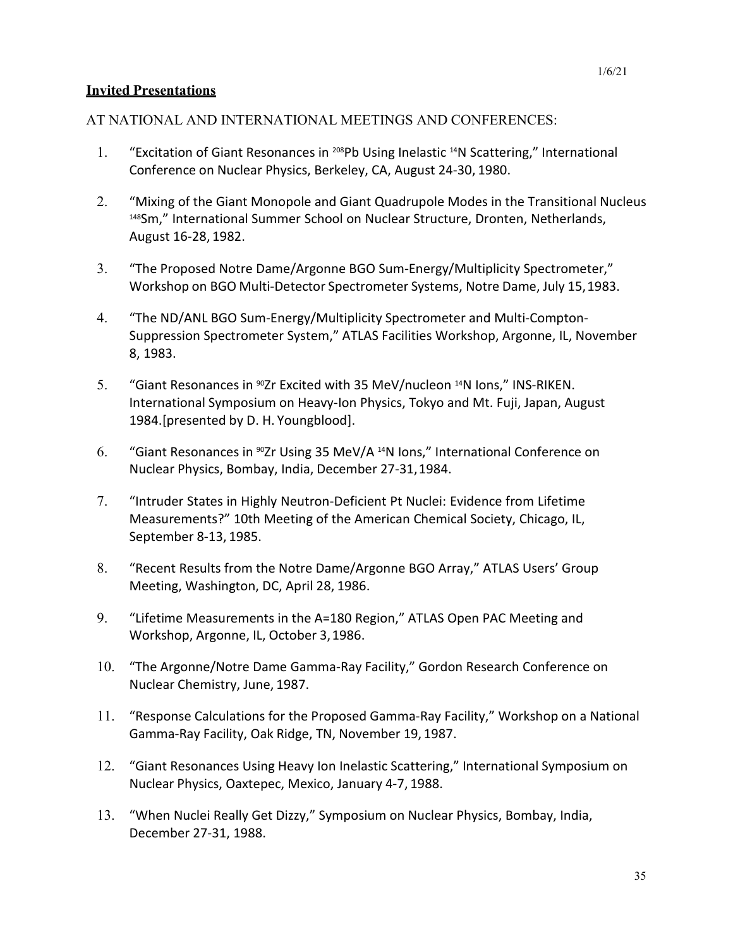### **Invited Presentations**

## AT NATIONAL AND INTERNATIONAL MEETINGS AND CONFERENCES:

- 1. "Excitation of Giant Resonances in 208Pb Using Inelastic 14N Scattering," International Conference on Nuclear Physics, Berkeley, CA, August 24-30, 1980.
- 2. "Mixing of the Giant Monopole and Giant Quadrupole Modes in the Transitional Nucleus 148Sm," International Summer School on Nuclear Structure, Dronten, Netherlands, August 16-28, 1982.
- 3. "The Proposed Notre Dame/Argonne BGO Sum-Energy/Multiplicity Spectrometer," Workshop on BGO Multi-Detector Spectrometer Systems, Notre Dame, July 15,1983.
- 4. "The ND/ANL BGO Sum-Energy/Multiplicity Spectrometer and Multi-Compton-Suppression Spectrometer System," ATLAS Facilities Workshop, Argonne, IL, November 8, 1983.
- 5. "Giant Resonances in <sup>90</sup>Zr Excited with 35 MeV/nucleon <sup>14</sup>N Ions," INS-RIKEN. International Symposium on Heavy-Ion Physics, Tokyo and Mt. Fuji, Japan, August 1984.[presented by D. H. Youngblood].
- 6. "Giant Resonances in 90Zr Using 35 MeV/A 14N Ions," International Conference on Nuclear Physics, Bombay, India, December 27-31,1984.
- 7. "Intruder States in Highly Neutron-Deficient Pt Nuclei: Evidence from Lifetime Measurements?" 10th Meeting of the American Chemical Society, Chicago, IL, September 8-13, 1985.
- 8. "Recent Results from the Notre Dame/Argonne BGO Array," ATLAS Users' Group Meeting, Washington, DC, April 28, 1986.
- 9. "Lifetime Measurements in the A=180 Region," ATLAS Open PAC Meeting and Workshop, Argonne, IL, October 3,1986.
- 10. "The Argonne/Notre Dame Gamma-Ray Facility," Gordon Research Conference on Nuclear Chemistry, June, 1987.
- 11. "Response Calculations for the Proposed Gamma-Ray Facility," Workshop on a National Gamma-Ray Facility, Oak Ridge, TN, November 19, 1987.
- 12. "Giant Resonances Using Heavy Ion Inelastic Scattering," International Symposium on Nuclear Physics, Oaxtepec, Mexico, January 4-7, 1988.
- 13. "When Nuclei Really Get Dizzy," Symposium on Nuclear Physics, Bombay, India, December 27-31, 1988.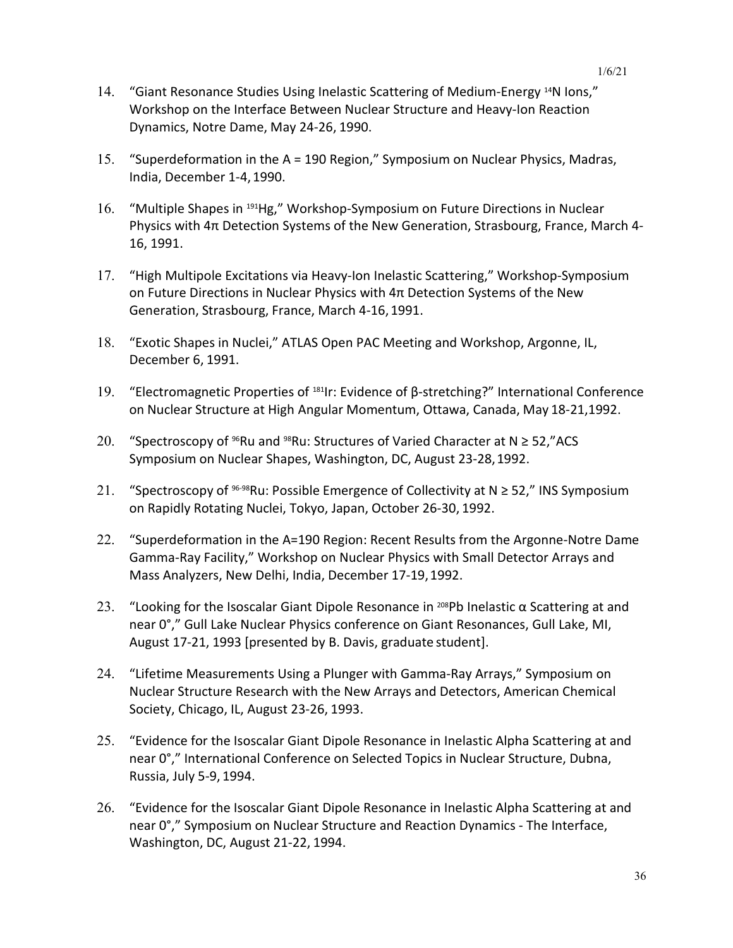- 14. "Giant Resonance Studies Using Inelastic Scattering of Medium-Energy <sup>14</sup>N Ions," Workshop on the Interface Between Nuclear Structure and Heavy-Ion Reaction Dynamics, Notre Dame, May 24-26, 1990.
- 15. "Superdeformation in the A = 190 Region," Symposium on Nuclear Physics, Madras, India, December 1-4,1990.
- 16. "Multiple Shapes in <sup>191</sup>Hg," Workshop-Symposium on Future Directions in Nuclear Physics with 4π Detection Systems of the New Generation, Strasbourg, France, March 4- 16, 1991.
- 17. "High Multipole Excitations via Heavy-Ion Inelastic Scattering," Workshop-Symposium on Future Directions in Nuclear Physics with 4π Detection Systems of the New Generation, Strasbourg, France, March 4-16, 1991.
- 18. "Exotic Shapes in Nuclei," ATLAS Open PAC Meeting and Workshop, Argonne, IL, December 6, 1991.
- 19. "Electromagnetic Properties of 181Ir: Evidence of β-stretching?" International Conference on Nuclear Structure at High Angular Momentum, Ottawa, Canada, May 18-21,1992.
- 20. "Spectroscopy of <sup>96</sup>Ru and <sup>98</sup>Ru: Structures of Varied Character at N  $\geq$  52,"ACS Symposium on Nuclear Shapes, Washington, DC, August 23-28,1992.
- 21. "Spectroscopy of  $96-98$ Ru: Possible Emergence of Collectivity at N  $\geq$  52," INS Symposium on Rapidly Rotating Nuclei, Tokyo, Japan, October 26-30, 1992.
- 22. "Superdeformation in the A=190 Region: Recent Results from the Argonne-Notre Dame Gamma-Ray Facility," Workshop on Nuclear Physics with Small Detector Arrays and Mass Analyzers, New Delhi, India, December 17-19,1992.
- 23. "Looking for the Isoscalar Giant Dipole Resonance in <sup>208</sup>Pb Inelastic  $\alpha$  Scattering at and near 0°," Gull Lake Nuclear Physics conference on Giant Resonances, Gull Lake, MI, August 17-21, 1993 [presented by B. Davis, graduate student].
- 24. "Lifetime Measurements Using a Plunger with Gamma-Ray Arrays," Symposium on Nuclear Structure Research with the New Arrays and Detectors, American Chemical Society, Chicago, IL, August 23-26, 1993.
- 25. "Evidence for the Isoscalar Giant Dipole Resonance in Inelastic Alpha Scattering at and near 0°," International Conference on Selected Topics in Nuclear Structure, Dubna, Russia, July 5-9, 1994.
- 26. "Evidence for the Isoscalar Giant Dipole Resonance in Inelastic Alpha Scattering at and near 0°," Symposium on Nuclear Structure and Reaction Dynamics - The Interface, Washington, DC, August 21-22, 1994.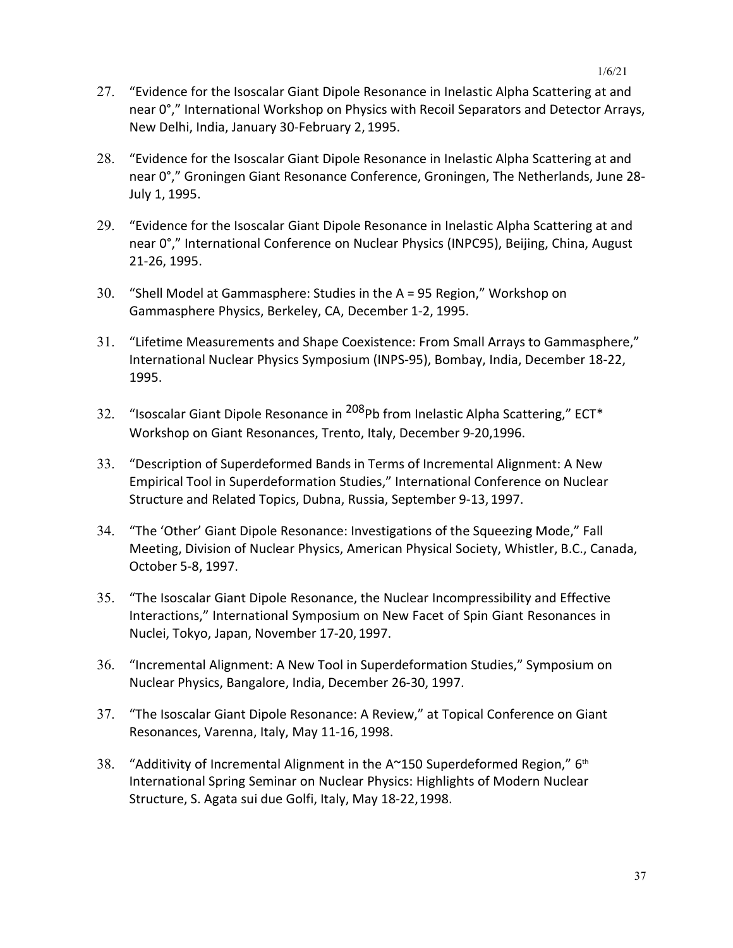- 27. "Evidence for the Isoscalar Giant Dipole Resonance in Inelastic Alpha Scattering at and near 0°," International Workshop on Physics with Recoil Separators and Detector Arrays, New Delhi, India, January 30-February 2, 1995.
- 28. "Evidence for the Isoscalar Giant Dipole Resonance in Inelastic Alpha Scattering at and near 0°," Groningen Giant Resonance Conference, Groningen, The Netherlands, June 28- July 1, 1995.
- 29. "Evidence for the Isoscalar Giant Dipole Resonance in Inelastic Alpha Scattering at and near 0°," International Conference on Nuclear Physics (INPC95), Beijing, China, August 21-26, 1995.
- 30. "Shell Model at Gammasphere: Studies in the A = 95 Region," Workshop on Gammasphere Physics, Berkeley, CA, December 1-2, 1995.
- 31. "Lifetime Measurements and Shape Coexistence: From Small Arrays to Gammasphere," International Nuclear Physics Symposium (INPS-95), Bombay, India, December 18-22, 1995.
- 32. "Isoscalar Giant Dipole Resonance in <sup>208</sup>Pb from Inelastic Alpha Scattering," ECT\* Workshop on Giant Resonances, Trento, Italy, December 9-20,1996.
- 33. "Description of Superdeformed Bands in Terms of Incremental Alignment: A New Empirical Tool in Superdeformation Studies," International Conference on Nuclear Structure and Related Topics, Dubna, Russia, September 9-13, 1997.
- 34. "The 'Other' Giant Dipole Resonance: Investigations of the Squeezing Mode," Fall Meeting, Division of Nuclear Physics, American Physical Society, Whistler, B.C., Canada, October 5-8, 1997.
- 35. "The Isoscalar Giant Dipole Resonance, the Nuclear Incompressibility and Effective Interactions," International Symposium on New Facet of Spin Giant Resonances in Nuclei, Tokyo, Japan, November 17-20, 1997.
- 36. "Incremental Alignment: A New Tool in Superdeformation Studies," Symposium on Nuclear Physics, Bangalore, India, December 26-30, 1997.
- 37. "The Isoscalar Giant Dipole Resonance: A Review," at Topical Conference on Giant Resonances, Varenna, Italy, May 11-16, 1998.
- 38. "Additivity of Incremental Alignment in the A~150 Superdeformed Region," 6<sup>th</sup> International Spring Seminar on Nuclear Physics: Highlights of Modern Nuclear Structure, S. Agata sui due Golfi, Italy, May 18-22,1998.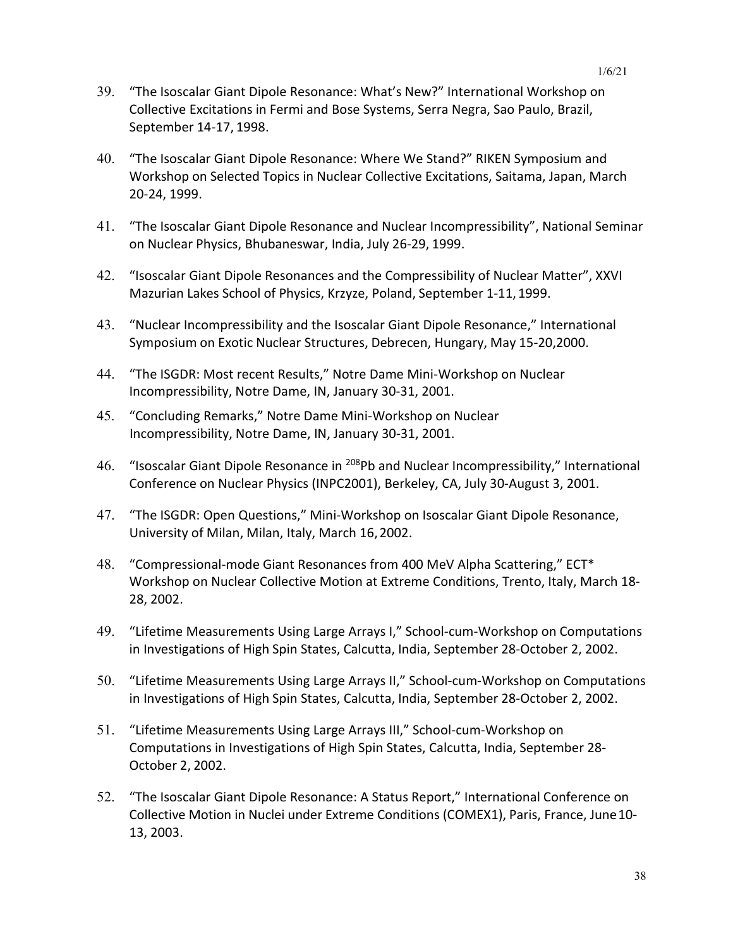- 39. "The Isoscalar Giant Dipole Resonance: What's New?" International Workshop on Collective Excitations in Fermi and Bose Systems, Serra Negra, Sao Paulo, Brazil, September 14-17, 1998.
- 40. "The Isoscalar Giant Dipole Resonance: Where We Stand?" RIKEN Symposium and Workshop on Selected Topics in Nuclear Collective Excitations, Saitama, Japan, March 20-24, 1999.
- 41. "The Isoscalar Giant Dipole Resonance and Nuclear Incompressibility", National Seminar on Nuclear Physics, Bhubaneswar, India, July 26-29, 1999.
- 42. "Isoscalar Giant Dipole Resonances and the Compressibility of Nuclear Matter", XXVI Mazurian Lakes School of Physics, Krzyze, Poland, September 1-11, 1999.
- 43. "Nuclear Incompressibility and the Isoscalar Giant Dipole Resonance," International Symposium on Exotic Nuclear Structures, Debrecen, Hungary, May 15-20,2000.
- 44. "The ISGDR: Most recent Results," Notre Dame Mini-Workshop on Nuclear Incompressibility, Notre Dame, IN, January 30-31, 2001.
- 45. "Concluding Remarks," Notre Dame Mini-Workshop on Nuclear Incompressibility, Notre Dame, IN, January 30-31, 2001.
- 46. "Isoscalar Giant Dipole Resonance in <sup>208</sup>Pb and Nuclear Incompressibility," International Conference on Nuclear Physics (INPC2001), Berkeley, CA, July 30-August 3, 2001.
- 47. "The ISGDR: Open Questions," Mini-Workshop on Isoscalar Giant Dipole Resonance, University of Milan, Milan, Italy, March 16,2002.
- 48. "Compressional-mode Giant Resonances from 400 MeV Alpha Scattering," ECT\* Workshop on Nuclear Collective Motion at Extreme Conditions, Trento, Italy, March 18- 28, 2002.
- 49. "Lifetime Measurements Using Large Arrays I," School-cum-Workshop on Computations in Investigations of High Spin States, Calcutta, India, September 28-October 2, 2002.
- 50. "Lifetime Measurements Using Large Arrays II," School-cum-Workshop on Computations in Investigations of High Spin States, Calcutta, India, September 28-October 2, 2002.
- 51. "Lifetime Measurements Using Large Arrays III," School-cum-Workshop on Computations in Investigations of High Spin States, Calcutta, India, September 28- October 2, 2002.
- 52. "The Isoscalar Giant Dipole Resonance: A Status Report," International Conference on Collective Motion in Nuclei under Extreme Conditions (COMEX1), Paris, France, June10- 13, 2003.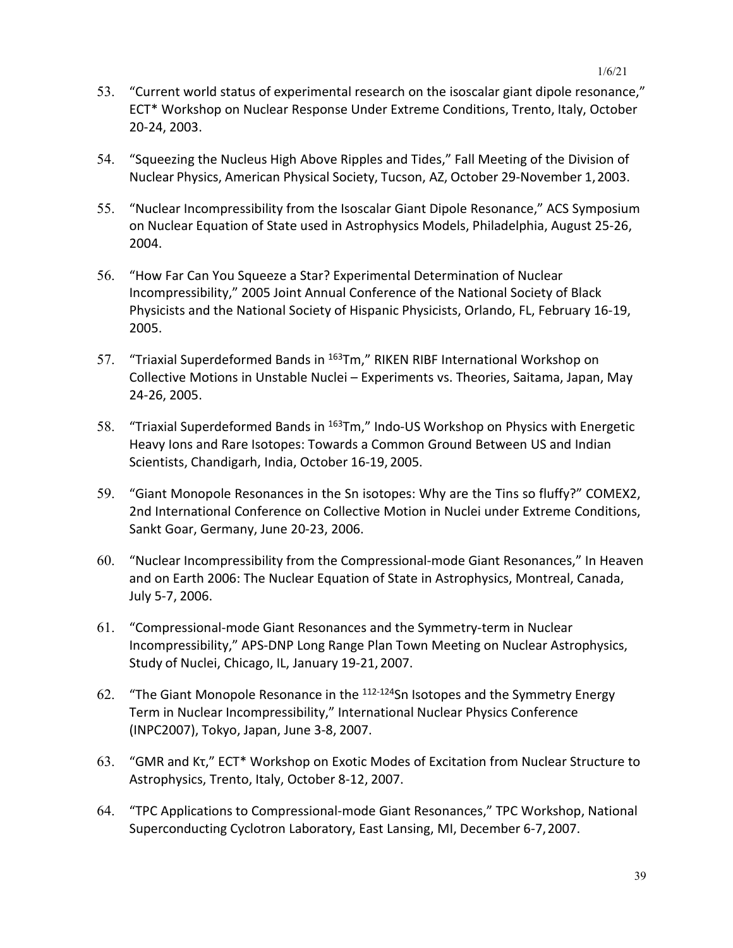- 53. "Current world status of experimental research on the isoscalar giant dipole resonance," ECT\* Workshop on Nuclear Response Under Extreme Conditions, Trento, Italy, October 20-24, 2003.
- 54. "Squeezing the Nucleus High Above Ripples and Tides," Fall Meeting of the Division of Nuclear Physics, American Physical Society, Tucson, AZ, October 29-November 1,2003.
- 55. "Nuclear Incompressibility from the Isoscalar Giant Dipole Resonance," ACS Symposium on Nuclear Equation of State used in Astrophysics Models, Philadelphia, August 25-26, 2004.
- 56. "How Far Can You Squeeze a Star? Experimental Determination of Nuclear Incompressibility," 2005 Joint Annual Conference of the National Society of Black Physicists and the National Society of Hispanic Physicists, Orlando, FL, February 16-19, 2005.
- 57. "Triaxial Superdeformed Bands in <sup>163</sup>Tm," RIKEN RIBF International Workshop on Collective Motions in Unstable Nuclei – Experiments vs. Theories, Saitama, Japan, May 24-26, 2005.
- 58. "Triaxial Superdeformed Bands in <sup>163</sup>Tm," Indo-US Workshop on Physics with Energetic Heavy Ions and Rare Isotopes: Towards a Common Ground Between US and Indian Scientists, Chandigarh, India, October 16-19, 2005.
- 59. "Giant Monopole Resonances in the Sn isotopes: Why are the Tins so fluffy?" COMEX2, 2nd International Conference on Collective Motion in Nuclei under Extreme Conditions, Sankt Goar, Germany, June 20-23, 2006.
- 60. "Nuclear Incompressibility from the Compressional-mode Giant Resonances," In Heaven and on Earth 2006: The Nuclear Equation of State in Astrophysics, Montreal, Canada, July 5-7, 2006.
- 61. "Compressional-mode Giant Resonances and the Symmetry-term in Nuclear Incompressibility," APS-DNP Long Range Plan Town Meeting on Nuclear Astrophysics, Study of Nuclei, Chicago, IL, January 19-21, 2007.
- 62. "The Giant Monopole Resonance in the  $112-124$ Sn Isotopes and the Symmetry Energy Term in Nuclear Incompressibility," International Nuclear Physics Conference (INPC2007), Tokyo, Japan, June 3-8, 2007.
- 63. "GMR and Kτ," ECT\* Workshop on Exotic Modes of Excitation from Nuclear Structure to Astrophysics, Trento, Italy, October 8-12, 2007.
- 64. "TPC Applications to Compressional-mode Giant Resonances," TPC Workshop, National Superconducting Cyclotron Laboratory, East Lansing, MI, December 6-7,2007.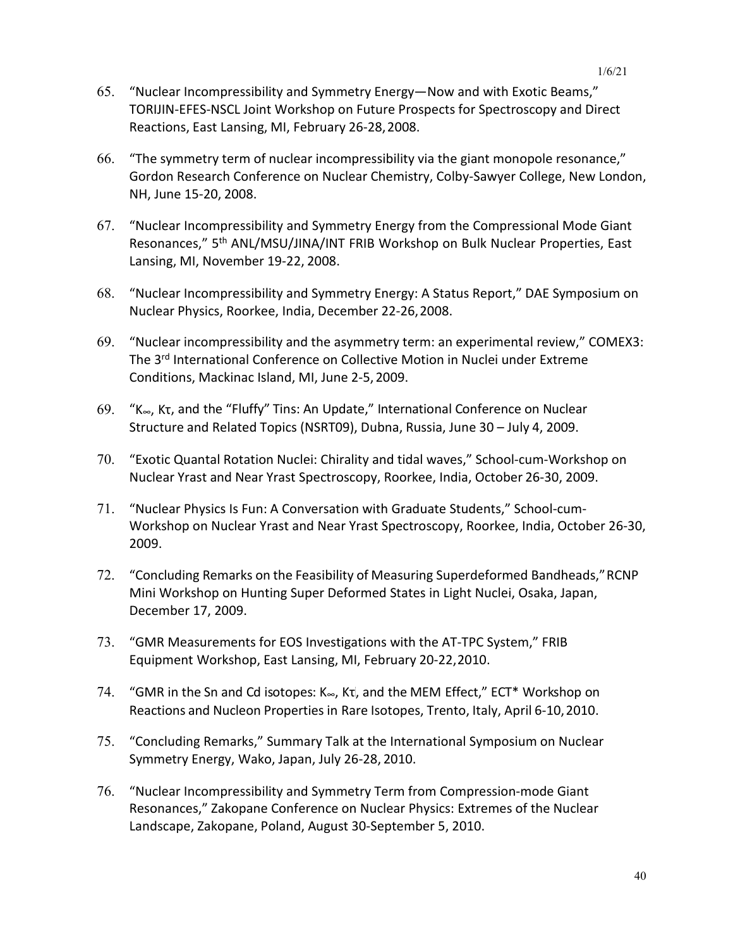- 65. "Nuclear Incompressibility and Symmetry Energy—Now and with Exotic Beams," TORIJIN-EFES-NSCL Joint Workshop on Future Prospects for Spectroscopy and Direct Reactions, East Lansing, MI, February 26-28,2008.
- 66. "The symmetry term of nuclear incompressibility via the giant monopole resonance," Gordon Research Conference on Nuclear Chemistry, Colby-Sawyer College, New London, NH, June 15-20, 2008.
- 67. "Nuclear Incompressibility and Symmetry Energy from the Compressional Mode Giant Resonances," 5<sup>th</sup> ANL/MSU/JINA/INT FRIB Workshop on Bulk Nuclear Properties, East Lansing, MI, November 19-22, 2008.
- 68. "Nuclear Incompressibility and Symmetry Energy: A Status Report," DAE Symposium on Nuclear Physics, Roorkee, India, December 22-26,2008.
- 69. "Nuclear incompressibility and the asymmetry term: an experimental review," COMEX3: The 3rd International Conference on Collective Motion in Nuclei under Extreme Conditions, Mackinac Island, MI, June 2-5, 2009.
- 69. "K∞, , Kτ, and the "Fluffy" Tins: An Update," International Conference on Nuclear Structure and Related Topics (NSRT09), Dubna, Russia, June 30 – July 4, 2009.
- 70. "Exotic Quantal Rotation Nuclei: Chirality and tidal waves," School-cum-Workshop on Nuclear Yrast and Near Yrast Spectroscopy, Roorkee, India, October 26-30, 2009.
- 71. "Nuclear Physics Is Fun: A Conversation with Graduate Students," School-cum-Workshop on Nuclear Yrast and Near Yrast Spectroscopy, Roorkee, India, October 26-30, 2009.
- 72. "Concluding Remarks on the Feasibility of Measuring Superdeformed Bandheads,"RCNP Mini Workshop on Hunting Super Deformed States in Light Nuclei, Osaka, Japan, December 17, 2009.
- 73. "GMR Measurements for EOS Investigations with the AT-TPC System," FRIB Equipment Workshop, East Lansing, MI, February 20-22,2010.
- 74. "GMR in the Sn and Cd isotopes:  $K_{\infty}$ , K<sub>T</sub>, and the MEM Effect," ECT\* Workshop on Reactions and Nucleon Properties in Rare Isotopes, Trento, Italy, April 6-10,2010.
- 75. "Concluding Remarks," Summary Talk at the International Symposium on Nuclear Symmetry Energy, Wako, Japan, July 26-28, 2010.
- 76. "Nuclear Incompressibility and Symmetry Term from Compression-mode Giant Resonances," Zakopane Conference on Nuclear Physics: Extremes of the Nuclear Landscape, Zakopane, Poland, August 30-September 5, 2010.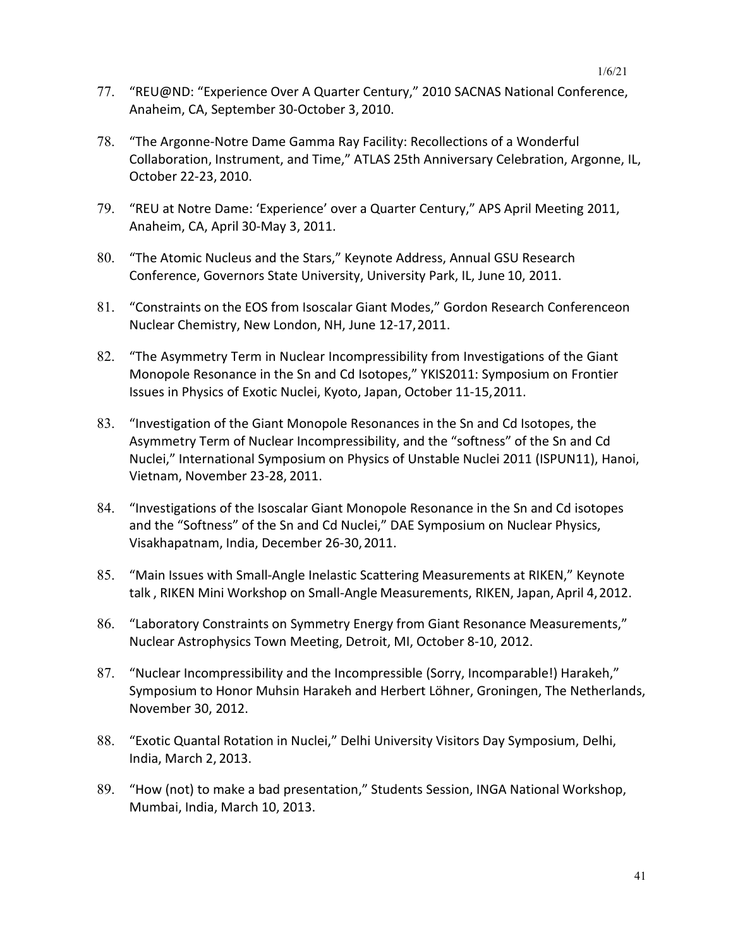- 77. "REU@ND: "Experience Over A Quarter Century," 2010 SACNAS National Conference, Anaheim, CA, September 30-October 3, 2010.
- 78. "The Argonne-Notre Dame Gamma Ray Facility: Recollections of a Wonderful Collaboration, Instrument, and Time," ATLAS 25th Anniversary Celebration, Argonne, IL, October 22-23, 2010.
- 79. "REU at Notre Dame: 'Experience' over a Quarter Century," APS April Meeting 2011, Anaheim, CA, April 30-May 3, 2011.
- 80. "The Atomic Nucleus and the Stars," Keynote Address, Annual GSU Research Conference, Governors State University, University Park, IL, June 10, 2011.
- 81. "Constraints on the EOS from Isoscalar Giant Modes," Gordon Research Conferenceon Nuclear Chemistry, New London, NH, June 12-17,2011.
- 82. "The Asymmetry Term in Nuclear Incompressibility from Investigations of the Giant Monopole Resonance in the Sn and Cd Isotopes," YKIS2011: Symposium on Frontier Issues in Physics of Exotic Nuclei, Kyoto, Japan, October 11-15,2011.
- 83. "Investigation of the Giant Monopole Resonances in the Sn and Cd Isotopes, the Asymmetry Term of Nuclear Incompressibility, and the "softness" of the Sn and Cd Nuclei," International Symposium on Physics of Unstable Nuclei 2011 (ISPUN11), Hanoi, Vietnam, November 23-28, 2011.
- 84. "Investigations of the Isoscalar Giant Monopole Resonance in the Sn and Cd isotopes and the "Softness" of the Sn and Cd Nuclei," DAE Symposium on Nuclear Physics, Visakhapatnam, India, December 26-30,2011.
- 85. "Main Issues with Small-Angle Inelastic Scattering Measurements at RIKEN," Keynote talk , RIKEN Mini Workshop on Small-Angle Measurements, RIKEN, Japan, April 4,2012.
- 86. "Laboratory Constraints on Symmetry Energy from Giant Resonance Measurements," Nuclear Astrophysics Town Meeting, Detroit, MI, October 8-10, 2012.
- 87. "Nuclear Incompressibility and the Incompressible (Sorry, Incomparable!) Harakeh," Symposium to Honor Muhsin Harakeh and Herbert Löhner, Groningen, The Netherlands, November 30, 2012.
- 88. "Exotic Quantal Rotation in Nuclei," Delhi University Visitors Day Symposium, Delhi, India, March 2, 2013.
- 89. "How (not) to make a bad presentation," Students Session, INGA National Workshop, Mumbai, India, March 10, 2013.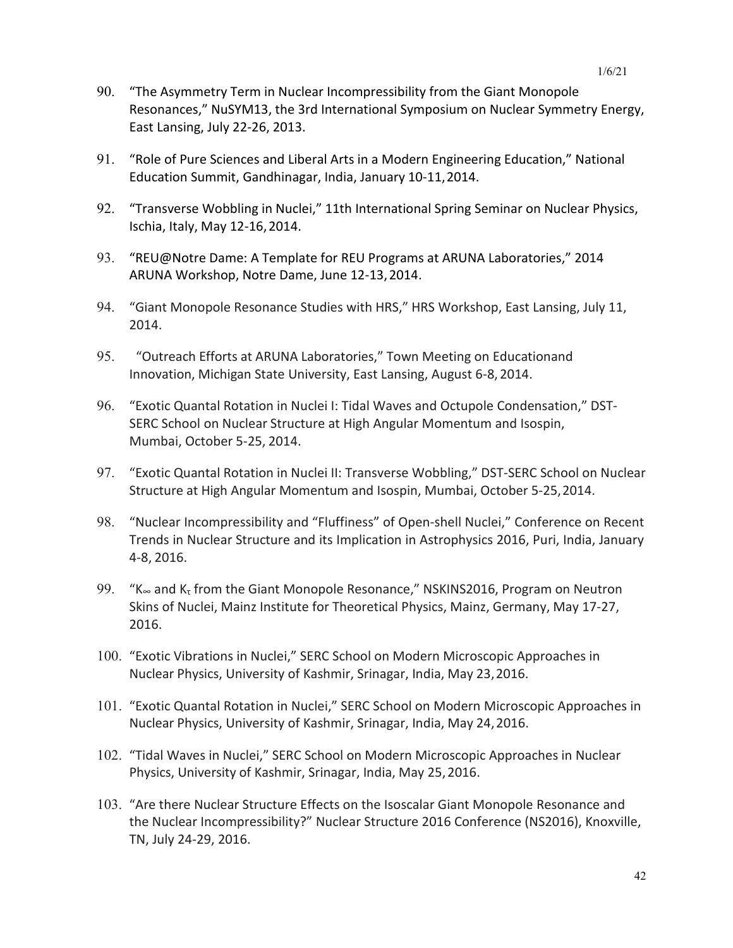- 90. "The Asymmetry Term in Nuclear Incompressibility from the Giant Monopole Resonances," NuSYM13, the 3rd International Symposium on Nuclear Symmetry Energy, East Lansing, July 22-26, 2013.
- 91. "Role of Pure Sciences and Liberal Arts in a Modern Engineering Education," National Education Summit, Gandhinagar, India, January 10-11,2014.
- 92. "Transverse Wobbling in Nuclei," 11th International Spring Seminar on Nuclear Physics, Ischia, Italy, May 12-16,2014.
- 93. "REU@Notre Dame: A Template for REU Programs at ARUNA Laboratories," 2014 ARUNA Workshop, Notre Dame, June 12-13,2014.
- 94. "Giant Monopole Resonance Studies with HRS," HRS Workshop, East Lansing, July 11, 2014.
- 95. "Outreach Efforts at ARUNA Laboratories," Town Meeting on Educationand Innovation, Michigan State University, East Lansing, August 6-8, 2014.
- 96. "Exotic Quantal Rotation in Nuclei I: Tidal Waves and Octupole Condensation," DST-SERC School on Nuclear Structure at High Angular Momentum and Isospin, Mumbai, October 5-25, 2014.
- 97. "Exotic Quantal Rotation in Nuclei II: Transverse Wobbling," DST-SERC School on Nuclear Structure at High Angular Momentum and Isospin, Mumbai, October 5-25,2014.
- 98. "Nuclear Incompressibility and "Fluffiness" of Open-shell Nuclei," Conference on Recent Trends in Nuclear Structure and its Implication in Astrophysics 2016, Puri, India, January 4-8, 2016.
- 99. "K $\approx$  and K<sub>t</sub> from the Giant Monopole Resonance," NSKINS2016, Program on Neutron Skins of Nuclei, Mainz Institute for Theoretical Physics, Mainz, Germany, May 17-27, 2016.
- 100. "Exotic Vibrations in Nuclei," SERC School on Modern Microscopic Approaches in Nuclear Physics, University of Kashmir, Srinagar, India, May 23,2016.
- 101. "Exotic Quantal Rotation in Nuclei," SERC School on Modern Microscopic Approaches in Nuclear Physics, University of Kashmir, Srinagar, India, May 24,2016.
- 102. "Tidal Waves in Nuclei," SERC School on Modern Microscopic Approaches in Nuclear Physics, University of Kashmir, Srinagar, India, May 25,2016.
- 103. "Are there Nuclear Structure Effects on the Isoscalar Giant Monopole Resonance and the Nuclear Incompressibility?" Nuclear Structure 2016 Conference (NS2016), Knoxville, TN, July 24-29, 2016.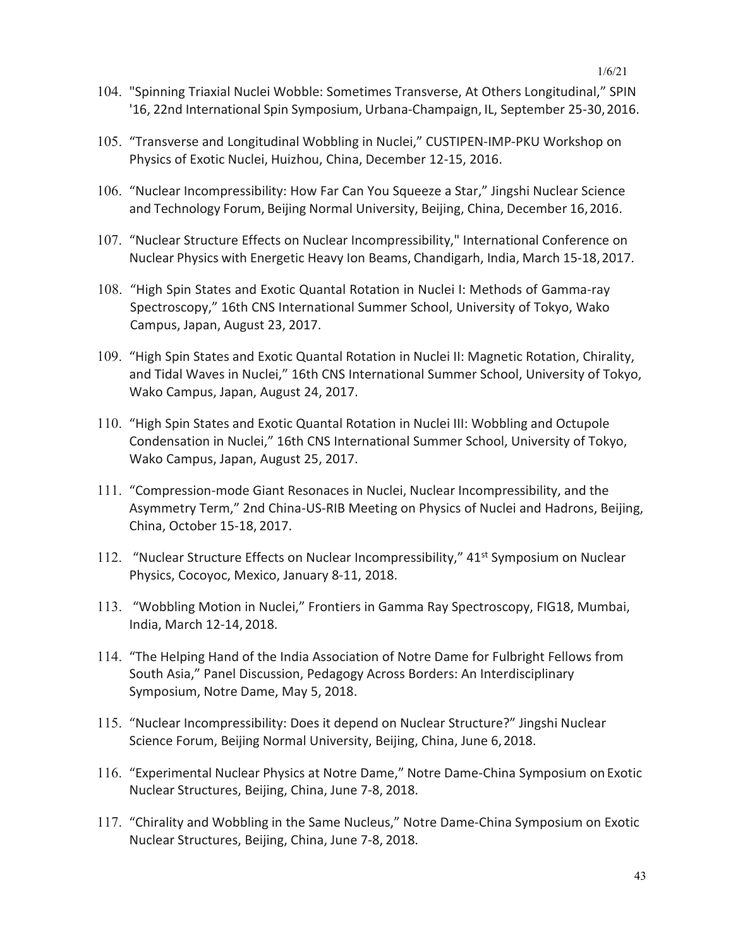- 104. "Spinning Triaxial Nuclei Wobble: Sometimes Transverse, At Others Longitudinal," SPIN '16, 22nd International Spin Symposium, Urbana-Champaign, IL, September 25-30,2016.
- 105. "Transverse and Longitudinal Wobbling in Nuclei," CUSTIPEN-IMP-PKU Workshop on Physics of Exotic Nuclei, Huizhou, China, December 12-15, 2016.
- 106. "Nuclear Incompressibility: How Far Can You Squeeze a Star," Jingshi Nuclear Science and Technology Forum, Beijing Normal University, Beijing, China, December 16,2016.
- 107. "Nuclear Structure Effects on Nuclear Incompressibility," International Conference on Nuclear Physics with Energetic Heavy Ion Beams, Chandigarh, India, March 15-18,2017.
- 108. "High Spin States and Exotic Quantal Rotation in Nuclei I: Methods of Gamma-ray Spectroscopy," 16th CNS International Summer School, University of Tokyo, Wako Campus, Japan, August 23, 2017.
- 109. "High Spin States and Exotic Quantal Rotation in Nuclei II: Magnetic Rotation, Chirality, and Tidal Waves in Nuclei," 16th CNS International Summer School, University of Tokyo, Wako Campus, Japan, August 24, 2017.
- 110. "High Spin States and Exotic Quantal Rotation in Nuclei III: Wobbling and Octupole Condensation in Nuclei," 16th CNS International Summer School, University of Tokyo, Wako Campus, Japan, August 25, 2017.
- 111. "Compression-mode Giant Resonaces in Nuclei, Nuclear Incompressibility, and the Asymmetry Term," 2nd China-US-RIB Meeting on Physics of Nuclei and Hadrons, Beijing, China, October 15-18, 2017.
- 112. "Nuclear Structure Effects on Nuclear Incompressibility," 41<sup>st</sup> Symposium on Nuclear Physics, Cocoyoc, Mexico, January 8-11, 2018.
- 113. "Wobbling Motion in Nuclei," Frontiers in Gamma Ray Spectroscopy, FIG18, Mumbai, India, March 12-14, 2018.
- 114. "The Helping Hand of the India Association of Notre Dame for Fulbright Fellows from South Asia," Panel Discussion, Pedagogy Across Borders: An Interdisciplinary Symposium, Notre Dame, May 5, 2018.
- 115. "Nuclear Incompressibility: Does it depend on Nuclear Structure?" Jingshi Nuclear Science Forum, Beijing Normal University, Beijing, China, June 6,2018.
- 116. "Experimental Nuclear Physics at Notre Dame," Notre Dame-China Symposium on Exotic Nuclear Structures, Beijing, China, June 7-8, 2018.
- 117. "Chirality and Wobbling in the Same Nucleus," Notre Dame-China Symposium on Exotic Nuclear Structures, Beijing, China, June 7-8, 2018.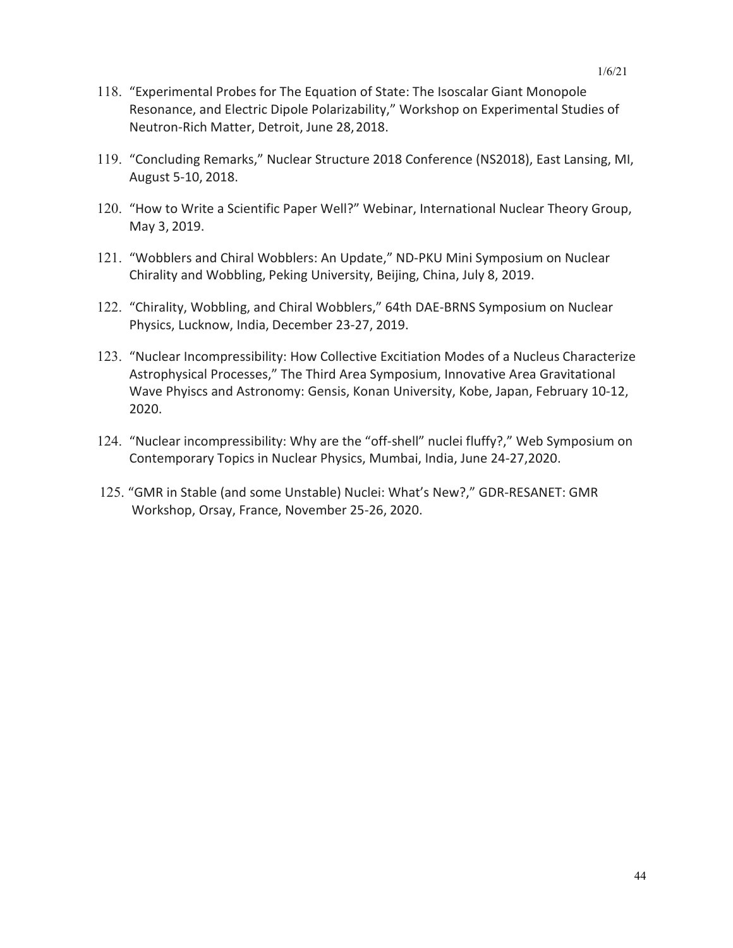- 118. "Experimental Probes for The Equation of State: The Isoscalar Giant Monopole Resonance, and Electric Dipole Polarizability," Workshop on Experimental Studies of Neutron-Rich Matter, Detroit, June 28,2018.
- 119. "Concluding Remarks," Nuclear Structure 2018 Conference (NS2018), East Lansing, MI, August 5-10, 2018.
- 120. "How to Write a Scientific Paper Well?" Webinar, International Nuclear Theory Group, May 3, 2019.
- 121. "Wobblers and Chiral Wobblers: An Update," ND-PKU Mini Symposium on Nuclear Chirality and Wobbling, Peking University, Beijing, China, July 8, 2019.
- 122. "Chirality, Wobbling, and Chiral Wobblers," 64th DAE-BRNS Symposium on Nuclear Physics, Lucknow, India, December 23-27, 2019.
- 123. "Nuclear Incompressibility: How Collective Excitiation Modes of a Nucleus Characterize Astrophysical Processes," The Third Area Symposium, Innovative Area Gravitational Wave Phyiscs and Astronomy: Gensis, Konan University, Kobe, Japan, February 10-12, 2020.
- 124. "Nuclear incompressibility: Why are the "off-shell" nuclei fluffy?," Web Symposium on Contemporary Topics in Nuclear Physics, Mumbai, India, June 24-27,2020.
- 125. "GMR in Stable (and some Unstable) Nuclei: What's New?," GDR-RESANET: GMR Workshop, Orsay, France, November 25-26, 2020.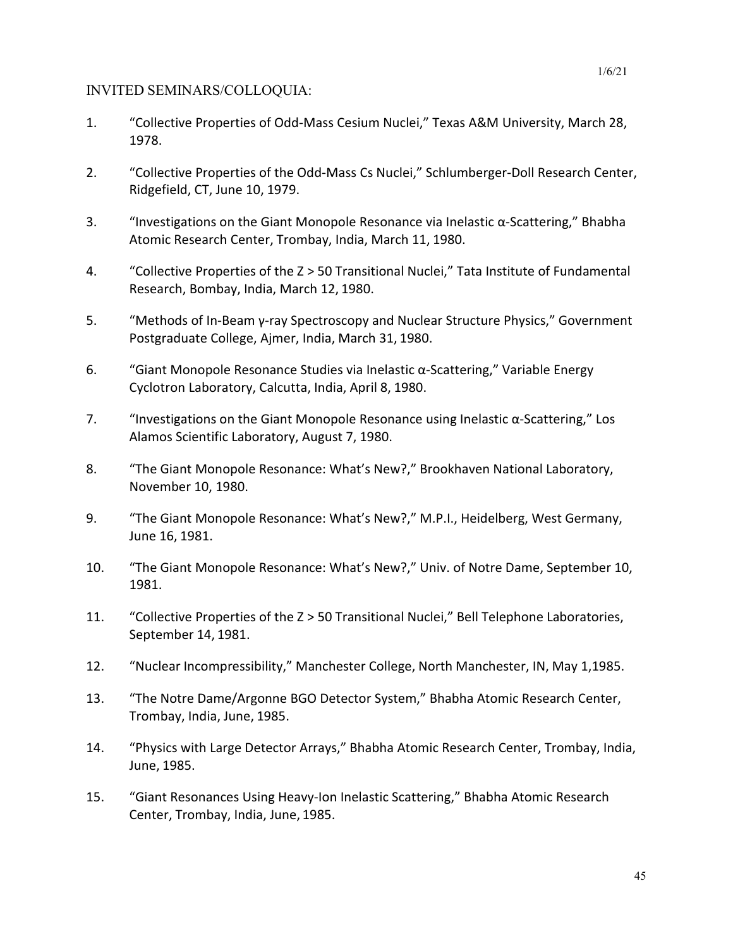## INVITED SEMINARS/COLLOQUIA:

- 1. "Collective Properties of Odd-Mass Cesium Nuclei," Texas A&M University, March 28, 1978.
- 2. "Collective Properties of the Odd-Mass Cs Nuclei," Schlumberger-Doll Research Center, Ridgefield, CT, June 10, 1979.
- 3. "Investigations on the Giant Monopole Resonance via Inelastic  $\alpha$ -Scattering," Bhabha Atomic Research Center, Trombay, India, March 11, 1980.
- 4. "Collective Properties of the Z > 50 Transitional Nuclei," Tata Institute of Fundamental Research, Bombay, India, March 12, 1980.
- 5. "Methods of In-Beam γ-ray Spectroscopy and Nuclear Structure Physics," Government Postgraduate College, Ajmer, India, March 31, 1980.
- 6. "Giant Monopole Resonance Studies via Inelastic α-Scattering," Variable Energy Cyclotron Laboratory, Calcutta, India, April 8, 1980.
- 7. "Investigations on the Giant Monopole Resonance using Inelastic  $\alpha$ -Scattering," Los Alamos Scientific Laboratory, August 7, 1980.
- 8. "The Giant Monopole Resonance: What's New?," Brookhaven National Laboratory, November 10, 1980.
- 9. "The Giant Monopole Resonance: What's New?," M.P.I., Heidelberg, West Germany, June 16, 1981.
- 10. "The Giant Monopole Resonance: What's New?," Univ. of Notre Dame, September 10, 1981.
- 11. "Collective Properties of the Z > 50 Transitional Nuclei," Bell Telephone Laboratories, September 14, 1981.
- 12. "Nuclear Incompressibility," Manchester College, North Manchester, IN, May 1,1985.
- 13. "The Notre Dame/Argonne BGO Detector System," Bhabha Atomic Research Center, Trombay, India, June, 1985.
- 14. "Physics with Large Detector Arrays," Bhabha Atomic Research Center, Trombay, India, June, 1985.
- 15. "Giant Resonances Using Heavy-Ion Inelastic Scattering," Bhabha Atomic Research Center, Trombay, India, June, 1985.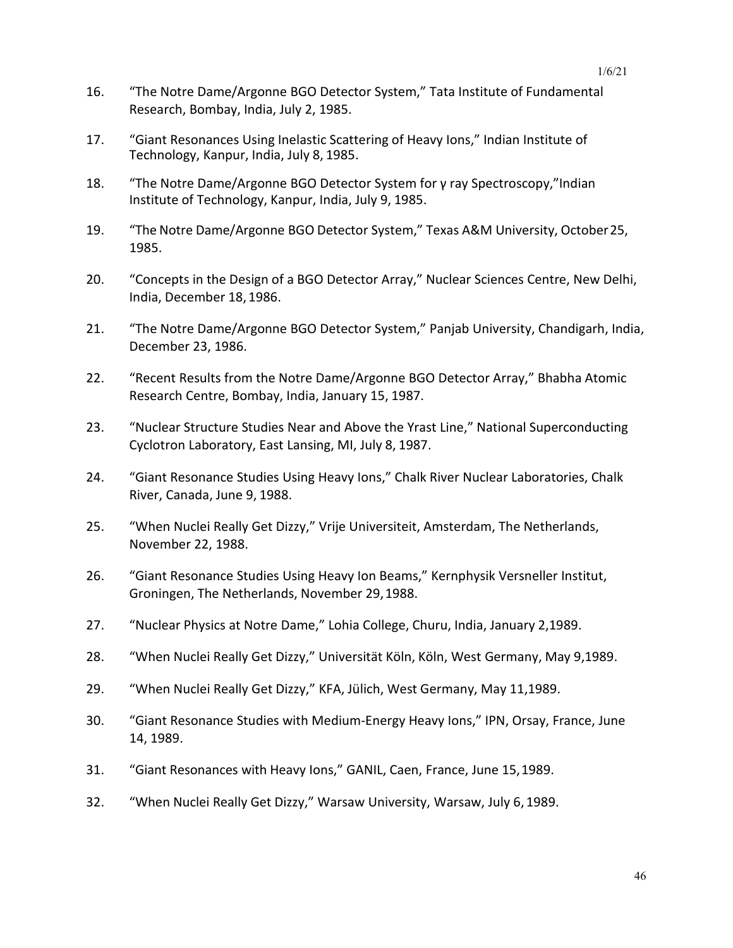- 16. "The Notre Dame/Argonne BGO Detector System," Tata Institute of Fundamental Research, Bombay, India, July 2, 1985.
- 17. "Giant Resonances Using Inelastic Scattering of Heavy Ions," Indian Institute of Technology, Kanpur, India, July 8, 1985.
- 18. "The Notre Dame/Argonne BGO Detector System for γ ray Spectroscopy,"Indian Institute of Technology, Kanpur, India, July 9, 1985.
- 19. "The Notre Dame/Argonne BGO Detector System," Texas A&M University, October25, 1985.
- 20. "Concepts in the Design of a BGO Detector Array," Nuclear Sciences Centre, New Delhi, India, December 18, 1986.
- 21. "The Notre Dame/Argonne BGO Detector System," Panjab University, Chandigarh, India, December 23, 1986.
- 22. "Recent Results from the Notre Dame/Argonne BGO Detector Array," Bhabha Atomic Research Centre, Bombay, India, January 15, 1987.
- 23. "Nuclear Structure Studies Near and Above the Yrast Line," National Superconducting Cyclotron Laboratory, East Lansing, MI, July 8, 1987.
- 24. "Giant Resonance Studies Using Heavy Ions," Chalk River Nuclear Laboratories, Chalk River, Canada, June 9, 1988.
- 25. "When Nuclei Really Get Dizzy," Vrije Universiteit, Amsterdam, The Netherlands, November 22, 1988.
- 26. "Giant Resonance Studies Using Heavy Ion Beams," Kernphysik Versneller Institut, Groningen, The Netherlands, November 29,1988.
- 27. "Nuclear Physics at Notre Dame," Lohia College, Churu, India, January 2,1989.
- 28. "When Nuclei Really Get Dizzy," Universität Köln, Köln, West Germany, May 9,1989.
- 29. "When Nuclei Really Get Dizzy," KFA, Jülich, West Germany, May 11,1989.
- 30. "Giant Resonance Studies with Medium-Energy Heavy Ions," IPN, Orsay, France, June 14, 1989.
- 31. "Giant Resonances with Heavy Ions," GANIL, Caen, France, June 15,1989.
- 32. "When Nuclei Really Get Dizzy," Warsaw University, Warsaw, July 6, 1989.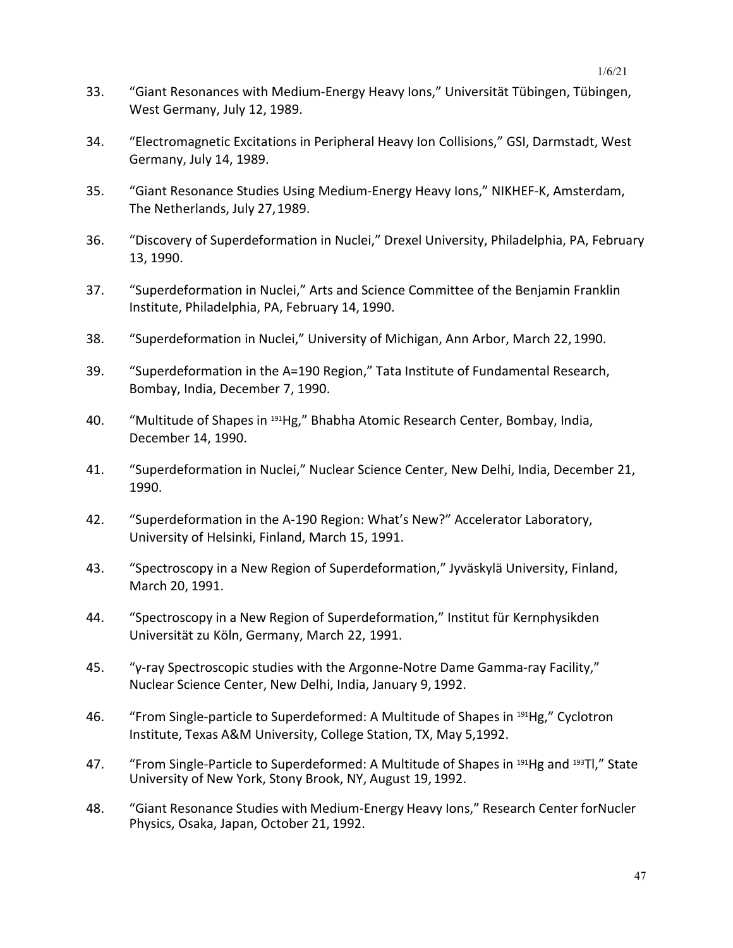- 33. "Giant Resonances with Medium-Energy Heavy Ions," Universität Tübingen, Tübingen, West Germany, July 12, 1989.
- 34. "Electromagnetic Excitations in Peripheral Heavy Ion Collisions," GSI, Darmstadt, West Germany, July 14, 1989.
- 35. "Giant Resonance Studies Using Medium-Energy Heavy Ions," NIKHEF-K, Amsterdam, The Netherlands, July 27,1989.
- 36. "Discovery of Superdeformation in Nuclei," Drexel University, Philadelphia, PA, February 13, 1990.
- 37. "Superdeformation in Nuclei," Arts and Science Committee of the Benjamin Franklin Institute, Philadelphia, PA, February 14, 1990.
- 38. "Superdeformation in Nuclei," University of Michigan, Ann Arbor, March 22, 1990.
- 39. "Superdeformation in the A=190 Region," Tata Institute of Fundamental Research, Bombay, India, December 7, 1990.
- 40. "Multitude of Shapes in <sup>191</sup>Hg," Bhabha Atomic Research Center, Bombay, India, December 14, 1990.
- 41. "Superdeformation in Nuclei," Nuclear Science Center, New Delhi, India, December 21, 1990.
- 42. "Superdeformation in the A-190 Region: What's New?" Accelerator Laboratory, University of Helsinki, Finland, March 15, 1991.
- 43. "Spectroscopy in a New Region of Superdeformation," Jyväskylä University, Finland, March 20, 1991.
- 44. "Spectroscopy in a New Region of Superdeformation," Institut für Kernphysikden Universität zu Köln, Germany, March 22, 1991.
- 45. "γ-ray Spectroscopic studies with the Argonne-Notre Dame Gamma-ray Facility," Nuclear Science Center, New Delhi, India, January 9, 1992.
- 46. "From Single-particle to Superdeformed: A Multitude of Shapes in 191Hg," Cyclotron Institute, Texas A&M University, College Station, TX, May 5,1992.
- 47. "From Single-Particle to Superdeformed: A Multitude of Shapes in <sup>191</sup>Hg and <sup>193</sup>Tl," State University of New York, Stony Brook, NY, August 19, 1992.
- 48. "Giant Resonance Studies with Medium-Energy Heavy Ions," Research Center forNucler Physics, Osaka, Japan, October 21, 1992.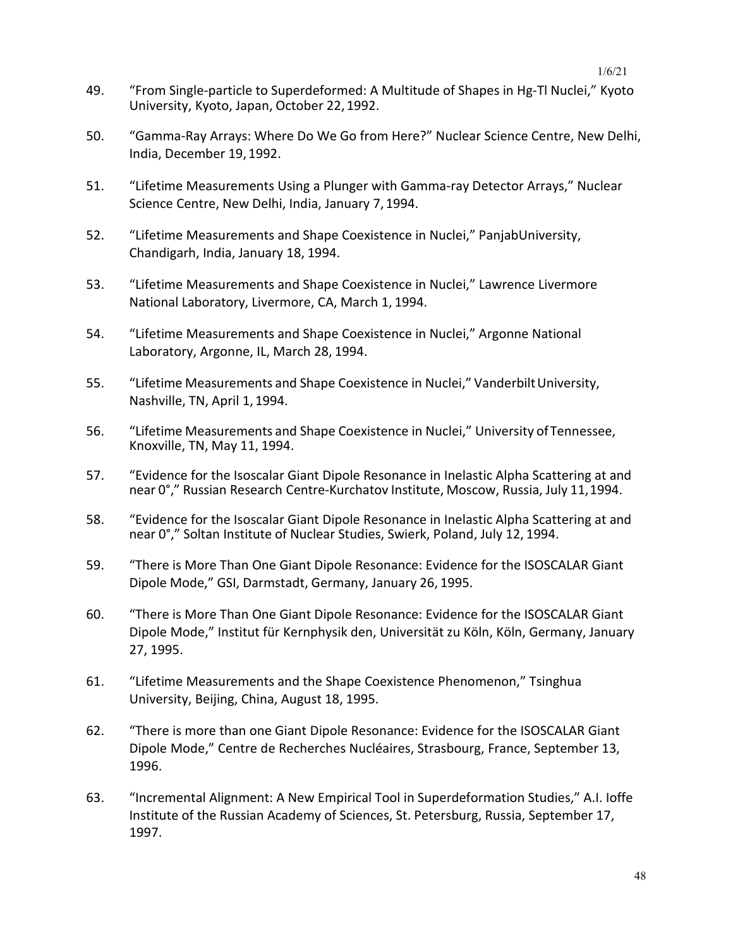- 49. "From Single-particle to Superdeformed: A Multitude of Shapes in Hg-Tl Nuclei," Kyoto University, Kyoto, Japan, October 22, 1992.
- 50. "Gamma-Ray Arrays: Where Do We Go from Here?" Nuclear Science Centre, New Delhi, India, December 19, 1992.
- 51. "Lifetime Measurements Using a Plunger with Gamma-ray Detector Arrays," Nuclear Science Centre, New Delhi, India, January 7, 1994.
- 52. "Lifetime Measurements and Shape Coexistence in Nuclei," PanjabUniversity, Chandigarh, India, January 18, 1994.
- 53. "Lifetime Measurements and Shape Coexistence in Nuclei," Lawrence Livermore National Laboratory, Livermore, CA, March 1, 1994.
- 54. "Lifetime Measurements and Shape Coexistence in Nuclei," Argonne National Laboratory, Argonne, IL, March 28, 1994.
- 55. "Lifetime Measurements and Shape Coexistence in Nuclei," VanderbiltUniversity, Nashville, TN, April 1, 1994.
- 56. "Lifetime Measurements and Shape Coexistence in Nuclei," University ofTennessee, Knoxville, TN, May 11, 1994.
- 57. "Evidence for the Isoscalar Giant Dipole Resonance in Inelastic Alpha Scattering at and near 0°," Russian Research Centre-Kurchatov Institute, Moscow, Russia, July 11,1994.
- 58. "Evidence for the Isoscalar Giant Dipole Resonance in Inelastic Alpha Scattering at and near 0°," Soltan Institute of Nuclear Studies, Swierk, Poland, July 12, 1994.
- 59. "There is More Than One Giant Dipole Resonance: Evidence for the ISOSCALAR Giant Dipole Mode," GSI, Darmstadt, Germany, January 26, 1995.
- 60. "There is More Than One Giant Dipole Resonance: Evidence for the ISOSCALAR Giant Dipole Mode," Institut für Kernphysik den, Universität zu Köln, Köln, Germany, January 27, 1995.
- 61. "Lifetime Measurements and the Shape Coexistence Phenomenon," Tsinghua University, Beijing, China, August 18, 1995.
- 62. "There is more than one Giant Dipole Resonance: Evidence for the ISOSCALAR Giant Dipole Mode," Centre de Recherches Nucléaires, Strasbourg, France, September 13, 1996.
- 63. "Incremental Alignment: A New Empirical Tool in Superdeformation Studies," A.I. Ioffe Institute of the Russian Academy of Sciences, St. Petersburg, Russia, September 17, 1997.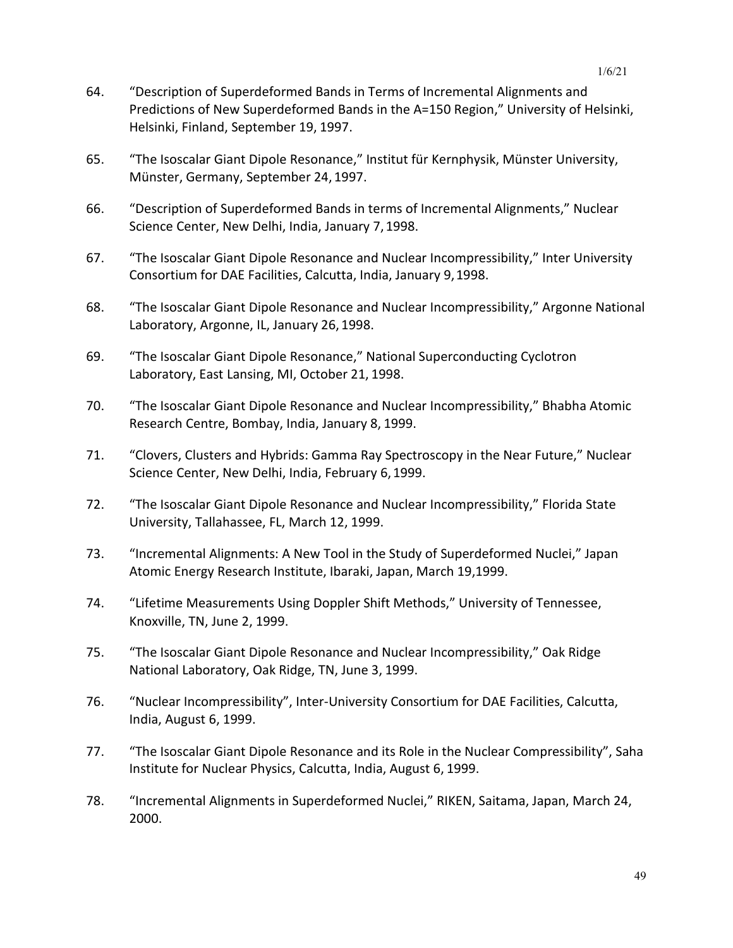- 64. "Description of Superdeformed Bands in Terms of Incremental Alignments and Predictions of New Superdeformed Bands in the A=150 Region," University of Helsinki, Helsinki, Finland, September 19, 1997.
- 65. "The Isoscalar Giant Dipole Resonance," Institut für Kernphysik, Münster University, Münster, Germany, September 24, 1997.
- 66. "Description of Superdeformed Bands in terms of Incremental Alignments," Nuclear Science Center, New Delhi, India, January 7, 1998.
- 67. "The Isoscalar Giant Dipole Resonance and Nuclear Incompressibility," Inter University Consortium for DAE Facilities, Calcutta, India, January 9,1998.
- 68. "The Isoscalar Giant Dipole Resonance and Nuclear Incompressibility," Argonne National Laboratory, Argonne, IL, January 26, 1998.
- 69. "The Isoscalar Giant Dipole Resonance," National Superconducting Cyclotron Laboratory, East Lansing, MI, October 21, 1998.
- 70. "The Isoscalar Giant Dipole Resonance and Nuclear Incompressibility," Bhabha Atomic Research Centre, Bombay, India, January 8, 1999.
- 71. "Clovers, Clusters and Hybrids: Gamma Ray Spectroscopy in the Near Future," Nuclear Science Center, New Delhi, India, February 6,1999.
- 72. "The Isoscalar Giant Dipole Resonance and Nuclear Incompressibility," Florida State University, Tallahassee, FL, March 12, 1999.
- 73. "Incremental Alignments: A New Tool in the Study of Superdeformed Nuclei," Japan Atomic Energy Research Institute, Ibaraki, Japan, March 19,1999.
- 74. "Lifetime Measurements Using Doppler Shift Methods," University of Tennessee, Knoxville, TN, June 2, 1999.
- 75. "The Isoscalar Giant Dipole Resonance and Nuclear Incompressibility," Oak Ridge National Laboratory, Oak Ridge, TN, June 3, 1999.
- 76. "Nuclear Incompressibility", Inter-University Consortium for DAE Facilities, Calcutta, India, August 6, 1999.
- 77. "The Isoscalar Giant Dipole Resonance and its Role in the Nuclear Compressibility", Saha Institute for Nuclear Physics, Calcutta, India, August 6, 1999.
- 78. "Incremental Alignments in Superdeformed Nuclei," RIKEN, Saitama, Japan, March 24, 2000.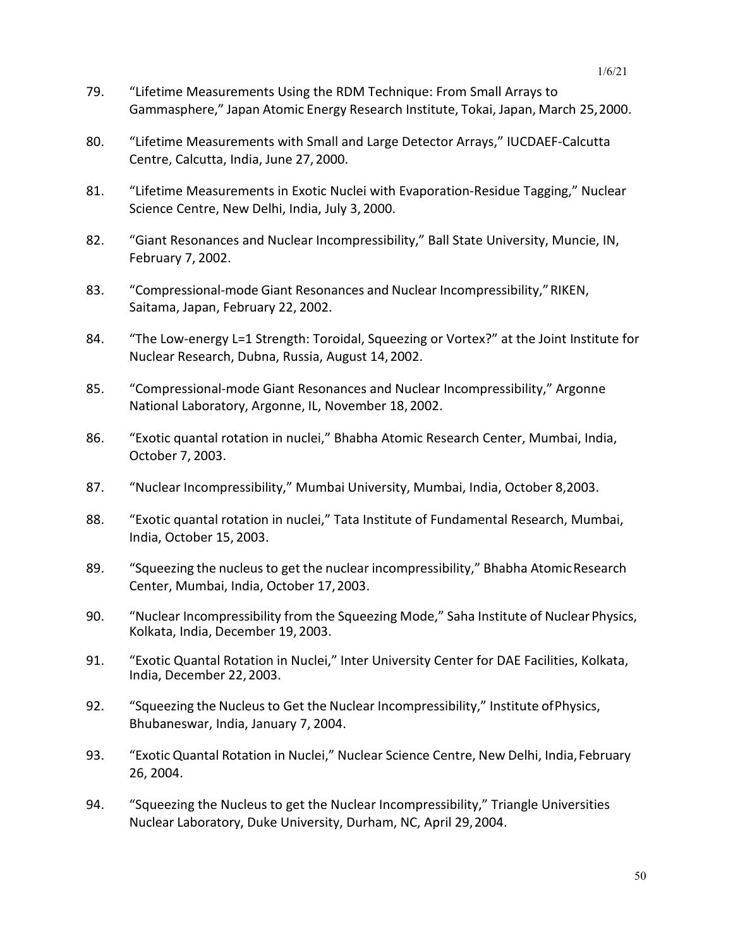- 79. "Lifetime Measurements Using the RDM Technique: From Small Arrays to Gammasphere," Japan Atomic Energy Research Institute, Tokai, Japan, March 25,2000.
- 80. "Lifetime Measurements with Small and Large Detector Arrays," IUCDAEF-Calcutta Centre, Calcutta, India, June 27, 2000.
- 81. "Lifetime Measurements in Exotic Nuclei with Evaporation-Residue Tagging," Nuclear Science Centre, New Delhi, India, July 3, 2000.
- 82. "Giant Resonances and Nuclear Incompressibility," Ball State University, Muncie, IN, February 7, 2002.
- 83. "Compressional-mode Giant Resonances and Nuclear Incompressibility," RIKEN, Saitama, Japan, February 22, 2002.
- 84. "The Low-energy L=1 Strength: Toroidal, Squeezing or Vortex?" at the Joint Institute for Nuclear Research, Dubna, Russia, August 14,2002.
- 85. "Compressional-mode Giant Resonances and Nuclear Incompressibility," Argonne National Laboratory, Argonne, IL, November 18, 2002.
- 86. "Exotic quantal rotation in nuclei," Bhabha Atomic Research Center, Mumbai, India, October 7, 2003.
- 87. "Nuclear Incompressibility," Mumbai University, Mumbai, India, October 8,2003.
- 88. "Exotic quantal rotation in nuclei," Tata Institute of Fundamental Research, Mumbai, India, October 15, 2003.
- 89. "Squeezing the nucleusto get the nuclear incompressibility," Bhabha AtomicResearch Center, Mumbai, India, October 17,2003.
- 90. "Nuclear Incompressibility from the Squeezing Mode," Saha Institute of Nuclear Physics, Kolkata, India, December 19, 2003.
- 91. "Exotic Quantal Rotation in Nuclei," Inter University Center for DAE Facilities, Kolkata, India, December 22, 2003.
- 92. "Squeezing the Nucleus to Get the Nuclear Incompressibility," Institute of Physics, Bhubaneswar, India, January 7, 2004.
- 93. "Exotic Quantal Rotation in Nuclei," Nuclear Science Centre, New Delhi, India,February 26, 2004.
- 94. "Squeezing the Nucleus to get the Nuclear Incompressibility," Triangle Universities Nuclear Laboratory, Duke University, Durham, NC, April 29,2004.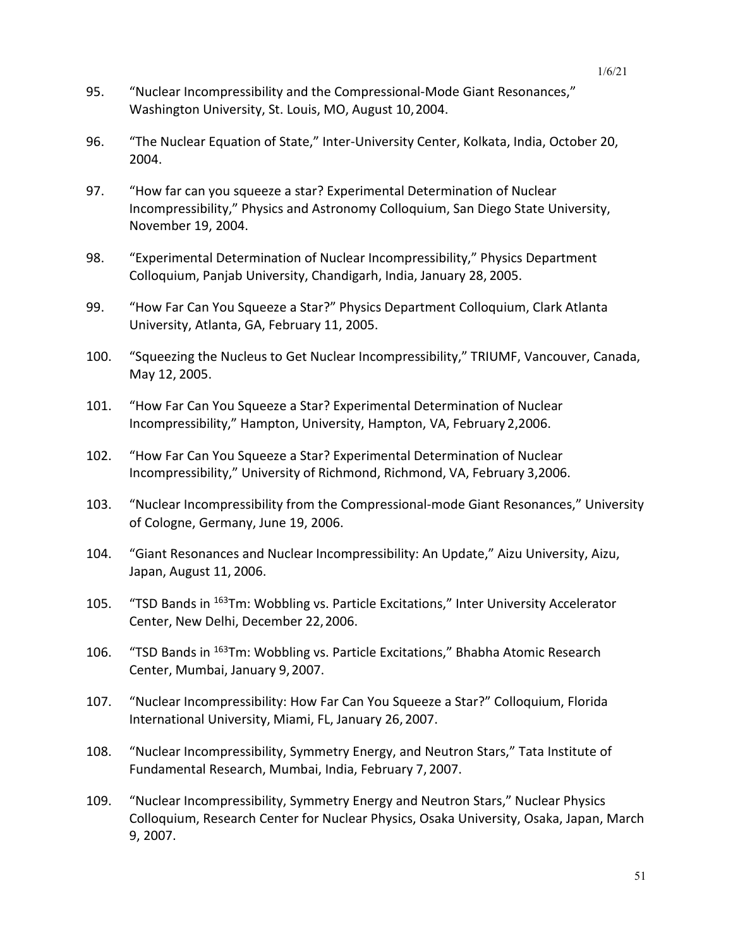- 95. "Nuclear Incompressibility and the Compressional-Mode Giant Resonances," Washington University, St. Louis, MO, August 10,2004.
- 96. "The Nuclear Equation of State," Inter-University Center, Kolkata, India, October 20, 2004.
- 97. "How far can you squeeze a star? Experimental Determination of Nuclear Incompressibility," Physics and Astronomy Colloquium, San Diego State University, November 19, 2004.
- 98. "Experimental Determination of Nuclear Incompressibility," Physics Department Colloquium, Panjab University, Chandigarh, India, January 28, 2005.
- 99. "How Far Can You Squeeze a Star?" Physics Department Colloquium, Clark Atlanta University, Atlanta, GA, February 11, 2005.
- 100. "Squeezing the Nucleus to Get Nuclear Incompressibility," TRIUMF, Vancouver, Canada, May 12, 2005.
- 101. "How Far Can You Squeeze a Star? Experimental Determination of Nuclear Incompressibility," Hampton, University, Hampton, VA, February 2,2006.
- 102. "How Far Can You Squeeze a Star? Experimental Determination of Nuclear Incompressibility," University of Richmond, Richmond, VA, February 3,2006.
- 103. "Nuclear Incompressibility from the Compressional-mode Giant Resonances," University of Cologne, Germany, June 19, 2006.
- 104. "Giant Resonances and Nuclear Incompressibility: An Update," Aizu University, Aizu, Japan, August 11, 2006.
- 105. "TSD Bands in <sup>163</sup>Tm: Wobbling vs. Particle Excitations," Inter University Accelerator Center, New Delhi, December 22,2006.
- 106. "TSD Bands in 163Tm: Wobbling vs. Particle Excitations," Bhabha Atomic Research Center, Mumbai, January 9,2007.
- 107. "Nuclear Incompressibility: How Far Can You Squeeze a Star?" Colloquium, Florida International University, Miami, FL, January 26, 2007.
- 108. "Nuclear Incompressibility, Symmetry Energy, and Neutron Stars," Tata Institute of Fundamental Research, Mumbai, India, February 7, 2007.
- 109. "Nuclear Incompressibility, Symmetry Energy and Neutron Stars," Nuclear Physics Colloquium, Research Center for Nuclear Physics, Osaka University, Osaka, Japan, March 9, 2007.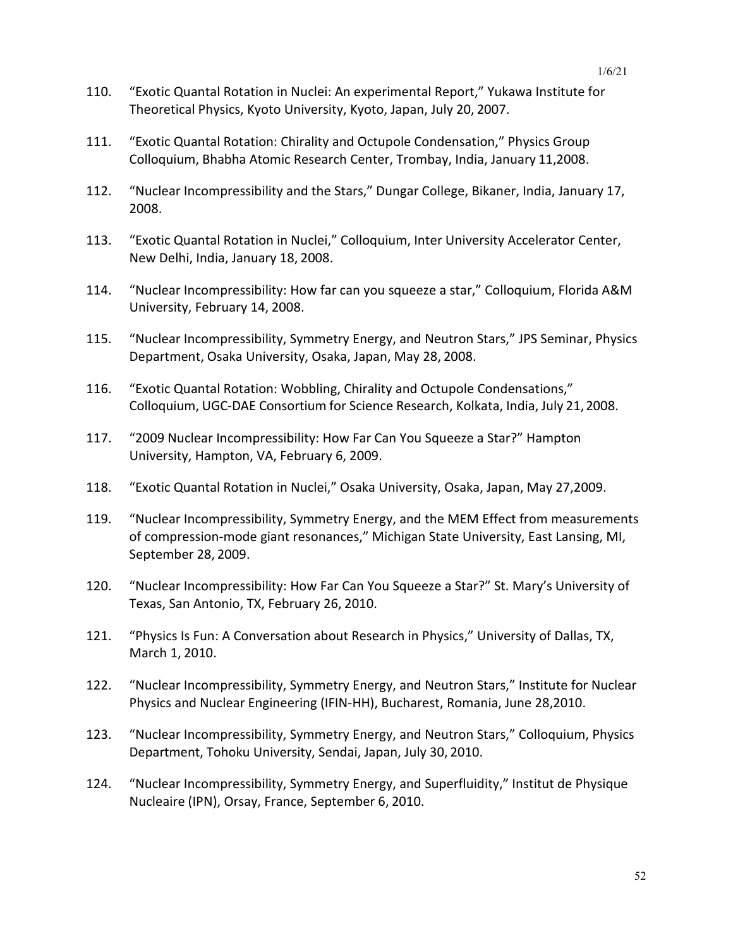- 110. "Exotic Quantal Rotation in Nuclei: An experimental Report," Yukawa Institute for Theoretical Physics, Kyoto University, Kyoto, Japan, July 20, 2007.
- 111. "Exotic Quantal Rotation: Chirality and Octupole Condensation," Physics Group Colloquium, Bhabha Atomic Research Center, Trombay, India, January 11,2008.
- 112. "Nuclear Incompressibility and the Stars," Dungar College, Bikaner, India, January 17, 2008.
- 113. "Exotic Quantal Rotation in Nuclei," Colloquium, Inter University Accelerator Center, New Delhi, India, January 18, 2008.
- 114. "Nuclear Incompressibility: How far can you squeeze a star," Colloquium, Florida A&M University, February 14, 2008.
- 115. "Nuclear Incompressibility, Symmetry Energy, and Neutron Stars," JPS Seminar, Physics Department, Osaka University, Osaka, Japan, May 28, 2008.
- 116. "Exotic Quantal Rotation: Wobbling, Chirality and Octupole Condensations," Colloquium, UGC-DAE Consortium for Science Research, Kolkata, India, July 21,2008.
- 117. "2009 Nuclear Incompressibility: How Far Can You Squeeze a Star?" Hampton University, Hampton, VA, February 6, 2009.
- 118. "Exotic Quantal Rotation in Nuclei," Osaka University, Osaka, Japan, May 27,2009.
- 119. "Nuclear Incompressibility, Symmetry Energy, and the MEM Effect from measurements of compression-mode giant resonances," Michigan State University, East Lansing, MI, September 28, 2009.
- 120. "Nuclear Incompressibility: How Far Can You Squeeze a Star?" St. Mary's University of Texas, San Antonio, TX, February 26, 2010.
- 121. "Physics Is Fun: A Conversation about Research in Physics," University of Dallas, TX, March 1, 2010.
- 122. "Nuclear Incompressibility, Symmetry Energy, and Neutron Stars," Institute for Nuclear Physics and Nuclear Engineering (IFIN-HH), Bucharest, Romania, June 28,2010.
- 123. "Nuclear Incompressibility, Symmetry Energy, and Neutron Stars," Colloquium, Physics Department, Tohoku University, Sendai, Japan, July 30, 2010.
- 124. "Nuclear Incompressibility, Symmetry Energy, and Superfluidity," Institut de Physique Nucleaire (IPN), Orsay, France, September 6, 2010.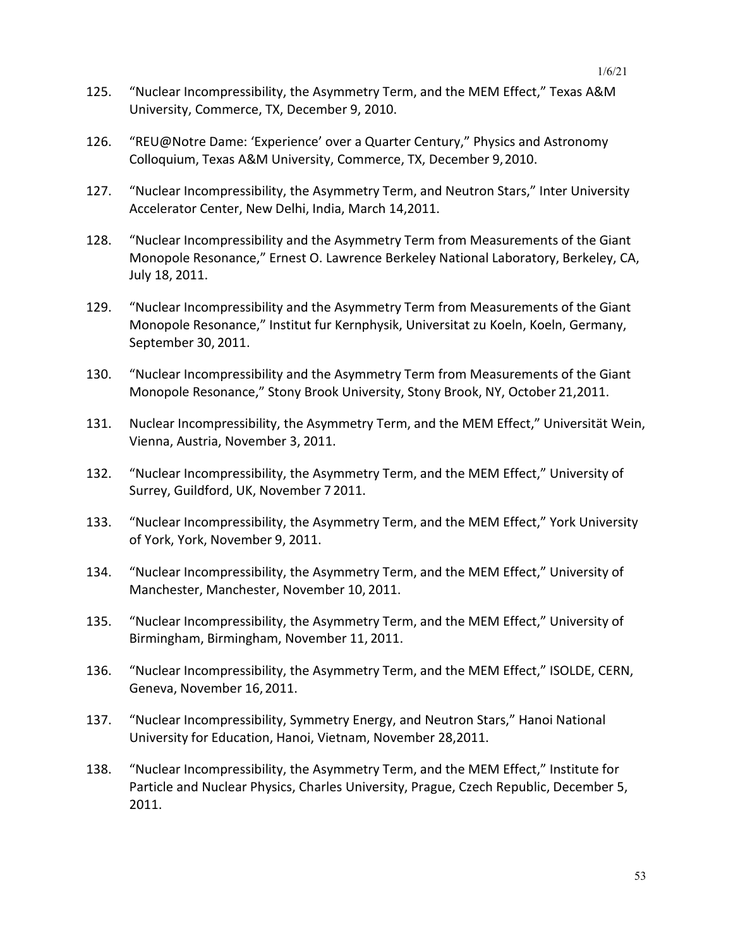- 125. "Nuclear Incompressibility, the Asymmetry Term, and the MEM Effect," Texas A&M University, Commerce, TX, December 9, 2010.
- 126. "REU@Notre Dame: 'Experience' over a Quarter Century," Physics and Astronomy Colloquium, Texas A&M University, Commerce, TX, December 9,2010.
- 127. "Nuclear Incompressibility, the Asymmetry Term, and Neutron Stars," Inter University Accelerator Center, New Delhi, India, March 14,2011.
- 128. "Nuclear Incompressibility and the Asymmetry Term from Measurements of the Giant Monopole Resonance," Ernest O. Lawrence Berkeley National Laboratory, Berkeley, CA, July 18, 2011.
- 129. "Nuclear Incompressibility and the Asymmetry Term from Measurements of the Giant Monopole Resonance," Institut fur Kernphysik, Universitat zu Koeln, Koeln, Germany, September 30, 2011.
- 130. "Nuclear Incompressibility and the Asymmetry Term from Measurements of the Giant Monopole Resonance," Stony Brook University, Stony Brook, NY, October 21,2011.
- 131. Nuclear Incompressibility, the Asymmetry Term, and the MEM Effect," Universität Wein, Vienna, Austria, November 3, 2011.
- 132. "Nuclear Incompressibility, the Asymmetry Term, and the MEM Effect," University of Surrey, Guildford, UK, November 7 2011.
- 133. "Nuclear Incompressibility, the Asymmetry Term, and the MEM Effect," York University of York, York, November 9, 2011.
- 134. "Nuclear Incompressibility, the Asymmetry Term, and the MEM Effect," University of Manchester, Manchester, November 10, 2011.
- 135. "Nuclear Incompressibility, the Asymmetry Term, and the MEM Effect," University of Birmingham, Birmingham, November 11, 2011.
- 136. "Nuclear Incompressibility, the Asymmetry Term, and the MEM Effect," ISOLDE, CERN, Geneva, November 16,2011.
- 137. "Nuclear Incompressibility, Symmetry Energy, and Neutron Stars," Hanoi National University for Education, Hanoi, Vietnam, November 28,2011.
- 138. "Nuclear Incompressibility, the Asymmetry Term, and the MEM Effect," Institute for Particle and Nuclear Physics, Charles University, Prague, Czech Republic, December 5, 2011.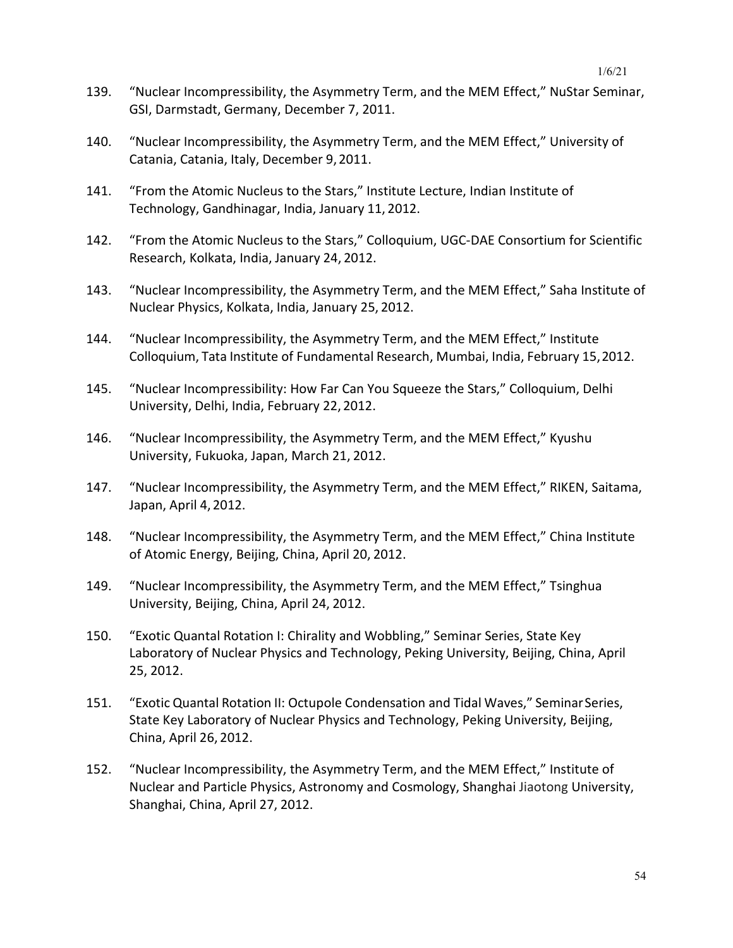- 139. "Nuclear Incompressibility, the Asymmetry Term, and the MEM Effect," NuStar Seminar, GSI, Darmstadt, Germany, December 7, 2011.
- 140. "Nuclear Incompressibility, the Asymmetry Term, and the MEM Effect," University of Catania, Catania, Italy, December 9, 2011.
- 141. "From the Atomic Nucleus to the Stars," Institute Lecture, Indian Institute of Technology, Gandhinagar, India, January 11, 2012.
- 142. "From the Atomic Nucleus to the Stars," Colloquium, UGC-DAE Consortium for Scientific Research, Kolkata, India, January 24, 2012.
- 143. "Nuclear Incompressibility, the Asymmetry Term, and the MEM Effect," Saha Institute of Nuclear Physics, Kolkata, India, January 25, 2012.
- 144. "Nuclear Incompressibility, the Asymmetry Term, and the MEM Effect," Institute Colloquium, Tata Institute of Fundamental Research, Mumbai, India, February 15,2012.
- 145. "Nuclear Incompressibility: How Far Can You Squeeze the Stars," Colloquium, Delhi University, Delhi, India, February 22, 2012.
- 146. "Nuclear Incompressibility, the Asymmetry Term, and the MEM Effect," Kyushu University, Fukuoka, Japan, March 21, 2012.
- 147. "Nuclear Incompressibility, the Asymmetry Term, and the MEM Effect," RIKEN, Saitama, Japan, April 4, 2012.
- 148. "Nuclear Incompressibility, the Asymmetry Term, and the MEM Effect," China Institute of Atomic Energy, Beijing, China, April 20, 2012.
- 149. "Nuclear Incompressibility, the Asymmetry Term, and the MEM Effect," Tsinghua University, Beijing, China, April 24, 2012.
- 150. "Exotic Quantal Rotation I: Chirality and Wobbling," Seminar Series, State Key Laboratory of Nuclear Physics and Technology, Peking University, Beijing, China, April 25, 2012.
- 151. "Exotic Quantal Rotation II: Octupole Condensation and Tidal Waves," SeminarSeries, State Key Laboratory of Nuclear Physics and Technology, Peking University, Beijing, China, April 26, 2012.
- 152. "Nuclear Incompressibility, the Asymmetry Term, and the MEM Effect," Institute of Nuclear and Particle Physics, Astronomy and Cosmology, Shanghai Jiaotong University, Shanghai, China, April 27, 2012.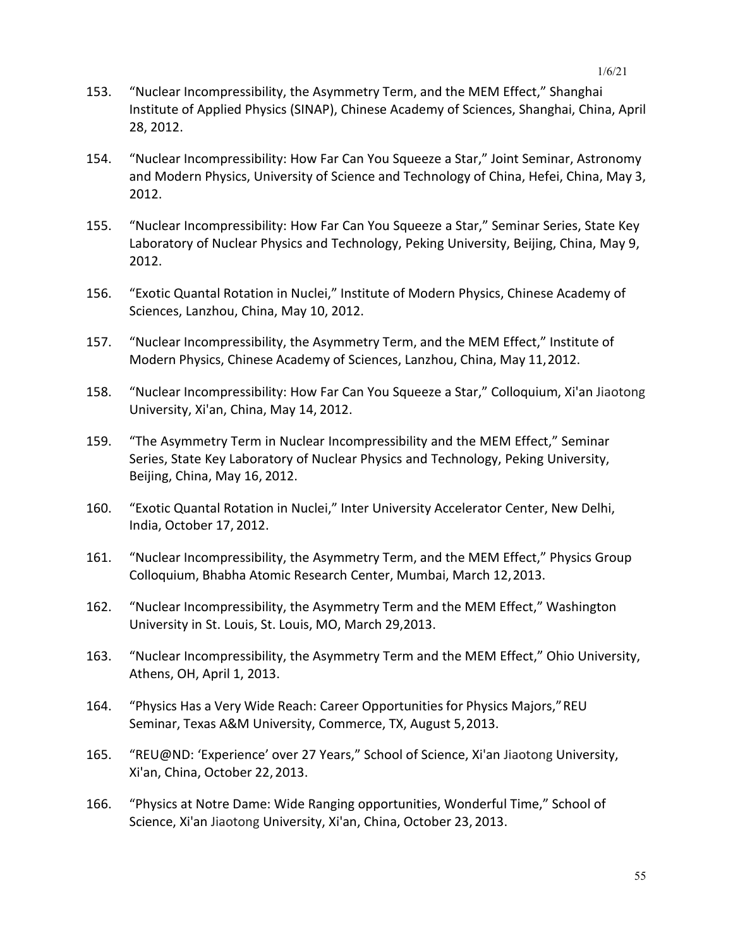- 153. "Nuclear Incompressibility, the Asymmetry Term, and the MEM Effect," Shanghai Institute of Applied Physics (SINAP), Chinese Academy of Sciences, Shanghai, China, April 28, 2012.
- 154. "Nuclear Incompressibility: How Far Can You Squeeze a Star," Joint Seminar, Astronomy and Modern Physics, University of Science and Technology of China, Hefei, China, May 3, 2012.
- 155. "Nuclear Incompressibility: How Far Can You Squeeze a Star," Seminar Series, State Key Laboratory of Nuclear Physics and Technology, Peking University, Beijing, China, May 9, 2012.
- 156. "Exotic Quantal Rotation in Nuclei," Institute of Modern Physics, Chinese Academy of Sciences, Lanzhou, China, May 10, 2012.
- 157. "Nuclear Incompressibility, the Asymmetry Term, and the MEM Effect," Institute of Modern Physics, Chinese Academy of Sciences, Lanzhou, China, May 11,2012.
- 158. "Nuclear Incompressibility: How Far Can You Squeeze a Star," Colloquium, Xi'an Jiaotong University, Xi'an, China, May 14, 2012.
- 159. "The Asymmetry Term in Nuclear Incompressibility and the MEM Effect," Seminar Series, State Key Laboratory of Nuclear Physics and Technology, Peking University, Beijing, China, May 16, 2012.
- 160. "Exotic Quantal Rotation in Nuclei," Inter University Accelerator Center, New Delhi, India, October 17, 2012.
- 161. "Nuclear Incompressibility, the Asymmetry Term, and the MEM Effect," Physics Group Colloquium, Bhabha Atomic Research Center, Mumbai, March 12,2013.
- 162. "Nuclear Incompressibility, the Asymmetry Term and the MEM Effect," Washington University in St. Louis, St. Louis, MO, March 29,2013.
- 163. "Nuclear Incompressibility, the Asymmetry Term and the MEM Effect," Ohio University, Athens, OH, April 1, 2013.
- 164. "Physics Has a Very Wide Reach: Career Opportunities for Physics Majors,"REU Seminar, Texas A&M University, Commerce, TX, August 5,2013.
- 165. "REU@ND: 'Experience' over 27 Years," School of Science, Xi'an Jiaotong University, Xi'an, China, October 22, 2013.
- 166. "Physics at Notre Dame: Wide Ranging opportunities, Wonderful Time," School of Science, Xi'an Jiaotong University, Xi'an, China, October 23, 2013.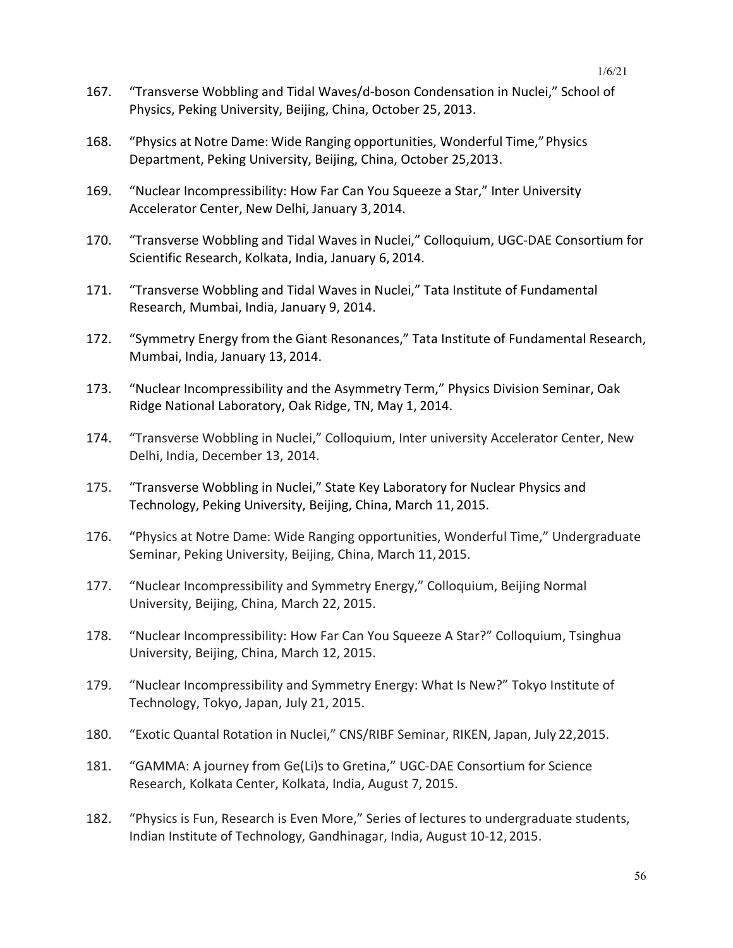- 167. "Transverse Wobbling and Tidal Waves/d-boson Condensation in Nuclei," School of Physics, Peking University, Beijing, China, October 25, 2013.
- 168. "Physics at Notre Dame: Wide Ranging opportunities, Wonderful Time,"Physics Department, Peking University, Beijing, China, October 25,2013.
- 169. "Nuclear Incompressibility: How Far Can You Squeeze a Star," Inter University Accelerator Center, New Delhi, January 3,2014.
- 170. "Transverse Wobbling and Tidal Waves in Nuclei," Colloquium, UGC-DAE Consortium for Scientific Research, Kolkata, India, January 6, 2014.
- 171. "Transverse Wobbling and Tidal Waves in Nuclei," Tata Institute of Fundamental Research, Mumbai, India, January 9, 2014.
- 172. "Symmetry Energy from the Giant Resonances," Tata Institute of Fundamental Research, Mumbai, India, January 13, 2014.
- 173. "Nuclear Incompressibility and the Asymmetry Term," Physics Division Seminar, Oak Ridge National Laboratory, Oak Ridge, TN, May 1, 2014.
- 174. "Transverse Wobbling in Nuclei," Colloquium, Inter university Accelerator Center, New Delhi, India, December 13, 2014.
- 175. "Transverse Wobbling in Nuclei," State Key Laboratory for Nuclear Physics and Technology, Peking University, Beijing, China, March 11, 2015.
- 176. "Physics at Notre Dame: Wide Ranging opportunities, Wonderful Time," Undergraduate Seminar, Peking University, Beijing, China, March 11,2015.
- 177. "Nuclear Incompressibility and Symmetry Energy," Colloquium, Beijing Normal University, Beijing, China, March 22, 2015.
- 178. "Nuclear Incompressibility: How Far Can You Squeeze A Star?" Colloquium, Tsinghua University, Beijing, China, March 12, 2015.
- 179. "Nuclear Incompressibility and Symmetry Energy: What Is New?" Tokyo Institute of Technology, Tokyo, Japan, July 21, 2015.
- 180. "Exotic Quantal Rotation in Nuclei," CNS/RIBF Seminar, RIKEN, Japan, July 22,2015.
- 181. "GAMMA: A journey from Ge(Li)s to Gretina," UGC-DAE Consortium for Science Research, Kolkata Center, Kolkata, India, August 7, 2015.
- 182. "Physics is Fun, Research is Even More," Series of lectures to undergraduate students, Indian Institute of Technology, Gandhinagar, India, August 10-12, 2015.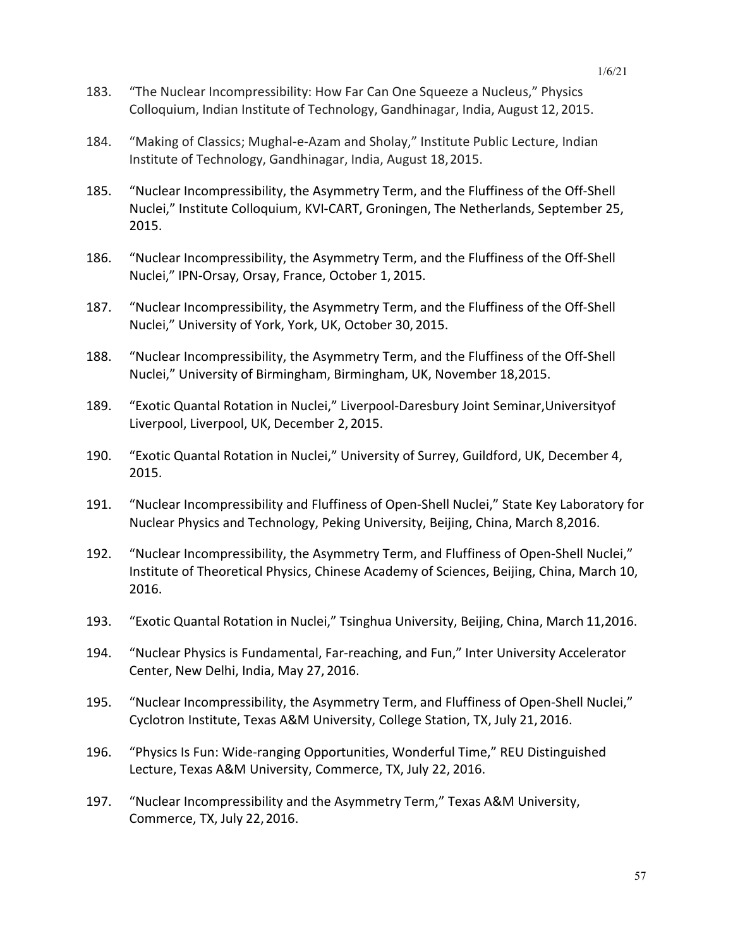- 183. "The Nuclear Incompressibility: How Far Can One Squeeze a Nucleus," Physics Colloquium, Indian Institute of Technology, Gandhinagar, India, August 12, 2015.
- 184. "Making of Classics; Mughal-e-Azam and Sholay," Institute Public Lecture, Indian Institute of Technology, Gandhinagar, India, August 18,2015.
- 185. "Nuclear Incompressibility, the Asymmetry Term, and the Fluffiness of the Off-Shell Nuclei," Institute Colloquium, KVI-CART, Groningen, The Netherlands, September 25, 2015.
- 186. "Nuclear Incompressibility, the Asymmetry Term, and the Fluffiness of the Off-Shell Nuclei," IPN-Orsay, Orsay, France, October 1, 2015.
- 187. "Nuclear Incompressibility, the Asymmetry Term, and the Fluffiness of the Off-Shell Nuclei," University of York, York, UK, October 30, 2015.
- 188. "Nuclear Incompressibility, the Asymmetry Term, and the Fluffiness of the Off-Shell Nuclei," University of Birmingham, Birmingham, UK, November 18,2015.
- 189. "Exotic Quantal Rotation in Nuclei," Liverpool-Daresbury Joint Seminar,Universityof Liverpool, Liverpool, UK, December 2, 2015.
- 190. "Exotic Quantal Rotation in Nuclei," University of Surrey, Guildford, UK, December 4, 2015.
- 191. "Nuclear Incompressibility and Fluffiness of Open-Shell Nuclei," State Key Laboratory for Nuclear Physics and Technology, Peking University, Beijing, China, March 8,2016.
- 192. "Nuclear Incompressibility, the Asymmetry Term, and Fluffiness of Open-Shell Nuclei," Institute of Theoretical Physics, Chinese Academy of Sciences, Beijing, China, March 10, 2016.
- 193. "Exotic Quantal Rotation in Nuclei," Tsinghua University, Beijing, China, March 11,2016.
- 194. "Nuclear Physics is Fundamental, Far-reaching, and Fun," Inter University Accelerator Center, New Delhi, India, May 27, 2016.
- 195. "Nuclear Incompressibility, the Asymmetry Term, and Fluffiness of Open-Shell Nuclei," Cyclotron Institute, Texas A&M University, College Station, TX, July 21, 2016.
- 196. "Physics Is Fun: Wide-ranging Opportunities, Wonderful Time," REU Distinguished Lecture, Texas A&M University, Commerce, TX, July 22, 2016.
- 197. "Nuclear Incompressibility and the Asymmetry Term," Texas A&M University, Commerce, TX, July 22, 2016.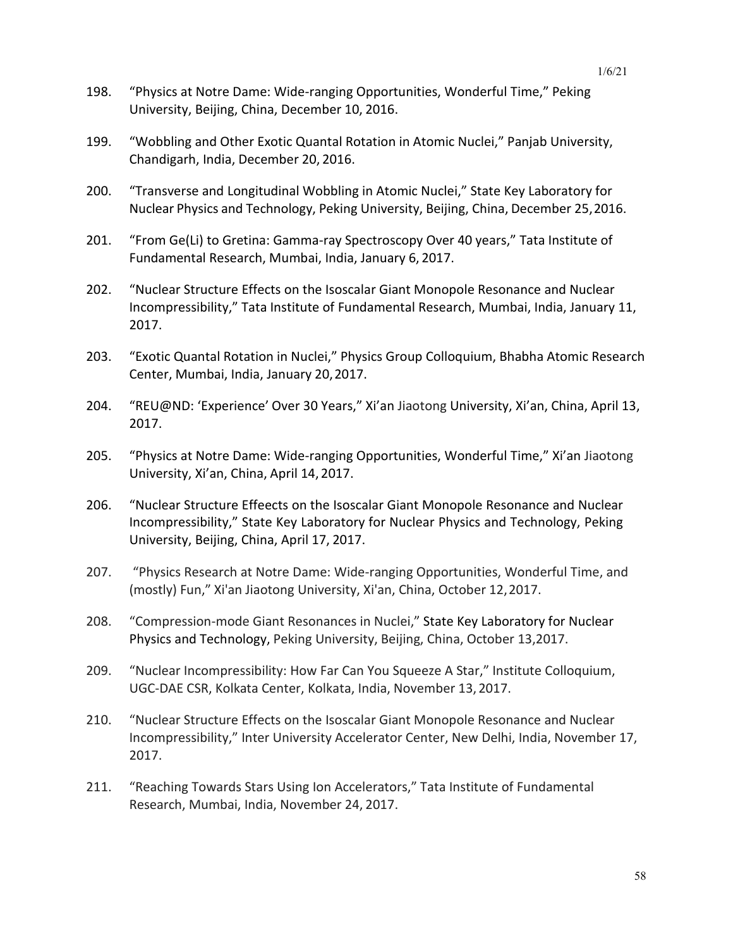- 198. "Physics at Notre Dame: Wide-ranging Opportunities, Wonderful Time," Peking University, Beijing, China, December 10, 2016.
- 199. "Wobbling and Other Exotic Quantal Rotation in Atomic Nuclei," Panjab University, Chandigarh, India, December 20, 2016.
- 200. "Transverse and Longitudinal Wobbling in Atomic Nuclei," State Key Laboratory for Nuclear Physics and Technology, Peking University, Beijing, China, December 25,2016.
- 201. "From Ge(Li) to Gretina: Gamma-ray Spectroscopy Over 40 years," Tata Institute of Fundamental Research, Mumbai, India, January 6, 2017.
- 202. "Nuclear Structure Effects on the Isoscalar Giant Monopole Resonance and Nuclear Incompressibility," Tata Institute of Fundamental Research, Mumbai, India, January 11, 2017.
- 203. "Exotic Quantal Rotation in Nuclei," Physics Group Colloquium, Bhabha Atomic Research Center, Mumbai, India, January 20,2017.
- 204. "REU@ND: 'Experience' Over 30 Years," Xi'an Jiaotong University, Xi'an, China, April 13, 2017.
- 205. "Physics at Notre Dame: Wide-ranging Opportunities, Wonderful Time," Xi'an Jiaotong University, Xi'an, China, April 14, 2017.
- 206. "Nuclear Structure Effeects on the Isoscalar Giant Monopole Resonance and Nuclear Incompressibility," State Key Laboratory for Nuclear Physics and Technology, Peking University, Beijing, China, April 17, 2017.
- 207. "Physics Research at Notre Dame: Wide-ranging Opportunities, Wonderful Time, and (mostly) Fun," Xi'an Jiaotong University, Xi'an, China, October 12,2017.
- 208. "Compression-mode Giant Resonances in Nuclei," State Key Laboratory for Nuclear Physics and Technology, Peking University, Beijing, China, October 13,2017.
- 209. "Nuclear Incompressibility: How Far Can You Squeeze A Star," Institute Colloquium, UGC-DAE CSR, Kolkata Center, Kolkata, India, November 13, 2017.
- 210. "Nuclear Structure Effects on the Isoscalar Giant Monopole Resonance and Nuclear Incompressibility," Inter University Accelerator Center, New Delhi, India, November 17, 2017.
- 211. "Reaching Towards Stars Using Ion Accelerators," Tata Institute of Fundamental Research, Mumbai, India, November 24, 2017.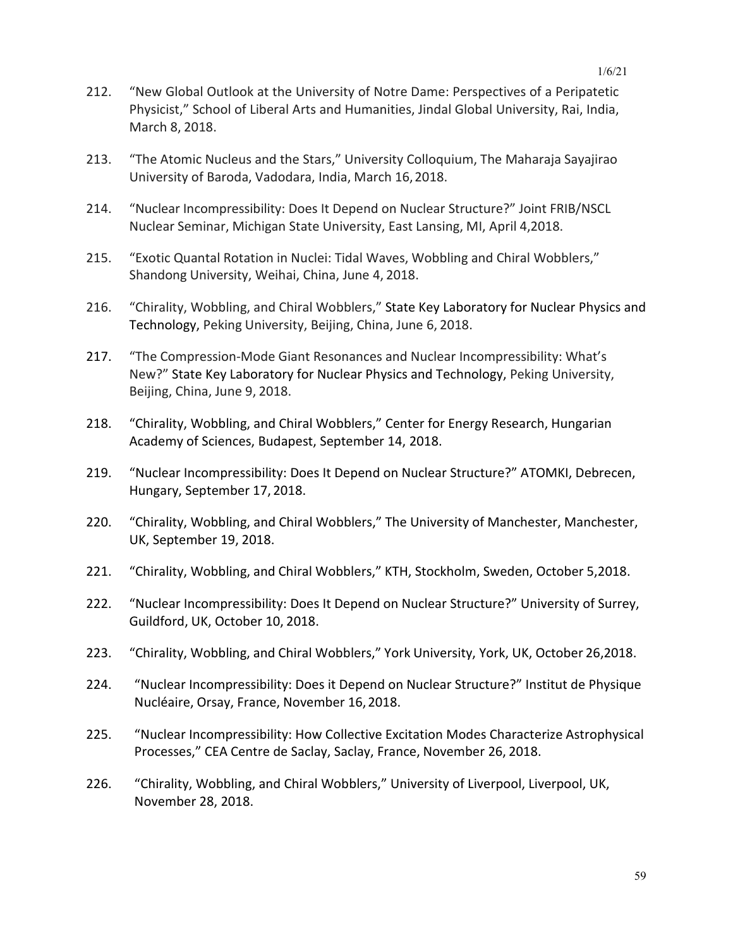- 212. "New Global Outlook at the University of Notre Dame: Perspectives of a Peripatetic Physicist," School of Liberal Arts and Humanities, Jindal Global University, Rai, India, March 8, 2018.
- 213. "The Atomic Nucleus and the Stars," University Colloquium, The Maharaja Sayajirao University of Baroda, Vadodara, India, March 16,2018.
- 214. "Nuclear Incompressibility: Does It Depend on Nuclear Structure?" Joint FRIB/NSCL Nuclear Seminar, Michigan State University, East Lansing, MI, April 4,2018.
- 215. "Exotic Quantal Rotation in Nuclei: Tidal Waves, Wobbling and Chiral Wobblers," Shandong University, Weihai, China, June 4, 2018.
- 216. "Chirality, Wobbling, and Chiral Wobblers," State Key Laboratory for Nuclear Physics and Technology, Peking University, Beijing, China, June 6, 2018.
- 217. "The Compression-Mode Giant Resonances and Nuclear Incompressibility: What's New?" State Key Laboratory for Nuclear Physics and Technology, Peking University, Beijing, China, June 9, 2018.
- 218. "Chirality, Wobbling, and Chiral Wobblers," Center for Energy Research, Hungarian Academy of Sciences, Budapest, September 14, 2018.
- 219. "Nuclear Incompressibility: Does It Depend on Nuclear Structure?" ATOMKI, Debrecen, Hungary, September 17, 2018.
- 220. "Chirality, Wobbling, and Chiral Wobblers," The University of Manchester, Manchester, UK, September 19, 2018.
- 221. "Chirality, Wobbling, and Chiral Wobblers," KTH, Stockholm, Sweden, October 5,2018.
- 222. "Nuclear Incompressibility: Does It Depend on Nuclear Structure?" University of Surrey, Guildford, UK, October 10, 2018.
- 223. "Chirality, Wobbling, and Chiral Wobblers," York University, York, UK, October 26,2018.
- 224. "Nuclear Incompressibility: Does it Depend on Nuclear Structure?" Institut de Physique Nucléaire, Orsay, France, November 16,2018.
- 225. "Nuclear Incompressibility: How Collective Excitation Modes Characterize Astrophysical Processes," CEA Centre de Saclay, Saclay, France, November 26, 2018.
- 226. "Chirality, Wobbling, and Chiral Wobblers," University of Liverpool, Liverpool, UK, November 28, 2018.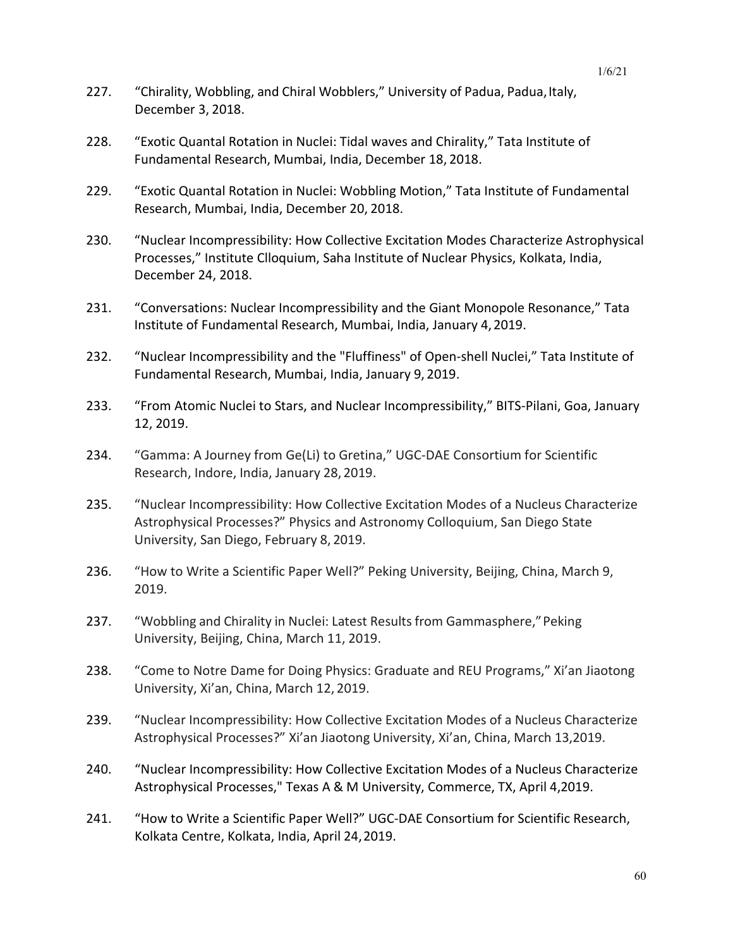- 227. "Chirality, Wobbling, and Chiral Wobblers," University of Padua, Padua, Italy, December 3, 2018.
- 228. "Exotic Quantal Rotation in Nuclei: Tidal waves and Chirality," Tata Institute of Fundamental Research, Mumbai, India, December 18, 2018.
- 229. "Exotic Quantal Rotation in Nuclei: Wobbling Motion," Tata Institute of Fundamental Research, Mumbai, India, December 20, 2018.
- 230. "Nuclear Incompressibility: How Collective Excitation Modes Characterize Astrophysical Processes," Institute Clloquium, Saha Institute of Nuclear Physics, Kolkata, India, December 24, 2018.
- 231. "Conversations: Nuclear Incompressibility and the Giant Monopole Resonance," Tata Institute of Fundamental Research, Mumbai, India, January 4,2019.
- 232. "Nuclear Incompressibility and the "Fluffiness" of Open-shell Nuclei," Tata Institute of Fundamental Research, Mumbai, India, January 9, 2019.
- 233. "From Atomic Nuclei to Stars, and Nuclear Incompressibility," BITS-Pilani, Goa, January 12, 2019.
- 234. "Gamma: A Journey from Ge(Li) to Gretina," UGC-DAE Consortium for Scientific Research, Indore, India, January 28, 2019.
- 235. "Nuclear Incompressibility: How Collective Excitation Modes of a Nucleus Characterize Astrophysical Processes?" Physics and Astronomy Colloquium, San Diego State University, San Diego, February 8, 2019.
- 236. "How to Write a Scientific Paper Well?" Peking University, Beijing, China, March 9, 2019.
- 237. "Wobbling and Chirality in Nuclei: Latest Results from Gammasphere," Peking University, Beijing, China, March 11, 2019.
- 238. "Come to Notre Dame for Doing Physics: Graduate and REU Programs," Xi'an Jiaotong University, Xi'an, China, March 12, 2019.
- 239. "Nuclear Incompressibility: How Collective Excitation Modes of a Nucleus Characterize Astrophysical Processes?" Xi'an Jiaotong University, Xi'an, China, March 13,2019.
- 240. "Nuclear Incompressibility: How Collective Excitation Modes of a Nucleus Characterize Astrophysical Processes," Texas A & M University, Commerce, TX, April 4,2019.
- 241. "How to Write a Scientific Paper Well?" UGC-DAE Consortium for Scientific Research, Kolkata Centre, Kolkata, India, April 24,2019.